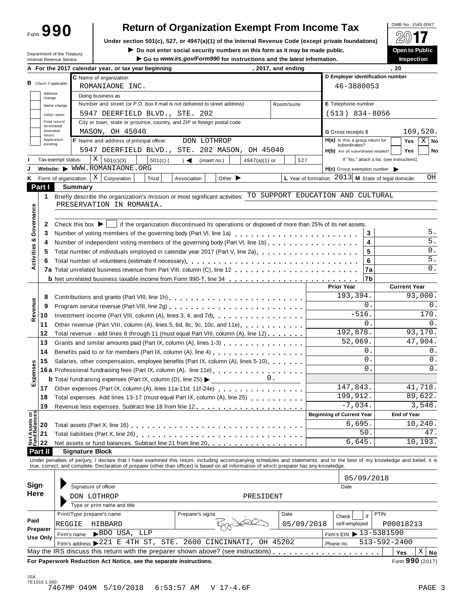Form **990**

## **Return of Organization Exempt From Income Tax**

**Under section 501(c), 527, or 4947(a)(1) of the Internal Revenue Code (except private foundations)** À¾µ»

Department of the Treasury<br>Internal Revenue Service

 $\blacktriangleright$  Do not enter social security numbers on this form as it may be made public. Go to www.irs.gov/Form990 for instructions and the latest information

|                                      |                             | , 2017, and ending<br>A For the 2017 calendar year, or tax year beginning                                                                                                                                                            |            |                                                      | , 20                                                         |  |  |  |  |
|--------------------------------------|-----------------------------|--------------------------------------------------------------------------------------------------------------------------------------------------------------------------------------------------------------------------------------|------------|------------------------------------------------------|--------------------------------------------------------------|--|--|--|--|
|                                      |                             | <b>C</b> Name of organization                                                                                                                                                                                                        |            |                                                      | D Employer identification number                             |  |  |  |  |
| <b>B</b> Check if applicable:        |                             | ROMANIAONE INC.                                                                                                                                                                                                                      |            | 46-3880053                                           |                                                              |  |  |  |  |
| Address<br>change                    |                             | Doing business as                                                                                                                                                                                                                    |            |                                                      |                                                              |  |  |  |  |
|                                      | Name change                 | Number and street (or P.O. box if mail is not delivered to street address)<br>Room/suite                                                                                                                                             |            | E Telephone number                                   |                                                              |  |  |  |  |
|                                      | Initial return              | 5947 DEERFIELD BLVD., STE. 202                                                                                                                                                                                                       |            | $(513)$ 834-8056                                     |                                                              |  |  |  |  |
|                                      | Final return/<br>terminated | City or town, state or province, country, and ZIP or foreign postal code                                                                                                                                                             |            |                                                      |                                                              |  |  |  |  |
| return                               | Amended                     | MASON, OH 45040                                                                                                                                                                                                                      |            | <b>G</b> Gross receipts \$                           | 169,520.                                                     |  |  |  |  |
| pending                              | Application                 | <b>F</b> Name and address of principal officer:<br>DON LOTHROP                                                                                                                                                                       |            | H(a) Is this a group return for                      | $X \mid$ No<br>Yes                                           |  |  |  |  |
|                                      |                             | 5947 DEERFIELD BLVD., STE. 202 MASON, OH 45040                                                                                                                                                                                       |            | subordinates?<br>H(b) Are all subordinates included? | Yes<br>No                                                    |  |  |  |  |
|                                      | Tax-exempt status:          | X<br>501(c)(3)<br>$501(c)$ (<br>$\rightarrow$<br>(insert no.)<br>$4947(a)(1)$ or                                                                                                                                                     | 527        |                                                      | If "No," attach a list. (see instructions)                   |  |  |  |  |
|                                      |                             | Website: WWW.ROMANIAONE.ORG                                                                                                                                                                                                          |            | $H(c)$ Group exemption number $\triangleright$       |                                                              |  |  |  |  |
|                                      |                             | Form of organization: $ X $<br>Corporation<br>Other $\blacktriangleright$<br>Trust<br>Association                                                                                                                                    |            |                                                      | L Year of formation: $2013$ M State of legal domicile:<br>OН |  |  |  |  |
| Part I                               |                             | <b>Summary</b>                                                                                                                                                                                                                       |            |                                                      |                                                              |  |  |  |  |
| 1                                    |                             | Briefly describe the organization's mission or most significant activities: TO SUPPORT EDUCATION AND CULTURAL                                                                                                                        |            |                                                      |                                                              |  |  |  |  |
|                                      |                             | PRESERVATION IN ROMANIA.                                                                                                                                                                                                             |            |                                                      |                                                              |  |  |  |  |
| Activities & Governance              |                             |                                                                                                                                                                                                                                      |            |                                                      |                                                              |  |  |  |  |
| 2                                    |                             | if the organization discontinued its operations or disposed of more than 25% of its net assets.<br>Check this box $\blacktriangleright$                                                                                              |            |                                                      |                                                              |  |  |  |  |
| 3                                    |                             | Number of voting members of the governing body (Part VI, line 1a)                                                                                                                                                                    |            |                                                      | 5.<br>3                                                      |  |  |  |  |
| 4                                    |                             | Number of independent voting members of the governing body (Part VI, line 1b)                                                                                                                                                        |            |                                                      | $\overline{5}$ .<br>4                                        |  |  |  |  |
| 5                                    |                             |                                                                                                                                                                                                                                      |            |                                                      | 0.<br>5                                                      |  |  |  |  |
|                                      |                             |                                                                                                                                                                                                                                      |            |                                                      | 5.                                                           |  |  |  |  |
| 6                                    |                             |                                                                                                                                                                                                                                      |            |                                                      | 6<br>0.                                                      |  |  |  |  |
|                                      |                             |                                                                                                                                                                                                                                      |            |                                                      | 7a                                                           |  |  |  |  |
|                                      |                             | <b>b</b> Net unrelated business taxable income from Form 990-T, line 34 <b>100 cm at all as a contract</b> business taxable                                                                                                          |            | <b>Prior Year</b>                                    | 7b<br><b>Current Year</b>                                    |  |  |  |  |
|                                      |                             |                                                                                                                                                                                                                                      |            |                                                      |                                                              |  |  |  |  |
| 8                                    |                             | Contributions and grants (Part VIII, line 1h)                                                                                                                                                                                        |            | 193,394.                                             | 93,000.                                                      |  |  |  |  |
| 9                                    |                             |                                                                                                                                                                                                                                      |            |                                                      | 0.<br>0.                                                     |  |  |  |  |
| Revenue<br>10                        |                             |                                                                                                                                                                                                                                      |            | $-516.$                                              | 170.                                                         |  |  |  |  |
| 11                                   |                             | Other revenue (Part VIII, column (A), lines 5, 6d, 8c, 9c, 10c, and 11e)                                                                                                                                                             |            |                                                      | 0.<br>0.                                                     |  |  |  |  |
| 12                                   |                             | Total revenue - add lines 8 through 11 (must equal Part VIII, column (A), line 12)                                                                                                                                                   |            | 192,878.                                             | 93,170.                                                      |  |  |  |  |
| 13                                   |                             | Grants and similar amounts paid (Part IX, column (A), lines 1-3)                                                                                                                                                                     |            | 52,069.                                              | 47,904.                                                      |  |  |  |  |
| 14                                   |                             | Benefits paid to or for members (Part IX, column (A), line 4) [10] cases is a contract to or formula and the s                                                                                                                       |            |                                                      | 0.<br>0.                                                     |  |  |  |  |
| 15                                   |                             | Salaries, other compensation, employee benefits (Part IX, column (A), lines 5-10)                                                                                                                                                    |            |                                                      | 0.<br>0.                                                     |  |  |  |  |
|                                      |                             | 16a Professional fundraising fees (Part IX, column (A), line 11e)<br>16a Professional fundraising fees (Part IX, column (A), line 11e)                                                                                               |            |                                                      | 0.<br>0.                                                     |  |  |  |  |
| Expenses                             |                             | 0.<br><b>b</b> Total fundraising expenses (Part IX, column (D), line 25) $\blacktriangleright$                                                                                                                                       |            |                                                      |                                                              |  |  |  |  |
| 17                                   |                             | Other expenses (Part IX, column (A), lines 11a-11d, 11f-24e)                                                                                                                                                                         |            | 147,843.                                             | 41,718.                                                      |  |  |  |  |
| 18                                   |                             |                                                                                                                                                                                                                                      |            | 199,912.                                             | 89,622.                                                      |  |  |  |  |
| 19                                   |                             |                                                                                                                                                                                                                                      |            | $-7,034.$                                            | 3,548.                                                       |  |  |  |  |
|                                      |                             |                                                                                                                                                                                                                                      |            | <b>Beginning of Current Year</b>                     | <b>End of Year</b>                                           |  |  |  |  |
| 20                                   |                             |                                                                                                                                                                                                                                      |            | 6,695.                                               | 10,240.                                                      |  |  |  |  |
| 21                                   |                             | Total liabilities (Part X, line 26) <b>The Contact Contact Contact Contact Contact Contact Contact Contact Contact Contact Contact Contact Contact Contact Contact Contact Contact Contact Contact Contact Contact Contact Conta</b> |            | 50.                                                  | 47.                                                          |  |  |  |  |
| Net Assets or<br>Fund Balances<br>22 |                             | Net assets or fund balances. Subtract line 21 from line 20                                                                                                                                                                           |            | 6,645.                                               | 10, 193.                                                     |  |  |  |  |
| Part II                              |                             | <b>Signature Block</b>                                                                                                                                                                                                               |            |                                                      |                                                              |  |  |  |  |
|                                      |                             | Under penalties of perjury, I declare that I have examined this return, including accompanying schedules and statements, and to the best of my knowledge and belief, it is                                                           |            |                                                      |                                                              |  |  |  |  |
|                                      |                             | true, correct, and complete. Declaration of preparer (other than officer) is based on all information of which preparer has any knowledge.                                                                                           |            |                                                      |                                                              |  |  |  |  |
|                                      |                             |                                                                                                                                                                                                                                      |            |                                                      | 05/09/2018                                                   |  |  |  |  |
| Sign                                 |                             | Signature of officer                                                                                                                                                                                                                 |            | Date                                                 |                                                              |  |  |  |  |
| Here                                 |                             | PRESIDENT<br>DON LOTHROP                                                                                                                                                                                                             |            |                                                      |                                                              |  |  |  |  |
|                                      |                             | Type or print name and title                                                                                                                                                                                                         |            |                                                      |                                                              |  |  |  |  |
|                                      |                             | Print/Type preparer's name<br>Preparer's signa<br>Date                                                                                                                                                                               |            |                                                      | PTIN                                                         |  |  |  |  |
| Paid                                 | REGGIE                      | HIBBARD                                                                                                                                                                                                                              | 05/09/2018 | Check<br>self-employed                               | if<br>P00018213                                              |  |  |  |  |
| Preparer                             |                             |                                                                                                                                                                                                                                      |            |                                                      |                                                              |  |  |  |  |
| Use Only                             |                             | BDO USA, LLP<br>Firm's name<br>Firm's address > 221 E 4TH ST, STE. 2600 CINCINNATI, OH 45202                                                                                                                                         |            | Firm's EIN ▶ 13-5381590                              | $513 - 592 - 2400$                                           |  |  |  |  |
|                                      |                             |                                                                                                                                                                                                                                      |            | Phone no.                                            |                                                              |  |  |  |  |
|                                      |                             |                                                                                                                                                                                                                                      |            |                                                      | $\mathbf{X}$<br>No<br>Yes                                    |  |  |  |  |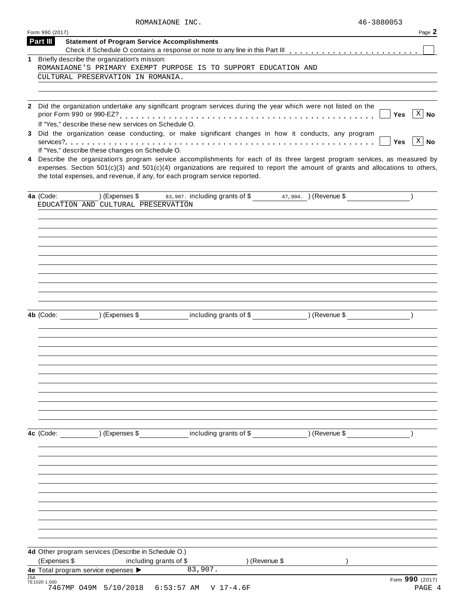|                                   |                                                      | ROMANIAONE INC.                                                                                                                                                                                                                                                                                                                             | 46-3880053    |                      |
|-----------------------------------|------------------------------------------------------|---------------------------------------------------------------------------------------------------------------------------------------------------------------------------------------------------------------------------------------------------------------------------------------------------------------------------------------------|---------------|----------------------|
| Form 990 (2017)                   |                                                      |                                                                                                                                                                                                                                                                                                                                             |               | Page 2               |
| Part III                          | <b>Statement of Program Service Accomplishments</b>  |                                                                                                                                                                                                                                                                                                                                             |               |                      |
|                                   | 1 Briefly describe the organization's mission:       |                                                                                                                                                                                                                                                                                                                                             |               |                      |
|                                   |                                                      | ROMANIAONE'S PRIMARY EXEMPT PURPOSE IS TO SUPPORT EDUCATION AND                                                                                                                                                                                                                                                                             |               |                      |
|                                   | CULTURAL PRESERVATION IN ROMANIA.                    |                                                                                                                                                                                                                                                                                                                                             |               |                      |
|                                   |                                                      | 2 Did the organization undertake any significant program services during the year which were not listed on the                                                                                                                                                                                                                              |               |                      |
|                                   | If "Yes," describe these new services on Schedule O. |                                                                                                                                                                                                                                                                                                                                             |               | $\sqrt{X}$ No<br>Yes |
|                                   |                                                      | 3 Did the organization cease conducting, or make significant changes in how it conducts, any program                                                                                                                                                                                                                                        |               | Yes $ X $ No         |
|                                   | If "Yes," describe these changes on Schedule O.      | Describe the organization's program service accomplishments for each of its three largest program services, as measured by<br>expenses. Section 501(c)(3) and 501(c)(4) organizations are required to report the amount of grants and allocations to others,<br>the total expenses, and revenue, if any, for each program service reported. |               |                      |
|                                   |                                                      |                                                                                                                                                                                                                                                                                                                                             |               |                      |
|                                   | EDUCATION AND CULTURAL PRESERVATION                  |                                                                                                                                                                                                                                                                                                                                             |               |                      |
|                                   |                                                      |                                                                                                                                                                                                                                                                                                                                             |               |                      |
|                                   |                                                      |                                                                                                                                                                                                                                                                                                                                             |               |                      |
|                                   |                                                      |                                                                                                                                                                                                                                                                                                                                             |               |                      |
|                                   |                                                      |                                                                                                                                                                                                                                                                                                                                             |               |                      |
|                                   |                                                      |                                                                                                                                                                                                                                                                                                                                             |               |                      |
|                                   |                                                      | 4b (Code: ____________) (Expenses \$______________including grants of \$______________) (Revenue \$_________________)                                                                                                                                                                                                                       |               |                      |
|                                   |                                                      |                                                                                                                                                                                                                                                                                                                                             |               |                      |
|                                   |                                                      |                                                                                                                                                                                                                                                                                                                                             |               |                      |
|                                   |                                                      |                                                                                                                                                                                                                                                                                                                                             |               |                      |
|                                   |                                                      |                                                                                                                                                                                                                                                                                                                                             |               |                      |
|                                   |                                                      |                                                                                                                                                                                                                                                                                                                                             |               |                      |
| 4c (Code:                         | ) (Expenses \$                                       | including grants of \$                                                                                                                                                                                                                                                                                                                      | ) (Revenue \$ |                      |
|                                   |                                                      |                                                                                                                                                                                                                                                                                                                                             |               |                      |
|                                   |                                                      |                                                                                                                                                                                                                                                                                                                                             |               |                      |
|                                   |                                                      |                                                                                                                                                                                                                                                                                                                                             |               |                      |
|                                   |                                                      |                                                                                                                                                                                                                                                                                                                                             |               |                      |
|                                   |                                                      |                                                                                                                                                                                                                                                                                                                                             |               |                      |
|                                   | 4d Other program services (Describe in Schedule O.)  |                                                                                                                                                                                                                                                                                                                                             |               |                      |
| (Expenses \$                      | including grants of \$                               | ) (Revenue \$<br>83,907.                                                                                                                                                                                                                                                                                                                    |               |                      |
| 4e Total program service expenses |                                                      |                                                                                                                                                                                                                                                                                                                                             |               |                      |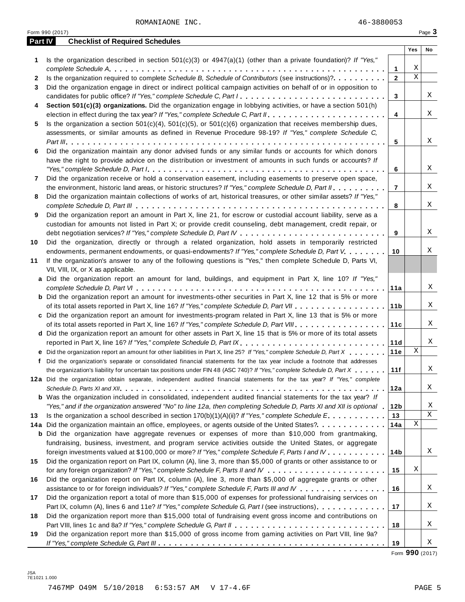|         | Form 990 (2017)                                                                                                                                                                                                                                                                                                                                                                               |                     |             | Page 3 |
|---------|-----------------------------------------------------------------------------------------------------------------------------------------------------------------------------------------------------------------------------------------------------------------------------------------------------------------------------------------------------------------------------------------------|---------------------|-------------|--------|
| Part IV | <b>Checklist of Required Schedules</b>                                                                                                                                                                                                                                                                                                                                                        |                     |             |        |
|         |                                                                                                                                                                                                                                                                                                                                                                                               |                     | Yes         | No     |
| 1.      | Is the organization described in section $501(c)(3)$ or $4947(a)(1)$ (other than a private foundation)? If "Yes,"                                                                                                                                                                                                                                                                             |                     | Χ           |        |
|         | Is the organization required to complete Schedule B, Schedule of Contributors (see instructions)?.                                                                                                                                                                                                                                                                                            | 1<br>$\overline{2}$ | $\mathbf X$ |        |
| 2<br>3  | Did the organization engage in direct or indirect political campaign activities on behalf of or in opposition to                                                                                                                                                                                                                                                                              |                     |             |        |
|         | candidates for public office? If "Yes," complete Schedule C, Part I.                                                                                                                                                                                                                                                                                                                          | 3                   |             | Χ      |
| 4       | Section 501(c)(3) organizations. Did the organization engage in lobbying activities, or have a section 501(h)                                                                                                                                                                                                                                                                                 |                     |             |        |
|         |                                                                                                                                                                                                                                                                                                                                                                                               | $\overline{4}$      |             | Χ      |
| 5       | Is the organization a section $501(c)(4)$ , $501(c)(5)$ , or $501(c)(6)$ organization that receives membership dues,                                                                                                                                                                                                                                                                          |                     |             |        |
|         | assessments, or similar amounts as defined in Revenue Procedure 98-19? If "Yes," complete Schedule C,                                                                                                                                                                                                                                                                                         |                     |             |        |
|         |                                                                                                                                                                                                                                                                                                                                                                                               | 5                   |             | Χ      |
| 6       | Did the organization maintain any donor advised funds or any similar funds or accounts for which donors                                                                                                                                                                                                                                                                                       |                     |             |        |
|         | have the right to provide advice on the distribution or investment of amounts in such funds or accounts? If                                                                                                                                                                                                                                                                                   |                     |             |        |
|         | "Yes," complete Schedule D, Part $l_1, \ldots, l_k, \ldots, l_k, \ldots, l_k, \ldots, l_k, \ldots, l_k, \ldots, l_k, \ldots, l_k, \ldots, l_k, \ldots, l_k, \ldots, l_k, \ldots, l_k, \ldots, l_k, \ldots, l_k, \ldots, l_k, \ldots, l_k, \ldots, l_k, \ldots, l_k, \ldots, l_k, \ldots, l_k, \ldots, l_k, \ldots, l_k, \ldots, l_k, \ldots, l_k, \ldots, l_k, \ldots, l_k, \ldots, l_k, \ld$ | 6                   |             | Χ      |
| 7       | Did the organization receive or hold a conservation easement, including easements to preserve open space,                                                                                                                                                                                                                                                                                     |                     |             |        |
|         | the environment, historic land areas, or historic structures? If "Yes," complete Schedule D, Part II.                                                                                                                                                                                                                                                                                         | $\overline{7}$      |             | Χ      |
| 8       | Did the organization maintain collections of works of art, historical treasures, or other similar assets? If "Yes,"                                                                                                                                                                                                                                                                           |                     |             |        |
|         |                                                                                                                                                                                                                                                                                                                                                                                               | 8                   |             | Χ      |
| 9       | Did the organization report an amount in Part X, line 21, for escrow or custodial account liability, serve as a                                                                                                                                                                                                                                                                               |                     |             |        |
|         | custodian for amounts not listed in Part X; or provide credit counseling, debt management, credit repair, or                                                                                                                                                                                                                                                                                  |                     |             |        |
|         |                                                                                                                                                                                                                                                                                                                                                                                               | 9                   |             | Χ      |
| 10      | Did the organization, directly or through a related organization, hold assets in temporarily restricted                                                                                                                                                                                                                                                                                       |                     |             |        |
|         | endowments, permanent endowments, or quasi-endowments? If "Yes," complete Schedule D, Part V.                                                                                                                                                                                                                                                                                                 | 10                  |             | X      |
| 11      | If the organization's answer to any of the following questions is "Yes," then complete Schedule D, Parts VI,                                                                                                                                                                                                                                                                                  |                     |             |        |
|         | VII, VIII, IX, or X as applicable.                                                                                                                                                                                                                                                                                                                                                            |                     |             |        |
|         | a Did the organization report an amount for land, buildings, and equipment in Part X, line 10? If "Yes,"                                                                                                                                                                                                                                                                                      |                     |             |        |
|         |                                                                                                                                                                                                                                                                                                                                                                                               | 11a                 |             | Χ      |
|         | <b>b</b> Did the organization report an amount for investments-other securities in Part X, line 12 that is 5% or more                                                                                                                                                                                                                                                                         |                     |             |        |
|         |                                                                                                                                                                                                                                                                                                                                                                                               | 11 <sub>b</sub>     |             | Χ      |
|         | c Did the organization report an amount for investments-program related in Part X, line 13 that is 5% or more                                                                                                                                                                                                                                                                                 |                     |             |        |
|         |                                                                                                                                                                                                                                                                                                                                                                                               | 11c                 |             | Χ      |
|         | d Did the organization report an amount for other assets in Part X, line 15 that is 5% or more of its total assets                                                                                                                                                                                                                                                                            |                     |             |        |
|         | reported in Part X, line 16? If "Yes," complete Schedule D, Part IX.                                                                                                                                                                                                                                                                                                                          | 11d                 |             | Χ      |
|         | e Did the organization report an amount for other liabilities in Part X, line 25? If "Yes," complete Schedule D, Part X                                                                                                                                                                                                                                                                       | 11e                 | $\mathbf X$ |        |
|         | f Did the organization's separate or consolidated financial statements for the tax year include a footnote that addresses                                                                                                                                                                                                                                                                     |                     |             |        |
|         | the organization's liability for uncertain tax positions under FIN 48 (ASC 740)? If "Yes," complete Schedule D, Part X                                                                                                                                                                                                                                                                        | 11f                 |             | Χ      |
|         | 12a Did the organization obtain separate, independent audited financial statements for the tax year? If "Yes," complete                                                                                                                                                                                                                                                                       |                     |             |        |
|         |                                                                                                                                                                                                                                                                                                                                                                                               | 12a                 |             | Χ      |
|         | <b>b</b> Was the organization included in consolidated, independent audited financial statements for the tax year? If                                                                                                                                                                                                                                                                         |                     |             |        |
|         | "Yes," and if the organization answered "No" to line 12a, then completing Schedule D, Parts XI and XII is optional .                                                                                                                                                                                                                                                                          | 12b                 |             | Χ      |
| 13      | Is the organization a school described in section 170(b)(1)(A)(ii)? If "Yes," complete Schedule E.                                                                                                                                                                                                                                                                                            | 13                  |             | Χ      |
|         | 14a Did the organization maintain an office, employees, or agents outside of the United States?.                                                                                                                                                                                                                                                                                              | 14a                 | Χ           |        |
|         | <b>b</b> Did the organization have aggregate revenues or expenses of more than \$10,000 from grantmaking,                                                                                                                                                                                                                                                                                     |                     |             |        |
|         | fundraising, business, investment, and program service activities outside the United States, or aggregate                                                                                                                                                                                                                                                                                     |                     |             |        |
|         | foreign investments valued at \$100,000 or more? If "Yes," complete Schedule F, Parts I and IV                                                                                                                                                                                                                                                                                                | 14 <sub>b</sub>     |             | Χ      |
| 15      | Did the organization report on Part IX, column (A), line 3, more than \$5,000 of grants or other assistance to or                                                                                                                                                                                                                                                                             |                     |             |        |
|         |                                                                                                                                                                                                                                                                                                                                                                                               | 15                  | Χ           |        |
| 16      | Did the organization report on Part IX, column (A), line 3, more than \$5,000 of aggregate grants or other                                                                                                                                                                                                                                                                                    |                     |             |        |
|         | assistance to or for foreign individuals? If "Yes," complete Schedule F, Parts III and IV                                                                                                                                                                                                                                                                                                     | 16                  |             | Χ      |
| 17      | Did the organization report a total of more than \$15,000 of expenses for professional fundraising services on                                                                                                                                                                                                                                                                                |                     |             |        |
|         | Part IX, column (A), lines 6 and 11e? If "Yes," complete Schedule G, Part I (see instructions)                                                                                                                                                                                                                                                                                                | 17                  |             | Χ      |
| 18      | Did the organization report more than \$15,000 total of fundraising event gross income and contributions on                                                                                                                                                                                                                                                                                   |                     |             |        |
|         |                                                                                                                                                                                                                                                                                                                                                                                               | 18                  |             | Χ      |
| 19      | Did the organization report more than \$15,000 of gross income from gaming activities on Part VIII, line 9a?                                                                                                                                                                                                                                                                                  |                     |             |        |
|         |                                                                                                                                                                                                                                                                                                                                                                                               | 19                  |             | Χ      |

Form **990** (2017)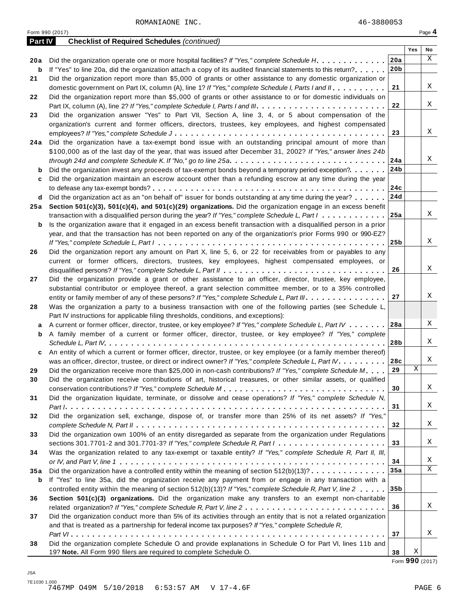| <b>Part IV</b> | <b>Checklist of Required Schedules (continued)</b>                                                                                                                                                                |                 |     |             |
|----------------|-------------------------------------------------------------------------------------------------------------------------------------------------------------------------------------------------------------------|-----------------|-----|-------------|
|                |                                                                                                                                                                                                                   |                 | Yes | No          |
| 20 a           | Did the organization operate one or more hospital facilities? If "Yes," complete Schedule H.                                                                                                                      | 20a             |     | X           |
| b              | If "Yes" to line 20a, did the organization attach a copy of its audited financial statements to this return?                                                                                                      | 20 <sub>b</sub> |     |             |
| 21             | Did the organization report more than \$5,000 of grants or other assistance to any domestic organization or                                                                                                       |                 |     |             |
|                | domestic government on Part IX, column (A), line 1? If "Yes," complete Schedule I, Parts I and II.                                                                                                                | 21              |     | Χ           |
| 22             | Did the organization report more than \$5,000 of grants or other assistance to or for domestic individuals on                                                                                                     |                 |     |             |
|                |                                                                                                                                                                                                                   | 22              |     | X           |
| 23             | Did the organization answer "Yes" to Part VII, Section A, line 3, 4, or 5 about compensation of the                                                                                                               |                 |     |             |
|                | organization's current and former officers, directors, trustees, key employees, and highest compensated                                                                                                           |                 |     |             |
|                |                                                                                                                                                                                                                   | 23              |     | Χ           |
| 24 a           | Did the organization have a tax-exempt bond issue with an outstanding principal amount of more than                                                                                                               |                 |     |             |
|                | \$100,000 as of the last day of the year, that was issued after December 31, 2002? If "Yes," answer lines 24b                                                                                                     |                 |     |             |
|                | through 24d and complete Schedule K. If "No," go to line 25a                                                                                                                                                      | 24a             |     | Χ           |
| b              | Did the organization invest any proceeds of tax-exempt bonds beyond a temporary period exception?                                                                                                                 | 24b             |     |             |
| c              | Did the organization maintain an escrow account other than a refunding escrow at any time during the year                                                                                                         |                 |     |             |
|                |                                                                                                                                                                                                                   | 24c             |     |             |
| d              | Did the organization act as an "on behalf of" issuer for bonds outstanding at any time during the year?                                                                                                           | 24d             |     |             |
| 25 a           | Section 501(c)(3), 501(c)(4), and 501(c)(29) organizations. Did the organization engage in an excess benefit                                                                                                      |                 |     |             |
|                | transaction with a disqualified person during the year? If "Yes," complete Schedule L, Part $l_1, \ldots, l_l, \ldots, l_l$                                                                                       | 25a             |     | Χ           |
| b              | Is the organization aware that it engaged in an excess benefit transaction with a disqualified person in a prior                                                                                                  |                 |     |             |
|                | year, and that the transaction has not been reported on any of the organization's prior Forms 990 or 990-EZ?                                                                                                      |                 |     |             |
|                |                                                                                                                                                                                                                   | 25 <sub>b</sub> |     | Χ           |
| 26             | Did the organization report any amount on Part X, line 5, 6, or 22 for receivables from or payables to any                                                                                                        |                 |     |             |
|                | current or former officers, directors, trustees, key employees, highest compensated employees, or                                                                                                                 |                 |     | X           |
|                |                                                                                                                                                                                                                   | 26              |     |             |
| 27             | Did the organization provide a grant or other assistance to an officer, director, trustee, key employee,                                                                                                          |                 |     |             |
|                | substantial contributor or employee thereof, a grant selection committee member, or to a 35% controlled                                                                                                           |                 |     | Χ           |
|                | entity or family member of any of these persons? If "Yes," complete Schedule L, Part III.                                                                                                                         | 27              |     |             |
| 28             | Was the organization a party to a business transaction with one of the following parties (see Schedule L,                                                                                                         |                 |     |             |
|                | Part IV instructions for applicable filing thresholds, conditions, and exceptions):                                                                                                                               | 28a             |     | Χ           |
| a              | A current or former officer, director, trustee, or key employee? If "Yes," complete Schedule L, Part IV<br>A family member of a current or former officer, director, trustee, or key employee? If "Yes," complete |                 |     |             |
| b              |                                                                                                                                                                                                                   | 28b             |     | Χ           |
| c              | An entity of which a current or former officer, director, trustee, or key employee (or a family member thereof)                                                                                                   |                 |     |             |
|                | was an officer, director, trustee, or direct or indirect owner? If "Yes," complete Schedule L, Part IV.                                                                                                           | 28c             |     | Χ           |
| 29             | Did the organization receive more than \$25,000 in non-cash contributions? If "Yes," complete Schedule M.                                                                                                         | 29              | Χ   |             |
| 30             | Did the organization receive contributions of art, historical treasures, or other similar assets, or qualified                                                                                                    |                 |     |             |
|                |                                                                                                                                                                                                                   | 30              |     | X           |
| 31             | Did the organization liquidate, terminate, or dissolve and cease operations? If "Yes," complete Schedule N,                                                                                                       |                 |     |             |
|                |                                                                                                                                                                                                                   | 31              |     | Χ           |
| 32             | Did the organization sell, exchange, dispose of, or transfer more than 25% of its net assets? If "Yes,"                                                                                                           |                 |     |             |
|                |                                                                                                                                                                                                                   | 32              |     | Χ           |
| 33             | Did the organization own 100% of an entity disregarded as separate from the organization under Regulations                                                                                                        |                 |     |             |
|                | sections 301.7701-2 and 301.7701-3? If "Yes," complete Schedule R, Part $1, \ldots, \ldots, \ldots, \ldots, \ldots, \ldots$                                                                                       | 33              |     | Χ           |
| 34             | Was the organization related to any tax-exempt or taxable entity? If "Yes," complete Schedule R, Part II, III,                                                                                                    |                 |     |             |
|                |                                                                                                                                                                                                                   | 34              |     | Χ           |
| 35a            | Did the organization have a controlled entity within the meaning of section $512(b)(13)? \ldots \ldots \ldots \ldots$                                                                                             | 35a             |     | $\mathbf X$ |
| b              | If "Yes" to line 35a, did the organization receive any payment from or engage in any transaction with a                                                                                                           |                 |     |             |
|                | controlled entity within the meaning of section 512(b)(13)? If "Yes," complete Schedule R, Part V, line 2                                                                                                         | 35 <sub>b</sub> |     |             |
| 36             | Section 501(c)(3) organizations. Did the organization make any transfers to an exempt non-charitable                                                                                                              |                 |     |             |
|                |                                                                                                                                                                                                                   | 36              |     | Χ           |
| 37             | Did the organization conduct more than 5% of its activities through an entity that is not a related organization                                                                                                  |                 |     |             |
|                | and that is treated as a partnership for federal income tax purposes? If "Yes," complete Schedule R,                                                                                                              |                 |     |             |
|                |                                                                                                                                                                                                                   | 37              |     | Χ           |
| 38             | Did the organization complete Schedule O and provide explanations in Schedule O for Part VI, lines 11b and                                                                                                        |                 |     |             |
|                | 19? Note. All Form 990 filers are required to complete Schedule O.                                                                                                                                                | 38              | Χ   |             |

Form **990** (2017)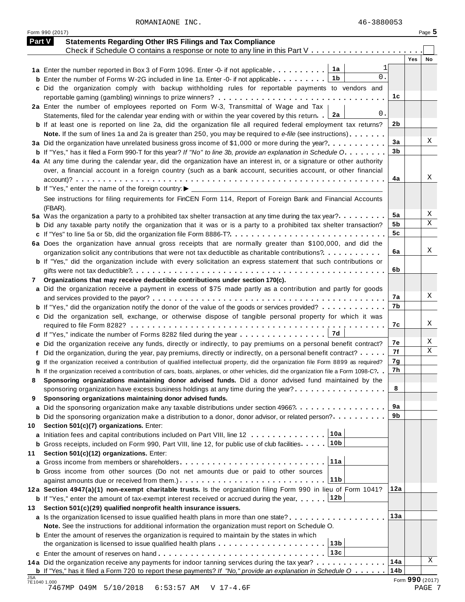| Part V     | <b>Statements Regarding Other IRS Filings and Tax Compliance</b>                                                                                                                         |                 |                 |
|------------|------------------------------------------------------------------------------------------------------------------------------------------------------------------------------------------|-----------------|-----------------|
|            | Check if Schedule O contains a response or note to any line in this Part $V_1, \ldots, V_k, \ldots, V_k, \ldots$                                                                         |                 | Yes<br>No       |
|            | 1a<br>1a Enter the number reported in Box 3 of Form 1096. Enter -0- if not applicable                                                                                                    |                 |                 |
|            | 0.<br>1 <sub>b</sub><br><b>b</b> Enter the number of Forms W-2G included in line 1a. Enter -0- if not applicable                                                                         |                 |                 |
|            | c Did the organization comply with backup withholding rules for reportable payments to vendors and                                                                                       |                 |                 |
|            |                                                                                                                                                                                          | 1c              |                 |
|            | 2a Enter the number of employees reported on Form W-3, Transmittal of Wage and Tax                                                                                                       |                 |                 |
|            | 0.<br>2a<br>Statements, filed for the calendar year ending with or within the year covered by this return.                                                                               |                 |                 |
|            | <b>b</b> If at least one is reported on line 2a, did the organization file all required federal employment tax returns?                                                                  | 2 <sub>b</sub>  |                 |
|            | Note. If the sum of lines 1a and 2a is greater than 250, you may be required to e-file (see instructions)                                                                                |                 |                 |
|            |                                                                                                                                                                                          | 3a              | Χ               |
|            | <b>b</b> If "Yes," has it filed a Form 990-T for this year? If "No" to line 3b, provide an explanation in Schedule O                                                                     | 3 <sub>b</sub>  |                 |
|            | 4a At any time during the calendar year, did the organization have an interest in, or a signature or other authority                                                                     |                 |                 |
|            | over, a financial account in a foreign country (such as a bank account, securities account, or other financial                                                                           |                 |                 |
|            |                                                                                                                                                                                          | 4a              | Χ               |
|            | <b>b</b> If "Yes," enter the name of the foreign country: $\blacktriangleright$ ____________________                                                                                     |                 |                 |
|            | See instructions for filing requirements for FinCEN Form 114, Report of Foreign Bank and Financial Accounts                                                                              |                 |                 |
|            | (FBAR).                                                                                                                                                                                  |                 |                 |
|            | 5a Was the organization a party to a prohibited tax shelter transaction at any time during the tax year?                                                                                 | 5a              | Х               |
|            | <b>b</b> Did any taxable party notify the organization that it was or is a party to a prohibited tax shelter transaction?                                                                | 5b              | Χ               |
|            |                                                                                                                                                                                          | 5c              |                 |
|            | 6a Does the organization have annual gross receipts that are normally greater than \$100,000, and did the                                                                                |                 |                 |
|            | organization solicit any contributions that were not tax deductible as charitable contributions?                                                                                         | 6a              | X               |
|            | <b>b</b> If "Yes," did the organization include with every solicitation an express statement that such contributions or                                                                  |                 |                 |
|            |                                                                                                                                                                                          | 6b              |                 |
| 7          | Organizations that may receive deductible contributions under section 170(c).                                                                                                            |                 |                 |
|            | a Did the organization receive a payment in excess of \$75 made partly as a contribution and partly for goods                                                                            |                 |                 |
|            |                                                                                                                                                                                          | 7a              | X               |
|            | <b>b</b> If "Yes," did the organization notify the donor of the value of the goods or services provided?                                                                                 | 7b              |                 |
|            | c Did the organization sell, exchange, or otherwise dispose of tangible personal property for which it was                                                                               |                 |                 |
|            |                                                                                                                                                                                          | 7c              | X               |
|            |                                                                                                                                                                                          |                 |                 |
|            | e Did the organization receive any funds, directly or indirectly, to pay premiums on a personal benefit contract?                                                                        | 7e              | X               |
|            | f Did the organization, during the year, pay premiums, directly or indirectly, on a personal benefit contract?                                                                           | 7f              | Χ               |
|            | g If the organization received a contribution of qualified intellectual property, did the organization file Form 8899 as required?                                                       | 7g              |                 |
|            | h If the organization received a contribution of cars, boats, airplanes, or other vehicles, did the organization file a Form 1098-C?. .                                                  | 7h              |                 |
|            | Sponsoring organizations maintaining donor advised funds. Did a donor advised fund maintained by the                                                                                     |                 |                 |
|            | sponsoring organization have excess business holdings at any time during the year?                                                                                                       | 8               |                 |
| 9          | Sponsoring organizations maintaining donor advised funds.                                                                                                                                |                 |                 |
|            | a Did the sponsoring organization make any taxable distributions under section 4966?.                                                                                                    | 9а              |                 |
|            | <b>b</b> Did the sponsoring organization make a distribution to a donor, donor advisor, or related person?                                                                               | 9b              |                 |
| 10         | Section 501(c)(7) organizations. Enter:                                                                                                                                                  |                 |                 |
|            | 10a<br>a Initiation fees and capital contributions included on Part VIII, line 12                                                                                                        |                 |                 |
|            | 10 <sub>b</sub><br><b>b</b> Gross receipts, included on Form 990, Part VIII, line 12, for public use of club facilities.                                                                 |                 |                 |
| 11         | Section 501(c)(12) organizations. Enter:                                                                                                                                                 |                 |                 |
|            | 11a                                                                                                                                                                                      |                 |                 |
|            | b Gross income from other sources (Do not net amounts due or paid to other sources                                                                                                       |                 |                 |
|            | 11b                                                                                                                                                                                      |                 |                 |
|            | 12a Section 4947(a)(1) non-exempt charitable trusts. Is the organization filing Form 990 in lieu of Form 1041?                                                                           | 12a             |                 |
|            | 12b<br><b>b</b> If "Yes," enter the amount of tax-exempt interest received or accrued during the year                                                                                    |                 |                 |
| 13         | Section 501(c)(29) qualified nonprofit health insurance issuers.                                                                                                                         |                 |                 |
|            | a Is the organization licensed to issue qualified health plans in more than one state?                                                                                                   | 13a             |                 |
|            | Note. See the instructions for additional information the organization must report on Schedule O.                                                                                        |                 |                 |
|            |                                                                                                                                                                                          |                 |                 |
|            | <b>b</b> Enter the amount of reserves the organization is required to maintain by the states in which<br>13 <sub>b</sub><br>the organization is licensed to issue qualified health plans |                 |                 |
|            | 13c                                                                                                                                                                                      |                 |                 |
|            | 14a Did the organization receive any payments for indoor tanning services during the tax year?                                                                                           | 14a             | Χ               |
|            | <b>b</b> If "Yes," has it filed a Form 720 to report these payments? If "No," provide an explanation in Schedule $0 \ldots \ldots$                                                       | 14 <sub>b</sub> |                 |
| <b>JSA</b> | 7E1040 1.000                                                                                                                                                                             |                 | Form 990 (2017) |

Form <sup>990</sup> (2017) Page **5**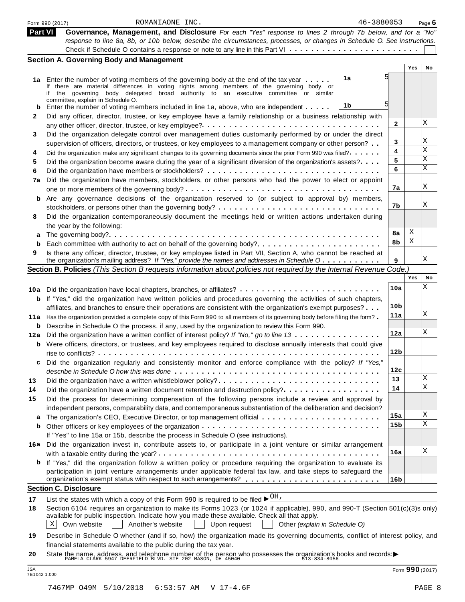|                | 46-3880053<br>ROMANIAONE INC.<br>Form 990 (2017)                                                                                                                                                                                 |                 |            | Page $6$    |
|----------------|----------------------------------------------------------------------------------------------------------------------------------------------------------------------------------------------------------------------------------|-----------------|------------|-------------|
| <b>Part VI</b> | Governance, Management, and Disclosure For each "Yes" response to lines 2 through 7b below, and for a "No"                                                                                                                       |                 |            |             |
|                | response to line 8a, 8b, or 10b below, describe the circumstances, processes, or changes in Schedule O. See instructions.                                                                                                        |                 |            |             |
|                |                                                                                                                                                                                                                                  |                 |            |             |
|                | <b>Section A. Governing Body and Management</b>                                                                                                                                                                                  |                 |            |             |
|                |                                                                                                                                                                                                                                  |                 | <b>Yes</b> | No          |
|                | 1a<br>1a Enter the number of voting members of the governing body at the end of the tax year                                                                                                                                     |                 |            |             |
|                | If there are material differences in voting rights among members of the governing body, or                                                                                                                                       |                 |            |             |
|                | if the governing body delegated broad authority to an executive committee or similar<br>committee, explain in Schedule O.                                                                                                        |                 |            |             |
| b              | 1b<br>Enter the number of voting members included in line 1a, above, who are independent                                                                                                                                         |                 |            |             |
| $\mathbf{2}$   | Did any officer, director, trustee, or key employee have a family relationship or a business relationship with                                                                                                                   |                 |            |             |
|                |                                                                                                                                                                                                                                  | $\mathbf{2}$    |            | Χ           |
| 3              | Did the organization delegate control over management duties customarily performed by or under the direct                                                                                                                        |                 |            |             |
|                | supervision of officers, directors, or trustees, or key employees to a management company or other person?                                                                                                                       | 3               |            | Χ           |
| 4              | Did the organization make any significant changes to its governing documents since the prior Form 990 was filed?                                                                                                                 | 4               |            | $\mathbf X$ |
| 5              | Did the organization become aware during the year of a significant diversion of the organization's assets?                                                                                                                       | 5               |            | X           |
| 6              |                                                                                                                                                                                                                                  | 6               |            | $\mathbf X$ |
| 7a             | Did the organization have members, stockholders, or other persons who had the power to elect or appoint                                                                                                                          |                 |            |             |
|                |                                                                                                                                                                                                                                  | 7a              |            | Χ           |
| b              | Are any governance decisions of the organization reserved to (or subject to approval by) members,                                                                                                                                |                 |            |             |
|                |                                                                                                                                                                                                                                  | 7b              |            | Χ           |
| 8              | Did the organization contemporaneously document the meetings held or written actions undertaken during                                                                                                                           |                 |            |             |
|                | the year by the following:                                                                                                                                                                                                       |                 | X          |             |
| a              |                                                                                                                                                                                                                                  | 8a              | X          |             |
| b              | Each committee with authority to act on behalf of the governing body?                                                                                                                                                            | 8b              |            |             |
| 9              | Is there any officer, director, trustee, or key employee listed in Part VII, Section A, who cannot be reached at                                                                                                                 | 9               |            | Χ           |
|                | the organization's mailing address? If "Yes," provide the names and addresses in Schedule O<br>Section B. Policies (This Section B requests information about policies not required by the Internal Revenue Code.)               |                 |            |             |
|                |                                                                                                                                                                                                                                  |                 | <b>Yes</b> | No          |
|                |                                                                                                                                                                                                                                  | 10a             |            | Χ           |
|                | 10a Did the organization have local chapters, branches, or affiliates?                                                                                                                                                           |                 |            |             |
| b              | If "Yes," did the organization have written policies and procedures governing the activities of such chapters,                                                                                                                   | 10 <sub>b</sub> |            |             |
|                | affiliates, and branches to ensure their operations are consistent with the organization's exempt purposes?                                                                                                                      | 11a             |            | X           |
| $\mathbf b$    | 11a Has the organization provided a complete copy of this Form 990 to all members of its governing body before filing the form?<br>Describe in Schedule O the process, if any, used by the organization to review this Form 990. |                 |            |             |
|                | 12a Did the organization have a written conflict of interest policy? If "No," go to line 13                                                                                                                                      | 12a             |            | Χ           |
| b              | Were officers, directors, or trustees, and key employees required to disclose annually interests that could give                                                                                                                 |                 |            |             |
|                |                                                                                                                                                                                                                                  | 12b             |            |             |
| c              | Did the organization regularly and consistently monitor and enforce compliance with the policy? If "Yes,"                                                                                                                        |                 |            |             |
|                |                                                                                                                                                                                                                                  | 12c             |            |             |
| 13             |                                                                                                                                                                                                                                  | 13              |            | Χ           |
| 14             | Did the organization have a written document retention and destruction policy?                                                                                                                                                   | 14              |            | X           |
| 15             | Did the process for determining compensation of the following persons include a review and approval by                                                                                                                           |                 |            |             |
|                | independent persons, comparability data, and contemporaneous substantiation of the deliberation and decision?                                                                                                                    |                 |            |             |
| a              |                                                                                                                                                                                                                                  | 15a             |            | Χ           |
| b              |                                                                                                                                                                                                                                  | 15 <sub>b</sub> |            | X           |
|                | If "Yes" to line 15a or 15b, describe the process in Schedule O (see instructions).                                                                                                                                              |                 |            |             |
|                | 16a Did the organization invest in, contribute assets to, or participate in a joint venture or similar arrangement                                                                                                               |                 |            |             |
|                |                                                                                                                                                                                                                                  | 16a             |            | Χ           |
| $\mathbf b$    | If "Yes," did the organization follow a written policy or procedure requiring the organization to evaluate its                                                                                                                   |                 |            |             |
|                | participation in joint venture arrangements under applicable federal tax law, and take steps to safeguard the                                                                                                                    |                 |            |             |
|                |                                                                                                                                                                                                                                  | 16b             |            |             |
|                | <b>Section C. Disclosure</b>                                                                                                                                                                                                     |                 |            |             |
| 17             | List the states with which a copy of this Form 990 is required to be filed $\blacktriangleright \frac{\text{OH}}{\text{OH}}$                                                                                                     |                 |            |             |
| 18             | Section 6104 requires an organization to make its Forms 1023 (or 1024 if applicable), 990, and 990-T (Section 501(c)(3)s only)                                                                                                   |                 |            |             |
|                | available for public inspection. Indicate how you made these available. Check all that apply.                                                                                                                                    |                 |            |             |
|                | X<br>Own website<br>Another's website<br>Upon request<br>Other (explain in Schedule O)                                                                                                                                           |                 |            |             |
| 19             | Describe in Schedule O whether (and if so, how) the organization made its governing documents, conflict of interest policy, and                                                                                                  |                 |            |             |
|                | financial statements available to the public during the tax year.                                                                                                                                                                |                 |            |             |
| 20             | State the name, address, and telephone number of the person who possesses the organization's books and records:<br>PAMELA CLARK 5947 DEERFIELD BLVD. STE 202 MASON, OH 45040                                                     |                 |            |             |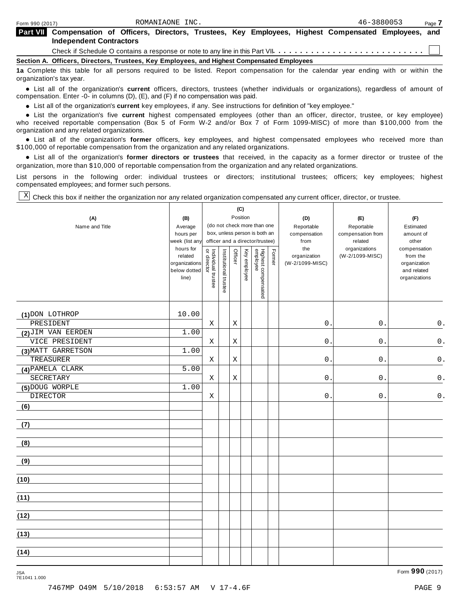| Part VII Compensation of Officers, Directors, Trustees, Key Employees, Highest Compensated Employees, and |  |  |  |  |  |
|-----------------------------------------------------------------------------------------------------------|--|--|--|--|--|
| <b>Independent Contractors</b>                                                                            |  |  |  |  |  |

Check if Schedule <sup>O</sup> contains <sup>a</sup> response or note to any line in this Part VIIm m m m m m m m m m m m m m m m m m m m m m m m m m m m

**Section A. Officers, Directors, Trustees, Key Employees, and Highest Compensated Employees**

**1a** Complete this table for all persons required to be listed. Report compensation for the calendar year ending with or within the organization's tax year.

anization's lax year.<br>● List all of the organization's **current** officers, directors, trustees (whether individuals or organizations), regardless of amount of<br>nnensation Enter -0- in columns (D) (E) and (E) if no compensa compensation. Enter -0- in columns (D), (E), and (F) if no compensation was paid.

• List all of the organization's **current** key employees, if any. See instructions for definition of "key employee."<br>● List the experientials five expect highest expressed explores (other than an efficer director of

**Example in the organization's current** key employees, if any. See instructions for definition of key employee.<br>• List the organization's five **current** highest compensated employees (other than an officer, director, trust who received reportable compensation (Box 5 of Form W-2 and/or Box 7 of Form 1099-MISC) of more than \$100,000 from the

organization and any related organizations.<br>• List all of the organization's **former** officers, key employees, and highest compensated employees who received more than<br>\$1.00.000 of reportable componention from the erganiza \$100,000 of reportable compensation from the organization and any related organizations.

% List all of the organization's **former directors or trustees** that received, in the capacity as a former director or trustee of the organization, more than \$10,000 of reportable compensation from the organization and any related organizations.

List persons in the following order: individual trustees or directors; institutional trustees; officers; key employees; highest compensated employees; and former such persons.

Check this box if neither the organization nor any related organization compensated any current officer, director, or trustee. X

|                    |                          | (C)                                     |                                 |             |              |                                 |                            |                                 |                        |                          |
|--------------------|--------------------------|-----------------------------------------|---------------------------------|-------------|--------------|---------------------------------|----------------------------|---------------------------------|------------------------|--------------------------|
| (A)                | (B)                      | Position<br>(do not check more than one |                                 |             |              |                                 |                            | (D)                             | (E)                    | (F)                      |
| Name and Title     | Average<br>hours per     | box, unless person is both an           |                                 |             |              |                                 | Reportable<br>compensation | Reportable<br>compensation from | Estimated<br>amount of |                          |
|                    | week (list any           |                                         | officer and a director/trustee) |             |              |                                 |                            | from                            | related                | other                    |
|                    | hours for                |                                         |                                 |             |              |                                 |                            | the                             | organizations          | compensation             |
|                    | related<br>organizations | Individual trustee<br>or director       | Institutional trustee           | Officer     | Key employee |                                 | Former                     | organization<br>(W-2/1099-MISC) | (W-2/1099-MISC)        | from the<br>organization |
|                    | below dotted             |                                         |                                 |             |              |                                 |                            |                                 |                        | and related              |
|                    | line)                    |                                         |                                 |             |              |                                 |                            |                                 |                        | organizations            |
|                    |                          |                                         |                                 |             |              | Highest compensated<br>employee |                            |                                 |                        |                          |
|                    |                          |                                         |                                 |             |              |                                 |                            |                                 |                        |                          |
| (1) DON LOTHROP    | 10.00                    |                                         |                                 |             |              |                                 |                            |                                 |                        |                          |
| PRESIDENT          |                          | $\mathbf X$                             |                                 | Χ           |              |                                 |                            | $0$ .                           | 0.                     | $\mathsf 0$ .            |
| (2) JIM VAN EERDEN | 1.00                     |                                         |                                 |             |              |                                 |                            |                                 |                        |                          |
| VICE PRESIDENT     |                          | $\mathbf X$                             |                                 | Χ           |              |                                 |                            | $0$ .                           | $\mathsf 0$ .          | $\mathsf 0$ .            |
| (3) MATT GARRETSON | 1.00                     |                                         |                                 |             |              |                                 |                            |                                 |                        |                          |
| TREASURER          |                          | $\mathbf X$                             |                                 | $\mathbf X$ |              |                                 |                            | $0$ .                           | $0$ .                  | $\mathsf 0$ .            |
| (4) PAMELA CLARK   | 5.00                     |                                         |                                 |             |              |                                 |                            |                                 |                        |                          |
| SECRETARY          |                          | Χ                                       |                                 | Χ           |              |                                 |                            | $0$ .                           | $\mathsf 0$ .          | $\mathsf 0$ .            |
| (5) DOUG WORPLE    | 1.00                     |                                         |                                 |             |              |                                 |                            |                                 |                        |                          |
| <b>DIRECTOR</b>    |                          | Χ                                       |                                 |             |              |                                 |                            | 0.                              | 0.                     | $\mathsf 0$ .            |
| (6)                |                          |                                         |                                 |             |              |                                 |                            |                                 |                        |                          |
|                    |                          |                                         |                                 |             |              |                                 |                            |                                 |                        |                          |
| (7)                |                          |                                         |                                 |             |              |                                 |                            |                                 |                        |                          |
|                    |                          |                                         |                                 |             |              |                                 |                            |                                 |                        |                          |
| (8)                |                          |                                         |                                 |             |              |                                 |                            |                                 |                        |                          |
|                    |                          |                                         |                                 |             |              |                                 |                            |                                 |                        |                          |
| (9)                |                          |                                         |                                 |             |              |                                 |                            |                                 |                        |                          |
| (10)               |                          |                                         |                                 |             |              |                                 |                            |                                 |                        |                          |
|                    |                          |                                         |                                 |             |              |                                 |                            |                                 |                        |                          |
| (11)               |                          |                                         |                                 |             |              |                                 |                            |                                 |                        |                          |
|                    |                          |                                         |                                 |             |              |                                 |                            |                                 |                        |                          |
| (12)               |                          |                                         |                                 |             |              |                                 |                            |                                 |                        |                          |
|                    |                          |                                         |                                 |             |              |                                 |                            |                                 |                        |                          |
| (13)               |                          |                                         |                                 |             |              |                                 |                            |                                 |                        |                          |
|                    |                          |                                         |                                 |             |              |                                 |                            |                                 |                        |                          |
| (14)               |                          |                                         |                                 |             |              |                                 |                            |                                 |                        |                          |
|                    |                          |                                         |                                 |             |              |                                 |                            |                                 |                        |                          |

7467MP O49M 5/10/2018 6:53:57 AM V 17-4.6F PAGE 9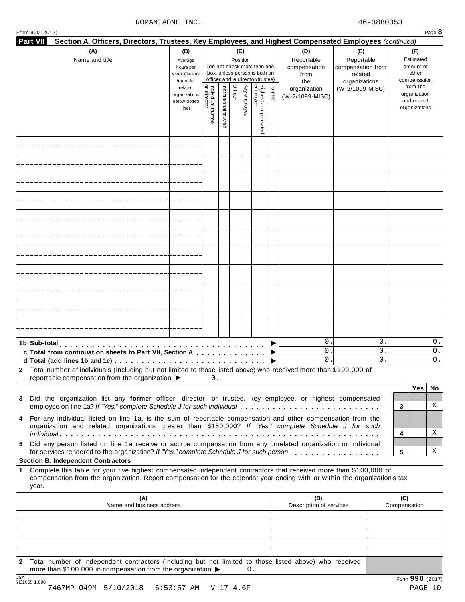| <b>Part VII</b> | Section A. Officers, Directors, Trustees, Key Employees, and Highest Compensated Employees (continued)                                                                                                                                           |                                                            |                                                                                                                    |                       |         |              |                                 |        |                                           |                                                   |                                                        |                                                          |
|-----------------|--------------------------------------------------------------------------------------------------------------------------------------------------------------------------------------------------------------------------------------------------|------------------------------------------------------------|--------------------------------------------------------------------------------------------------------------------|-----------------------|---------|--------------|---------------------------------|--------|-------------------------------------------|---------------------------------------------------|--------------------------------------------------------|----------------------------------------------------------|
|                 | (A)<br>Name and title                                                                                                                                                                                                                            | (B)<br>Average<br>hours per<br>week (list any<br>hours for | (C)<br>Position<br>(do not check more than one<br>box, unless person is both an<br>officer and a director/trustee) |                       |         |              |                                 |        | (D)<br>Reportable<br>compensation<br>from | (E)<br>Reportable<br>compensation from<br>related | (F)<br>Estimated<br>amount of<br>other<br>compensation |                                                          |
|                 |                                                                                                                                                                                                                                                  | related<br>organizations<br>below dotted<br>line)          | Individual trustee<br>or director                                                                                  | Institutional trustee | Officer | Key employee | Highest compensated<br>employee | Former | the<br>organization<br>(W-2/1099-MISC)    | organizations<br>(W-2/1099-MISC)                  |                                                        | from the<br>organization<br>and related<br>organizations |
|                 |                                                                                                                                                                                                                                                  |                                                            |                                                                                                                    |                       |         |              |                                 |        |                                           |                                                   |                                                        |                                                          |
|                 |                                                                                                                                                                                                                                                  |                                                            |                                                                                                                    |                       |         |              |                                 |        |                                           |                                                   |                                                        |                                                          |
|                 |                                                                                                                                                                                                                                                  |                                                            |                                                                                                                    |                       |         |              |                                 |        |                                           |                                                   |                                                        |                                                          |
|                 |                                                                                                                                                                                                                                                  |                                                            |                                                                                                                    |                       |         |              |                                 |        |                                           |                                                   |                                                        |                                                          |
|                 |                                                                                                                                                                                                                                                  |                                                            |                                                                                                                    |                       |         |              |                                 |        |                                           |                                                   |                                                        |                                                          |
|                 |                                                                                                                                                                                                                                                  |                                                            |                                                                                                                    |                       |         |              |                                 |        |                                           |                                                   |                                                        |                                                          |
|                 |                                                                                                                                                                                                                                                  |                                                            |                                                                                                                    |                       |         |              |                                 |        |                                           |                                                   |                                                        |                                                          |
|                 |                                                                                                                                                                                                                                                  |                                                            |                                                                                                                    |                       |         |              |                                 |        |                                           |                                                   |                                                        |                                                          |
|                 |                                                                                                                                                                                                                                                  |                                                            |                                                                                                                    |                       |         |              |                                 |        |                                           |                                                   |                                                        |                                                          |
|                 |                                                                                                                                                                                                                                                  |                                                            |                                                                                                                    |                       |         |              |                                 |        |                                           |                                                   |                                                        |                                                          |
|                 |                                                                                                                                                                                                                                                  |                                                            |                                                                                                                    |                       |         |              |                                 |        |                                           |                                                   |                                                        |                                                          |
|                 | 1b Sub-total<br>c Total from continuation sheets to Part VII, Section A<br>d Total (add lines 1b and 1c) $\ldots \ldots \ldots \ldots \ldots \ldots \ldots \ldots \ldots \ldots \ldots$                                                          |                                                            |                                                                                                                    |                       |         |              |                                 |        | $\mathsf{O}$ .<br>$0$ .<br>0.             | $0$ .<br>0.<br>0.                                 |                                                        | 0.<br>0.<br>0.                                           |
|                 | 2 Total number of individuals (including but not limited to those listed above) who received more than \$100,000 of<br>reportable compensation from the organization ▶                                                                           |                                                            | 0.                                                                                                                 |                       |         |              |                                 |        |                                           |                                                   |                                                        |                                                          |
|                 | Did the organization list any former officer, director, or trustee, key employee, or highest compensated<br>employee on line 1a? If "Yes," complete Schedule J for such individual                                                               |                                                            |                                                                                                                    |                       |         |              |                                 |        |                                           |                                                   | 3                                                      | Yes<br>No<br>Χ                                           |
| 4               | For any individual listed on line 1a, is the sum of reportable compensation and other compensation from the<br>organization and related organizations greater than \$150,000? If "Yes," complete Schedule J for such                             |                                                            |                                                                                                                    |                       |         |              |                                 |        |                                           |                                                   |                                                        |                                                          |
|                 | Did any person listed on line 1a receive or accrue compensation from any unrelated organization or individual<br>for services rendered to the organization? If "Yes," complete Schedule J for such person                                        |                                                            |                                                                                                                    |                       |         |              |                                 |        |                                           |                                                   | 4<br>5                                                 | Χ<br>Χ                                                   |
|                 | <b>Section B. Independent Contractors</b>                                                                                                                                                                                                        |                                                            |                                                                                                                    |                       |         |              |                                 |        |                                           |                                                   |                                                        |                                                          |
| 1<br>year.      | Complete this table for your five highest compensated independent contractors that received more than \$100,000 of<br>compensation from the organization. Report compensation for the calendar year ending with or within the organization's tax |                                                            |                                                                                                                    |                       |         |              |                                 |        |                                           |                                                   |                                                        |                                                          |
|                 | (A)<br>Name and business address                                                                                                                                                                                                                 |                                                            |                                                                                                                    |                       |         |              |                                 |        | (B)<br>Description of services            |                                                   | (C)<br>Compensation                                    |                                                          |
|                 |                                                                                                                                                                                                                                                  |                                                            |                                                                                                                    |                       |         |              |                                 |        |                                           |                                                   |                                                        |                                                          |
|                 |                                                                                                                                                                                                                                                  |                                                            |                                                                                                                    |                       |         |              |                                 |        |                                           |                                                   |                                                        |                                                          |
|                 |                                                                                                                                                                                                                                                  |                                                            |                                                                                                                    |                       |         |              |                                 |        |                                           |                                                   |                                                        |                                                          |

**2** Total number of independent contractors (including but not limited to those listed above) who received more than \$100,000 in compensation from the organization  $\triangleright$  0.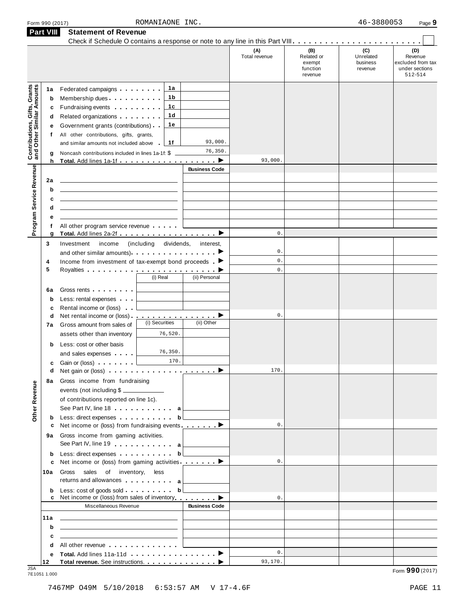|                                                                       |                                                                                                                                                                                        | (A)            | (B)                                         | (C)                              | (D)                                                       |
|-----------------------------------------------------------------------|----------------------------------------------------------------------------------------------------------------------------------------------------------------------------------------|----------------|---------------------------------------------|----------------------------------|-----------------------------------------------------------|
|                                                                       |                                                                                                                                                                                        | Total revenue  | Related or<br>exempt<br>function<br>revenue | Unrelated<br>business<br>revenue | Revenue<br>excluded from tax<br>under sections<br>512-514 |
| 1a                                                                    | 1a<br>Federated campaigns                                                                                                                                                              |                |                                             |                                  |                                                           |
| b                                                                     | 1 <sub>b</sub><br>Membership dues                                                                                                                                                      |                |                                             |                                  |                                                           |
| c                                                                     | 1c<br>Fundraising events <b>Fundraising</b>                                                                                                                                            |                |                                             |                                  |                                                           |
| d                                                                     | 1 <sub>d</sub><br>Related organizations <b>contains</b>                                                                                                                                |                |                                             |                                  |                                                           |
| <b>Contributions, Gifts, Grants</b><br>and Other Similar Amounts<br>е | 1e<br>Government grants (contributions)                                                                                                                                                |                |                                             |                                  |                                                           |
| f                                                                     | All other contributions, gifts, grants,                                                                                                                                                |                |                                             |                                  |                                                           |
|                                                                       | 93,000.<br>1f<br>and similar amounts not included above                                                                                                                                |                |                                             |                                  |                                                           |
| g                                                                     | 76,350.<br>Noncash contributions included in lines 1a-1f: \$                                                                                                                           |                |                                             |                                  |                                                           |
| h                                                                     | Total. Add lines 1a-1f ▶<br><b>Business Code</b>                                                                                                                                       | 93,000         |                                             |                                  |                                                           |
|                                                                       |                                                                                                                                                                                        |                |                                             |                                  |                                                           |
| 2a<br>b                                                               | the control of the control of the control of the control of the control of the control of                                                                                              |                |                                             |                                  |                                                           |
| c                                                                     | the control of the control of the control of the control of the control of the control of<br>the control of the control of the control of the control of the control of the control of |                |                                             |                                  |                                                           |
| d                                                                     | <u> 1989 - John Stein, Amerikaansk politiker († 1908)</u>                                                                                                                              |                |                                             |                                  |                                                           |
|                                                                       |                                                                                                                                                                                        |                |                                             |                                  |                                                           |
| Program Service Revenue                                               | All other program service revenue                                                                                                                                                      |                |                                             |                                  |                                                           |
| g                                                                     |                                                                                                                                                                                        | $\mathbf{0}$ . |                                             |                                  |                                                           |
| 3                                                                     | Investment income<br>(including dividends,<br>interest,                                                                                                                                |                |                                             |                                  |                                                           |
|                                                                       |                                                                                                                                                                                        | $\mathbf 0$ .  |                                             |                                  |                                                           |
| 4                                                                     | Income from investment of tax-exempt bond proceeds $\blacksquare$                                                                                                                      | $\mathsf{0}$ . |                                             |                                  |                                                           |
| 5                                                                     | (i) Real<br>(ii) Personal                                                                                                                                                              | $\mathbf{0}$ . |                                             |                                  |                                                           |
|                                                                       |                                                                                                                                                                                        |                |                                             |                                  |                                                           |
| 6a                                                                    | Gross rents <b>Container and Container</b>                                                                                                                                             |                |                                             |                                  |                                                           |
| b                                                                     | Less: rental expenses                                                                                                                                                                  |                |                                             |                                  |                                                           |
| c<br>d                                                                | Rental income or (loss)<br><u>.</u> . <b>&gt;</b><br>Net rental income or (loss)                                                                                                       | 0.             |                                             |                                  |                                                           |
| 7а                                                                    | (i) Securities<br>(ii) Other<br>Gross amount from sales of                                                                                                                             |                |                                             |                                  |                                                           |
|                                                                       | 76,520.<br>assets other than inventory                                                                                                                                                 |                |                                             |                                  |                                                           |
| b                                                                     | Less: cost or other basis                                                                                                                                                              |                |                                             |                                  |                                                           |
|                                                                       | 76,350.<br>and sales expenses                                                                                                                                                          |                |                                             |                                  |                                                           |
| c                                                                     | 170.<br>Gain or (loss)                                                                                                                                                                 |                |                                             |                                  |                                                           |
| d                                                                     |                                                                                                                                                                                        | 170            |                                             |                                  |                                                           |
| 8а                                                                    | Gross income from fundraising                                                                                                                                                          |                |                                             |                                  |                                                           |
|                                                                       | events (not including \$                                                                                                                                                               |                |                                             |                                  |                                                           |
| <b>Other Revenue</b>                                                  | of contributions reported on line 1c).                                                                                                                                                 |                |                                             |                                  |                                                           |
|                                                                       | See Part IV, line 18 a                                                                                                                                                                 |                |                                             |                                  |                                                           |
| b                                                                     | Less: direct expenses b                                                                                                                                                                | $\mathbf{0}$ . |                                             |                                  |                                                           |
| c                                                                     | Net income or (loss) from fundraising events __________                                                                                                                                |                |                                             |                                  |                                                           |
| 9а                                                                    | Gross income from gaming activities.<br>See Part IV, line 19 a                                                                                                                         |                |                                             |                                  |                                                           |
|                                                                       | Less: direct expenses b                                                                                                                                                                |                |                                             |                                  |                                                           |
| b<br>c                                                                | Net income or (loss) from gaming activities ________                                                                                                                                   | $\mathbf{0}$ . |                                             |                                  |                                                           |
| 10a                                                                   | sales of inventory,<br>Gross<br>less                                                                                                                                                   |                |                                             |                                  |                                                           |
|                                                                       | returns and allowances and all allowances                                                                                                                                              |                |                                             |                                  |                                                           |
| b                                                                     |                                                                                                                                                                                        |                |                                             |                                  |                                                           |
|                                                                       | Miscellaneous Revenue<br><b>Business Code</b>                                                                                                                                          | $\mathbf{0}$ . |                                             |                                  |                                                           |
|                                                                       |                                                                                                                                                                                        |                |                                             |                                  |                                                           |
| 11a                                                                   | <u> 1989 - Johann Harry Harry Harry Harry Harry Harry Harry Harry Harry Harry Harry Harry Harry Harry Harry Harry</u>                                                                  |                |                                             |                                  |                                                           |
| b                                                                     | <u> 1989 - Johann Stein, mars an deutscher Stein und der Stein und der Stein und der Stein und der Stein und der</u>                                                                   |                |                                             |                                  |                                                           |
| с                                                                     | <u> 1989 - John Harry Harry Harry Harry Harry Harry Harry Harry Harry Harry Harry Harry Harry Harry Harry Harry H</u><br>All other revenue                                             |                |                                             |                                  |                                                           |
|                                                                       |                                                                                                                                                                                        | $\mathbf{0}$ . |                                             |                                  |                                                           |
|                                                                       |                                                                                                                                                                                        | 93,170.        |                                             |                                  |                                                           |

Form 990 (2017) ROMANIAONE INC. 46-3880053 Page 9

ROMANIAONE INC.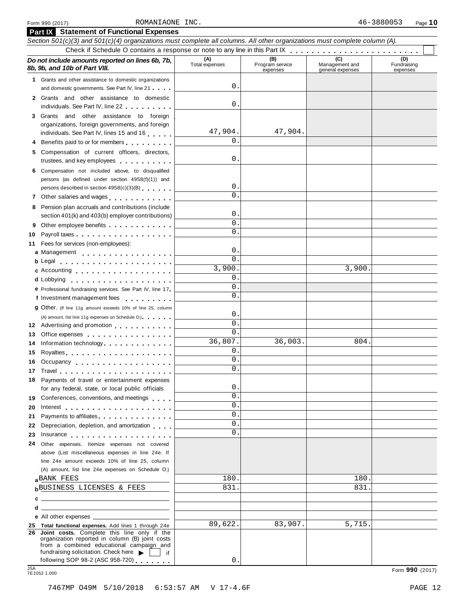**Part IX Statement of Functional Expenses**

Section 501(c)(3) and 501(c)(4) organizations must complete all columns. All other organizations must complete column (A). Check if Schedule <sup>O</sup> contains <sup>a</sup> response or note to any line in this Part IX m m m m m m m m m m m m m m m m m m m m m m m m *Do no* **(A) (B) (C) (D)** *t include amounts reported on lines 6b, 7b,* **8b, 9b, and 10b of Part VIII.** The construction of *B***, 9b, and 10b of Part VIII.** expenses Management and general expenses Fundraising expenses **1** Grants and other assistance to domestic organizations and domestic governments. See Part IV, line 21 m m m **2** Grants and other assistance to domestic individuals. See Part IV, line 22 **3** Grants and other assistance to foreign organizations, foreign governments, and foreign individuals. See Part IV, lines <sup>15</sup> and <sup>16</sup> <sup>m</sup> <sup>m</sup> <sup>m</sup> <sup>m</sup> <sup>m</sup> **<sup>4</sup>** Benefits paid to or for members <sup>m</sup> <sup>m</sup> <sup>m</sup> <sup>m</sup> <sup>m</sup> <sup>m</sup> <sup>m</sup> <sup>m</sup> <sup>m</sup> **5** Compensation of current officers, directors, trustees, and key employees m m m m m m m m m m **6** Compensation not included above, to disqualified persons (as defined under section 4958(f)(1)) and persons described in section 4958(c)(3)(B) <sup>m</sup> <sup>m</sup> <sup>m</sup> <sup>m</sup> <sup>m</sup> <sup>m</sup> **<sup>7</sup>** Other salaries and wages <sup>m</sup> <sup>m</sup> <sup>m</sup> <sup>m</sup> <sup>m</sup> <sup>m</sup> <sup>m</sup> <sup>m</sup> <sup>m</sup> <sup>m</sup> <sup>m</sup> <sup>m</sup> **8** Pension plan accruals and contributions (include section 401(k) and 403(b) employer contributions) **9** Section 401(k) and 403(b) employer contributions<br>9 Other employee benefits 9 Other employee benefits **10** Payroll taxes **10** Fees for services (non-employees): **11** Fees for services (non-employees):<br>**a** Management ..................<br>**b** Legal ......................... Legal m m m m m m m m m m m m m m m m m m m m m c Accounting . . . . . . . . . . . . . Lobbying **cd** m m m m m m m m m m m m m m m m m m m A) amount, list line 11g expenses on Schedule O.<br>**12** Advertising and promotion **manual 13** Office expenses **13** Office expenses<br>**14** Information technology **manual manual metal of the metal of the metal of the metal of 15** Royalties m m m m m m m m m m m m m m m m m m m m **16** Occupancy m m m m m m m m m m m m m m m m m m **16** Occupancy ...................<br>17 Travel..................... **18** Payments of travel or entertainment expenses for any federal, state, or local public officials<br>**19** Conferences, conventions, and meetings **19** Conferences, conventions, and meetings **endorship.**<br>20 Interest **manual meeting 21** Payments to affiliates 21 Payments to affiliates<br>22 Depreciation, depletion, and amortization <sub>1</sub> , , , **22** Depreciation, depletion, and amortization **manufation**<br>23 Insurance 24 Other expenses. Itemize expenses not covered **d** Lobbying **come and the services.** See Part IV, line 17 **P** Professional fundraising services. See Part IV, line 17<br>**f** Investment management fees **g** Other. (If line 11g amount exceeds 10% of line 25, column m m m m m m m m m m m m m m m m m m (A) amount, list line 11g expenses on Schedule O.) means m m m m m m m m m m m m m m m m for any federal, state, or local public officials m m m m m m m m m m m m m m above (List miscellaneous expenses in line 24e. If line 24e amount exceeds 10% of line 25, column (A) amount, list line 24e expenses on Schedule O.) **a** BANK FEES 180.<br>**b**BUSINESS LICENSES & FEES 831. 831. **cd e** All other expenses **25 Total functional expenses.** Add lines 1 through 24e **26 Joint costs.** Complete this line only if the organization reported in column (B) joint costs from a combined educational campaign and fundraising solicitation. Check here  $\blacktriangleright \begin{array}{c} \square \\ \square \end{array}$  if following SOP 98-2 (ASC 958-720) following SOP 98-2 (ASC 958-720) <sup>m</sup> <sup>m</sup> <sup>m</sup> <sup>m</sup> <sup>m</sup> <sup>m</sup> <sup>m</sup> JSA Form **<sup>990</sup>** (2017) 7E1052 1.000 0. 0. 47,904. 47,904. 0. 0. 0.  $\overline{0}$  $\Omega$ 0. 0.  $\Omega$  $\overline{0}$ 3,900. 3,900. 0. 0.  $\overline{0}$ 0.  $\overline{0}$ 0. 36,807. 36,003. 804.  $\mathsf{O}$  .  $\overline{0}$ 0. 0.  $\overline{0}$  $\overline{0}$  $\overline{0}$ . 0. 0.  $B<sub>B</sub>$ BANK FEES 180. 89,622. 83,907. 5,715 0.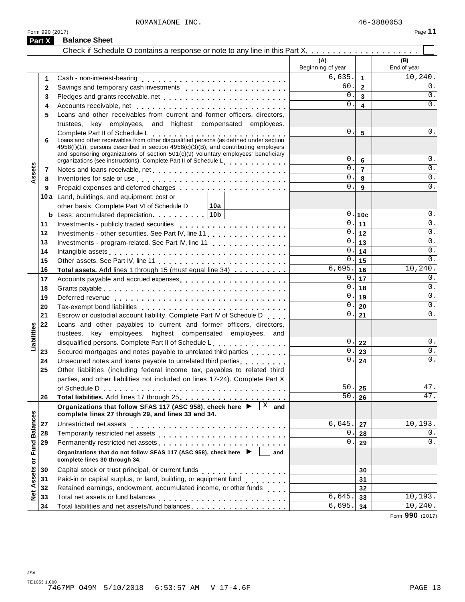|--|--|

|                           | Form 990 (2017) |                                                                                                                                                                                                                                |                          |                | Page $11$          |  |  |  |  |
|---------------------------|-----------------|--------------------------------------------------------------------------------------------------------------------------------------------------------------------------------------------------------------------------------|--------------------------|----------------|--------------------|--|--|--|--|
|                           | Part X          | <b>Balance Sheet</b>                                                                                                                                                                                                           |                          |                |                    |  |  |  |  |
|                           |                 |                                                                                                                                                                                                                                |                          |                |                    |  |  |  |  |
|                           |                 |                                                                                                                                                                                                                                | (A)<br>Beginning of year |                | (B)<br>End of year |  |  |  |  |
|                           | 1               |                                                                                                                                                                                                                                | 6,635.                   | $\mathbf{1}$   | 10, 240.           |  |  |  |  |
|                           | 2               |                                                                                                                                                                                                                                | 60.                      | $\overline{2}$ | 0.                 |  |  |  |  |
|                           | 3               | Pledges and grants receivable, net                                                                                                                                                                                             | 0.                       | $\overline{3}$ | 0.                 |  |  |  |  |
|                           | 4               |                                                                                                                                                                                                                                | $\Omega$ .               |                |                    |  |  |  |  |
|                           | 5               | Loans and other receivables from current and former officers, directors,                                                                                                                                                       |                          |                |                    |  |  |  |  |
|                           |                 | trustees, key employees, and highest compensated employees.                                                                                                                                                                    |                          |                |                    |  |  |  |  |
|                           |                 |                                                                                                                                                                                                                                | 0.                       | $5\phantom{1}$ | 0.                 |  |  |  |  |
|                           | 6               | Complete Part II of Schedule L<br>Loans and other receivables from other disqualified persons (as defined under section<br>$4958(f)(1)$ , persons described in section $4958(c)(3)(B)$ , and contributing employers            |                          |                |                    |  |  |  |  |
|                           |                 | and sponsoring organizations of section $501(c)(9)$ voluntary employees' beneficiary<br>organizations (see instructions). Complete Part II of Schedule Letter and Letter Letter Letter                                         | 0.                       | $6\phantom{1}$ | 0.                 |  |  |  |  |
|                           | 7               |                                                                                                                                                                                                                                | $\mathbf{0}$ .           | $\overline{7}$ | 0.                 |  |  |  |  |
| Assets                    | 8               | Inventories for sale or use enterprise to contact the contract of the contract of the contract of the contract of the contract of the contract of the contract of the contract of the contract of the contract of the contract | $0$ .                    | 8              | 0.                 |  |  |  |  |
|                           | 9               |                                                                                                                                                                                                                                | $0$ .                    | 9              | 0.                 |  |  |  |  |
|                           |                 | 10a Land, buildings, and equipment: cost or                                                                                                                                                                                    |                          |                |                    |  |  |  |  |
|                           |                 | other basis. Complete Part VI of Schedule D<br>∣10a                                                                                                                                                                            |                          |                |                    |  |  |  |  |
|                           |                 |                                                                                                                                                                                                                                |                          | 0.10c          | 0.                 |  |  |  |  |
|                           | 11              |                                                                                                                                                                                                                                | 0.1                      | 11             | 0.                 |  |  |  |  |
|                           | 12              | Investments - other securities. See Part IV, line 11                                                                                                                                                                           | 0.1                      | $\vert$ 12     | 0.                 |  |  |  |  |
|                           | 13              | Investments - program-related. See Part IV, line 11                                                                                                                                                                            | 0.                       | 13             | 0.                 |  |  |  |  |
|                           | 14              |                                                                                                                                                                                                                                | 0.                       | 14             | 0.                 |  |  |  |  |
|                           | 15              |                                                                                                                                                                                                                                | 0.                       | 15             | 0.                 |  |  |  |  |
|                           | 16              | Total assets. Add lines 1 through 15 (must equal line 34)                                                                                                                                                                      | 6,695.                   | 16             | 10, 240.           |  |  |  |  |
|                           | 17              | Accounts payable and accrued expenses                                                                                                                                                                                          | 0.                       | 17             | $0$ .              |  |  |  |  |
|                           | 18              |                                                                                                                                                                                                                                | 0.                       | 18             | 0.                 |  |  |  |  |
|                           | 19              |                                                                                                                                                                                                                                | 0.                       | 19             | 0.                 |  |  |  |  |
|                           | 20              |                                                                                                                                                                                                                                | 0.                       | 20             | 0.                 |  |  |  |  |
|                           | 21              | Escrow or custodial account liability. Complete Part IV of Schedule D                                                                                                                                                          | 0.                       | 21             | 0.                 |  |  |  |  |
|                           | 22              | Loans and other payables to current and former officers, directors,                                                                                                                                                            |                          |                |                    |  |  |  |  |
|                           |                 | trustees, key employees, highest compensated employees, and                                                                                                                                                                    |                          |                |                    |  |  |  |  |
| Liabilities               |                 | disqualified persons. Complete Part II of Schedule L.                                                                                                                                                                          | 0.1                      | 22             | 0.                 |  |  |  |  |
|                           | 23              | Secured mortgages and notes payable to unrelated third parties [1, 1, 1, 1, 1]                                                                                                                                                 | $\mathbf{0}$ .           | 23             | 0.                 |  |  |  |  |
|                           | 24              | Unsecured notes and loans payable to unrelated third parties<br>                                                                                                                                                               | $\Omega$ .               | 24             | 0.                 |  |  |  |  |
|                           | 25              | Other liabilities (including federal income tax, payables to related third                                                                                                                                                     |                          |                |                    |  |  |  |  |
|                           |                 | parties, and other liabilities not included on lines 17-24). Complete Part X                                                                                                                                                   |                          |                |                    |  |  |  |  |
|                           |                 |                                                                                                                                                                                                                                | 50.                      | 25             | 47.                |  |  |  |  |
|                           | 26              |                                                                                                                                                                                                                                | 50.                      | 26             | $\overline{47}$ .  |  |  |  |  |
|                           |                 | $X$ and<br>Organizations that follow SFAS 117 (ASC 958), check here ▶<br>complete lines 27 through 29, and lines 33 and 34.                                                                                                    |                          |                |                    |  |  |  |  |
|                           | 27              | Unrestricted net assets                                                                                                                                                                                                        | 6,645.                   | 27             | 10,193.            |  |  |  |  |
|                           | 28              |                                                                                                                                                                                                                                | 0.                       | 28             | 0.                 |  |  |  |  |
|                           | 29              |                                                                                                                                                                                                                                | 0.                       | 29             | 0.                 |  |  |  |  |
| <b>Fund Balances</b><br>ŏ |                 | Organizations that do not follow SFAS 117 (ASC 958), check here ▶<br>and<br>complete lines 30 through 34.                                                                                                                      |                          |                |                    |  |  |  |  |
|                           | 30              |                                                                                                                                                                                                                                |                          | 30             |                    |  |  |  |  |
|                           | 31              | Paid-in or capital surplus, or land, building, or equipment fund<br>                                                                                                                                                           |                          | 31             |                    |  |  |  |  |
|                           | 32              | Retained earnings, endowment, accumulated income, or other funds                                                                                                                                                               |                          | 32             |                    |  |  |  |  |
| <b>Net Assets</b>         | 33              |                                                                                                                                                                                                                                | 6,645.                   | 33             | 10,193.            |  |  |  |  |
|                           | 34              | Total liabilities and net assets/fund balances                                                                                                                                                                                 | 6,695.                   | 34             | 10, 240.           |  |  |  |  |
|                           |                 |                                                                                                                                                                                                                                |                          |                | $\overline{00}$    |  |  |  |  |

Form **990** (2017)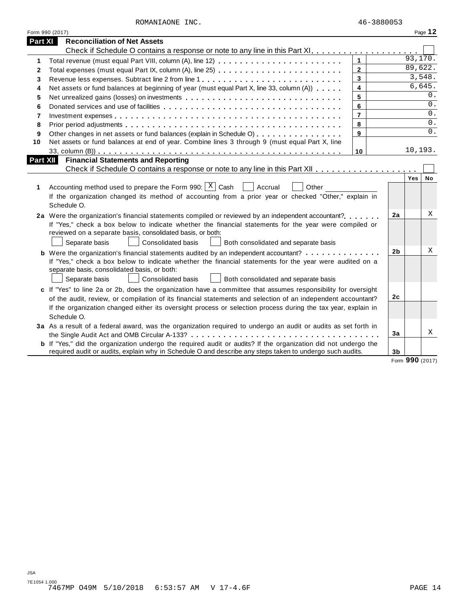|              | Form 990 (2017)                                                                                                                                                                                                                                                                                                                                                   |                |                |                   | Page 12 |
|--------------|-------------------------------------------------------------------------------------------------------------------------------------------------------------------------------------------------------------------------------------------------------------------------------------------------------------------------------------------------------------------|----------------|----------------|-------------------|---------|
| Part XI      | <b>Reconciliation of Net Assets</b>                                                                                                                                                                                                                                                                                                                               |                |                |                   |         |
|              |                                                                                                                                                                                                                                                                                                                                                                   |                |                |                   |         |
| 1            |                                                                                                                                                                                                                                                                                                                                                                   | $\mathbf{1}$   |                | 93,170.           |         |
| $\mathbf{2}$ |                                                                                                                                                                                                                                                                                                                                                                   | $\mathbf{2}$   |                | 89,622.           |         |
| 3            | Revenue less expenses. Subtract line 2 from line 1                                                                                                                                                                                                                                                                                                                | $\mathbf{3}$   |                |                   | 3,548.  |
| 4            | Net assets or fund balances at beginning of year (must equal Part X, line 33, column (A))                                                                                                                                                                                                                                                                         | $\overline{4}$ |                |                   | 6,645.  |
| 5            |                                                                                                                                                                                                                                                                                                                                                                   | 5              |                |                   | 0.      |
| 6            |                                                                                                                                                                                                                                                                                                                                                                   | 6              |                |                   | 0.      |
| 7            |                                                                                                                                                                                                                                                                                                                                                                   | $\overline{7}$ |                |                   | 0.      |
| 8            |                                                                                                                                                                                                                                                                                                                                                                   | 8              |                |                   | $0$ .   |
| 9            | Other changes in net assets or fund balances (explain in Schedule O)                                                                                                                                                                                                                                                                                              | 9              |                |                   | 0.      |
| 10           | Net assets or fund balances at end of year. Combine lines 3 through 9 (must equal Part X, line                                                                                                                                                                                                                                                                    |                |                |                   |         |
|              |                                                                                                                                                                                                                                                                                                                                                                   | 10             |                | 10,193.           |         |
| Part XII     | <b>Financial Statements and Reporting</b>                                                                                                                                                                                                                                                                                                                         |                |                |                   |         |
|              |                                                                                                                                                                                                                                                                                                                                                                   |                |                |                   |         |
| 1            | Accounting method used to prepare the Form 990: $ X $ Cash<br>Accrual<br>Other<br>If the organization changed its method of accounting from a prior year or checked "Other," explain in<br>Schedule O.                                                                                                                                                            |                |                | Yes               | No      |
|              | 2a Were the organization's financial statements compiled or reviewed by an independent accountant?<br>If "Yes," check a box below to indicate whether the financial statements for the year were compiled or<br>reviewed on a separate basis, consolidated basis, or both:<br>Separate basis<br><b>Consolidated basis</b><br>Both consolidated and separate basis |                | 2a             |                   | Χ       |
|              | <b>b</b> Were the organization's financial statements audited by an independent accountant?<br>If "Yes," check a box below to indicate whether the financial statements for the year were audited on a<br>separate basis, consolidated basis, or both:<br>Consolidated basis<br>Separate basis<br>Both consolidated and separate basis                            |                | 2 <sub>b</sub> |                   | Χ       |
|              | c If "Yes" to line 2a or 2b, does the organization have a committee that assumes responsibility for oversight<br>of the audit, review, or compilation of its financial statements and selection of an independent accountant?<br>If the organization changed either its oversight process or selection process during the tax year, explain in<br>Schedule O.     |                | 2c             |                   |         |
|              | 3a As a result of a federal award, was the organization required to undergo an audit or audits as set forth in                                                                                                                                                                                                                                                    |                | 3a             |                   | Χ       |
|              | b If "Yes," did the organization undergo the required audit or audits? If the organization did not undergo the<br>required audit or audits, explain why in Schedule O and describe any steps taken to undergo such audits.                                                                                                                                        |                | 3 <sub>b</sub> | $0.00 \text{ cm}$ |         |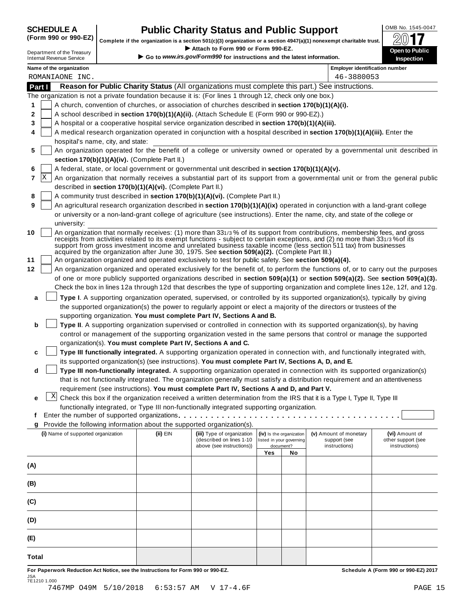| <b>SCHEDULE A</b>                                                                                                                                                                                                                                                                                                  |  |  |
|--------------------------------------------------------------------------------------------------------------------------------------------------------------------------------------------------------------------------------------------------------------------------------------------------------------------|--|--|
| $\sqrt{2}$ $\sqrt{2}$ $\sqrt{2}$ $\sqrt{2}$ $\sqrt{2}$ $\sqrt{2}$ $\sqrt{2}$ $\sqrt{2}$ $\sqrt{2}$ $\sqrt{2}$ $\sqrt{2}$ $\sqrt{2}$ $\sqrt{2}$ $\sqrt{2}$ $\sqrt{2}$ $\sqrt{2}$ $\sqrt{2}$ $\sqrt{2}$ $\sqrt{2}$ $\sqrt{2}$ $\sqrt{2}$ $\sqrt{2}$ $\sqrt{2}$ $\sqrt{2}$ $\sqrt{2}$ $\sqrt{2}$ $\sqrt{2}$ $\sqrt{2$ |  |  |

## **CHEDULE A Public Charity Status and Public Support**  $\frac{100\text{dB No. }1545-0047}{000\text{dB}}$

(Form 990 or 990-EZ) complete if the organization is a section 501(c)(3) organization or a section 4947(a)(1) nonexempt charitable trust.  $2017$ 

| Department of the Treasury      |
|---------------------------------|
| <b>Internal Revenue Service</b> |

|                                                                                                                                                                               |                                    |  |                                                            | Complete if the organization is a section 501(c)(3) organization or a section 4947(a)(1) nonexempt charitable trust.                                                                                                                                                                                                                                                            |     |                          |                                       | 40 I L             |
|-------------------------------------------------------------------------------------------------------------------------------------------------------------------------------|------------------------------------|--|------------------------------------------------------------|---------------------------------------------------------------------------------------------------------------------------------------------------------------------------------------------------------------------------------------------------------------------------------------------------------------------------------------------------------------------------------|-----|--------------------------|---------------------------------------|--------------------|
| Attach to Form 990 or Form 990-EZ.<br>Department of the Treasury<br>Go to www.irs.gov/Form990 for instructions and the latest information.<br><b>Internal Revenue Service</b> |                                    |  |                                                            | <b>Open to Public</b>                                                                                                                                                                                                                                                                                                                                                           |     |                          |                                       |                    |
|                                                                                                                                                                               | Name of the organization           |  |                                                            |                                                                                                                                                                                                                                                                                                                                                                                 |     |                          | <b>Employer identification number</b> | <b>Inspection</b>  |
|                                                                                                                                                                               | ROMANIAONE INC.                    |  |                                                            |                                                                                                                                                                                                                                                                                                                                                                                 |     |                          | 46-3880053                            |                    |
| Part I                                                                                                                                                                        |                                    |  |                                                            | Reason for Public Charity Status (All organizations must complete this part.) See instructions.                                                                                                                                                                                                                                                                                 |     |                          |                                       |                    |
|                                                                                                                                                                               |                                    |  |                                                            | The organization is not a private foundation because it is: (For lines 1 through 12, check only one box.)                                                                                                                                                                                                                                                                       |     |                          |                                       |                    |
| 1                                                                                                                                                                             |                                    |  |                                                            | A church, convention of churches, or association of churches described in section 170(b)(1)(A)(i).                                                                                                                                                                                                                                                                              |     |                          |                                       |                    |
| 2                                                                                                                                                                             |                                    |  |                                                            | A school described in section 170(b)(1)(A)(ii). (Attach Schedule E (Form 990 or 990-EZ).)                                                                                                                                                                                                                                                                                       |     |                          |                                       |                    |
| 3                                                                                                                                                                             |                                    |  |                                                            | A hospital or a cooperative hospital service organization described in section 170(b)(1)(A)(iii).                                                                                                                                                                                                                                                                               |     |                          |                                       |                    |
| 4                                                                                                                                                                             |                                    |  |                                                            | A medical research organization operated in conjunction with a hospital described in section 170(b)(1)(A)(iii). Enter the                                                                                                                                                                                                                                                       |     |                          |                                       |                    |
|                                                                                                                                                                               | hospital's name, city, and state:  |  |                                                            |                                                                                                                                                                                                                                                                                                                                                                                 |     |                          |                                       |                    |
| 5                                                                                                                                                                             |                                    |  |                                                            | An organization operated for the benefit of a college or university owned or operated by a governmental unit described in                                                                                                                                                                                                                                                       |     |                          |                                       |                    |
|                                                                                                                                                                               |                                    |  | section 170(b)(1)(A)(iv). (Complete Part II.)              |                                                                                                                                                                                                                                                                                                                                                                                 |     |                          |                                       |                    |
| 6                                                                                                                                                                             |                                    |  |                                                            | A federal, state, or local government or governmental unit described in section 170(b)(1)(A)(v).                                                                                                                                                                                                                                                                                |     |                          |                                       |                    |
| X<br>7                                                                                                                                                                        |                                    |  |                                                            | An organization that normally receives a substantial part of its support from a governmental unit or from the general public                                                                                                                                                                                                                                                    |     |                          |                                       |                    |
|                                                                                                                                                                               |                                    |  | described in section 170(b)(1)(A)(vi). (Complete Part II.) |                                                                                                                                                                                                                                                                                                                                                                                 |     |                          |                                       |                    |
| 8                                                                                                                                                                             |                                    |  |                                                            | A community trust described in section 170(b)(1)(A)(vi). (Complete Part II.)                                                                                                                                                                                                                                                                                                    |     |                          |                                       |                    |
| 9                                                                                                                                                                             |                                    |  |                                                            | An agricultural research organization described in section 170(b)(1)(A)(ix) operated in conjunction with a land-grant college                                                                                                                                                                                                                                                   |     |                          |                                       |                    |
|                                                                                                                                                                               |                                    |  |                                                            | or university or a non-land-grant college of agriculture (see instructions). Enter the name, city, and state of the college or                                                                                                                                                                                                                                                  |     |                          |                                       |                    |
|                                                                                                                                                                               | university:                        |  |                                                            |                                                                                                                                                                                                                                                                                                                                                                                 |     |                          |                                       |                    |
| 10                                                                                                                                                                            |                                    |  |                                                            | An organization that normally receives: (1) more than 331/3% of its support from contributions, membership fees, and gross<br>receipts from activities related to its exempt functions - subject to certain exceptions, and (2) no more than 331/3% of its<br>support from gross investment income and unrelated business taxable income (less section 511 tax) from businesses |     |                          |                                       |                    |
|                                                                                                                                                                               |                                    |  |                                                            | acquired by the organization after June 30, 1975. See section 509(a)(2). (Complete Part III.)                                                                                                                                                                                                                                                                                   |     |                          |                                       |                    |
| 11                                                                                                                                                                            |                                    |  |                                                            | An organization organized and operated exclusively to test for public safety. See section 509(a)(4).                                                                                                                                                                                                                                                                            |     |                          |                                       |                    |
| 12                                                                                                                                                                            |                                    |  |                                                            | An organization organized and operated exclusively for the benefit of, to perform the functions of, or to carry out the purposes                                                                                                                                                                                                                                                |     |                          |                                       |                    |
|                                                                                                                                                                               |                                    |  |                                                            | of one or more publicly supported organizations described in section 509(a)(1) or section 509(a)(2). See section 509(a)(3).                                                                                                                                                                                                                                                     |     |                          |                                       |                    |
|                                                                                                                                                                               |                                    |  |                                                            | Check the box in lines 12a through 12d that describes the type of supporting organization and complete lines 12e, 12f, and 12g.                                                                                                                                                                                                                                                 |     |                          |                                       |                    |
| а                                                                                                                                                                             |                                    |  |                                                            | Type I. A supporting organization operated, supervised, or controlled by its supported organization(s), typically by giving                                                                                                                                                                                                                                                     |     |                          |                                       |                    |
|                                                                                                                                                                               |                                    |  |                                                            | the supported organization(s) the power to regularly appoint or elect a majority of the directors or trustees of the                                                                                                                                                                                                                                                            |     |                          |                                       |                    |
|                                                                                                                                                                               |                                    |  |                                                            | supporting organization. You must complete Part IV, Sections A and B.                                                                                                                                                                                                                                                                                                           |     |                          |                                       |                    |
| b                                                                                                                                                                             |                                    |  |                                                            | Type II. A supporting organization supervised or controlled in connection with its supported organization(s), by having                                                                                                                                                                                                                                                         |     |                          |                                       |                    |
|                                                                                                                                                                               |                                    |  |                                                            | control or management of the supporting organization vested in the same persons that control or manage the supported                                                                                                                                                                                                                                                            |     |                          |                                       |                    |
|                                                                                                                                                                               |                                    |  |                                                            | organization(s). You must complete Part IV, Sections A and C.                                                                                                                                                                                                                                                                                                                   |     |                          |                                       |                    |
| c                                                                                                                                                                             |                                    |  |                                                            | Type III functionally integrated. A supporting organization operated in connection with, and functionally integrated with,                                                                                                                                                                                                                                                      |     |                          |                                       |                    |
|                                                                                                                                                                               |                                    |  |                                                            | its supported organization(s) (see instructions). You must complete Part IV, Sections A, D, and E.                                                                                                                                                                                                                                                                              |     |                          |                                       |                    |
| d                                                                                                                                                                             |                                    |  |                                                            | Type III non-functionally integrated. A supporting organization operated in connection with its supported organization(s)                                                                                                                                                                                                                                                       |     |                          |                                       |                    |
|                                                                                                                                                                               |                                    |  |                                                            | that is not functionally integrated. The organization generally must satisfy a distribution requirement and an attentiveness                                                                                                                                                                                                                                                    |     |                          |                                       |                    |
|                                                                                                                                                                               | X                                  |  |                                                            | requirement (see instructions). You must complete Part IV, Sections A and D, and Part V.                                                                                                                                                                                                                                                                                        |     |                          |                                       |                    |
| e                                                                                                                                                                             |                                    |  |                                                            | Check this box if the organization received a written determination from the IRS that it is a Type I, Type II, Type III                                                                                                                                                                                                                                                         |     |                          |                                       |                    |
| f                                                                                                                                                                             |                                    |  |                                                            | functionally integrated, or Type III non-functionally integrated supporting organization.                                                                                                                                                                                                                                                                                       |     |                          |                                       |                    |
| g                                                                                                                                                                             |                                    |  |                                                            | Provide the following information about the supported organization(s).                                                                                                                                                                                                                                                                                                          |     |                          |                                       |                    |
|                                                                                                                                                                               | (i) Name of supported organization |  | (ii) EIN                                                   | (iii) Type of organization                                                                                                                                                                                                                                                                                                                                                      |     | (iv) Is the organization | (v) Amount of monetary                | (vi) Amount of     |
|                                                                                                                                                                               |                                    |  |                                                            | (described on lines 1-10                                                                                                                                                                                                                                                                                                                                                        |     | listed in your governing | support (see                          | other support (see |
|                                                                                                                                                                               |                                    |  |                                                            | above (see instructions))                                                                                                                                                                                                                                                                                                                                                       | Yes | document?<br>No          | instructions)                         | instructions)      |
|                                                                                                                                                                               |                                    |  |                                                            |                                                                                                                                                                                                                                                                                                                                                                                 |     |                          |                                       |                    |
| (A)                                                                                                                                                                           |                                    |  |                                                            |                                                                                                                                                                                                                                                                                                                                                                                 |     |                          |                                       |                    |
| (B)                                                                                                                                                                           |                                    |  |                                                            |                                                                                                                                                                                                                                                                                                                                                                                 |     |                          |                                       |                    |
| (C)                                                                                                                                                                           |                                    |  |                                                            |                                                                                                                                                                                                                                                                                                                                                                                 |     |                          |                                       |                    |
| (D)                                                                                                                                                                           |                                    |  |                                                            |                                                                                                                                                                                                                                                                                                                                                                                 |     |                          |                                       |                    |
| (E)                                                                                                                                                                           |                                    |  |                                                            |                                                                                                                                                                                                                                                                                                                                                                                 |     |                          |                                       |                    |

**Total**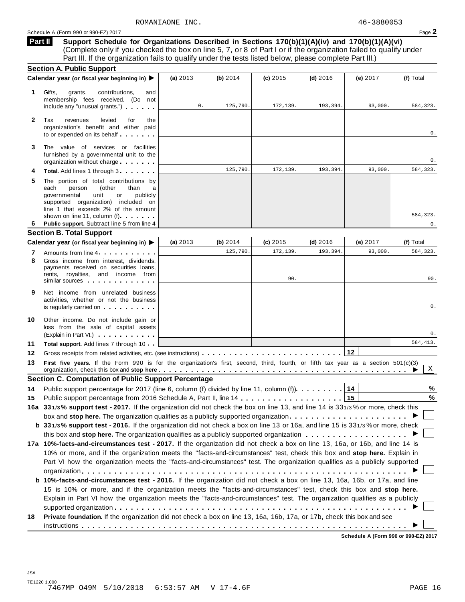**Part II**

**Support Schedule for Organizations Described in Sections 170(b)(1)(A)(iv) and 170(b)(1)(A)(vi)** (Complete only if you checked the box on line 5, 7, or 8 of Part I or if the organization failed to qualify under Part III. If the organization fails to qualify under the tests listed below, please complete Part III.)

|              | <b>Section A. Public Support</b>                                                                                                                                                                                                                                                                                                                                                 |            |            |            |            |                 |             |
|--------------|----------------------------------------------------------------------------------------------------------------------------------------------------------------------------------------------------------------------------------------------------------------------------------------------------------------------------------------------------------------------------------|------------|------------|------------|------------|-----------------|-------------|
|              | Calendar year (or fiscal year beginning in) ▶                                                                                                                                                                                                                                                                                                                                    | (a) $2013$ | (b) $2014$ | $(c)$ 2015 | $(d)$ 2016 | <b>(e)</b> 2017 | (f) Total   |
| 1            | Gifts,<br>contributions,<br>grants,<br>and<br>membership fees received. (Do not<br>include any "unusual grants.")                                                                                                                                                                                                                                                                | $0$ .      | 125,790.   | 172,139.   | 193,394.   | 93,000.         | 584,323.    |
| $\mathbf{2}$ | Tax<br>levied<br>revenues<br>for<br>the<br>organization's benefit and either paid<br>to or expended on its behalf                                                                                                                                                                                                                                                                |            |            |            |            |                 | 0.          |
| 3            | The value of services or facilities<br>furnished by a governmental unit to the<br>organization without charge                                                                                                                                                                                                                                                                    |            |            |            |            |                 | 0.          |
| 4            | Total. Add lines 1 through 3                                                                                                                                                                                                                                                                                                                                                     |            | 125,790.   | 172,139.   | 193,394.   | 93,000.         | 584,323.    |
| 5            | The portion of total contributions by<br>each<br>person<br>(other<br>than<br>а<br>governmental<br>unit<br>or<br>publicly<br>supported organization) included on<br>line 1 that exceeds 2% of the amount                                                                                                                                                                          |            |            |            |            |                 |             |
|              | shown on line 11, column (f)                                                                                                                                                                                                                                                                                                                                                     |            |            |            |            |                 | 584,323.    |
| 6            | Public support. Subtract line 5 from line 4                                                                                                                                                                                                                                                                                                                                      |            |            |            |            |                 | 0.          |
|              | <b>Section B. Total Support</b>                                                                                                                                                                                                                                                                                                                                                  |            |            |            |            |                 |             |
|              | Calendar year (or fiscal year beginning in) ▶                                                                                                                                                                                                                                                                                                                                    | (a) 2013   | (b) $2014$ | $(c)$ 2015 | (d) $2016$ | (e) 2017        | (f) Total   |
| 7            | Amounts from line 4                                                                                                                                                                                                                                                                                                                                                              |            | 125,790.   | 172,139.   | 193,394    | 93,000.         | 584,323.    |
| 8            | Gross income from interest, dividends,<br>payments received on securities loans,<br>rents, royalties, and income from<br>similar sources                                                                                                                                                                                                                                         |            |            | 90.        |            |                 | 90.         |
| 9            | Net income from unrelated business<br>activities, whether or not the business<br>is regularly carried on the contract of the set of the set of the set of the set of the set of the set of the                                                                                                                                                                                   |            |            |            |            |                 | 0.          |
| 10           | Other income. Do not include gain or<br>loss from the sale of capital assets<br>(Explain in Part VI.)                                                                                                                                                                                                                                                                            |            |            |            |            |                 | 0.          |
| 11           | Total support. Add lines 7 through 10                                                                                                                                                                                                                                                                                                                                            |            |            |            |            |                 | 584, 413.   |
| 12           |                                                                                                                                                                                                                                                                                                                                                                                  |            |            |            |            | 12              |             |
| 13           | First five years. If the Form 990 is for the organization's first, second, third, fourth, or fifth tax year as a section 501(c)(3)<br>organization, check this box and stop here <i>etable of the state of the state free transformation</i> , check this box and stop here <i>etable of the state free transformation</i> , the state of the state of the state of the state of |            |            |            |            |                 | $\mathbf X$ |
|              | Section C. Computation of Public Support Percentage                                                                                                                                                                                                                                                                                                                              |            |            |            |            |                 |             |
| 14           | Public support percentage for 2017 (line 6, column (f) divided by line 11, column (f)).                                                                                                                                                                                                                                                                                          |            |            |            |            | 14              | %           |
| 15           |                                                                                                                                                                                                                                                                                                                                                                                  |            |            |            |            | 15              | $\%$        |
|              | 16a 331/3% support test - 2017. If the organization did not check the box on line 13, and line 14 is 331/3% or more, check this                                                                                                                                                                                                                                                  |            |            |            |            |                 |             |
|              | box and stop here. The organization qualifies as a publicly supported organization $\ldots$ , , , , ,                                                                                                                                                                                                                                                                            |            |            |            |            |                 |             |
|              | b 331/3% support test - 2016. If the organization did not check a box on line 13 or 16a, and line 15 is 331/3% or more, check                                                                                                                                                                                                                                                    |            |            |            |            |                 |             |
|              |                                                                                                                                                                                                                                                                                                                                                                                  |            |            |            |            |                 |             |
|              | 17a 10%-facts-and-circumstances test - 2017. If the organization did not check a box on line 13, 16a, or 16b, and line 14 is                                                                                                                                                                                                                                                     |            |            |            |            |                 |             |
|              | 10% or more, and if the organization meets the "facts-and-circumstances" test, check this box and stop here. Explain in                                                                                                                                                                                                                                                          |            |            |            |            |                 |             |
|              | Part VI how the organization meets the "facts-and-circumstances" test. The organization qualifies as a publicly supported                                                                                                                                                                                                                                                        |            |            |            |            |                 |             |
|              |                                                                                                                                                                                                                                                                                                                                                                                  |            |            |            |            |                 |             |
|              | <b>b 10%-facts-and-circumstances test - 2016.</b> If the organization did not check a box on line 13, 16a, 16b, or 17a, and line                                                                                                                                                                                                                                                 |            |            |            |            |                 |             |
|              | 15 is 10% or more, and if the organization meets the "facts-and-circumstances" test, check this box and stop here.                                                                                                                                                                                                                                                               |            |            |            |            |                 |             |
|              | Explain in Part VI how the organization meets the "facts-and-circumstances" test. The organization qualifies as a publicly                                                                                                                                                                                                                                                       |            |            |            |            |                 |             |
|              |                                                                                                                                                                                                                                                                                                                                                                                  |            |            |            |            |                 |             |
| 18           | Private foundation. If the organization did not check a box on line 13, 16a, 16b, 17a, or 17b, check this box and see                                                                                                                                                                                                                                                            |            |            |            |            |                 |             |
|              |                                                                                                                                                                                                                                                                                                                                                                                  |            |            |            |            |                 |             |

**Schedule A (Form 990 or 990-EZ) 2017**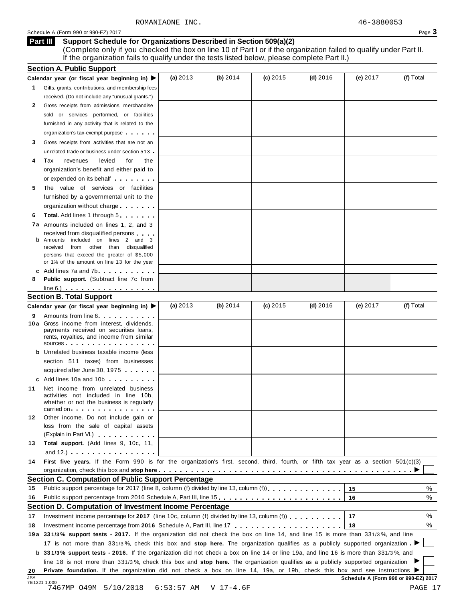Schedule A (Form 990 or 990-EZ) 2017 Page 3

#### **Support Schedule for Organizations Described in Section 509(a)(2) Part III**

(Complete only if you checked the box on line 10 of Part I or if the organization failed to qualify under Part II. If the organization fails to qualify under the tests listed below, please complete Part II.)

|                  | <b>Section A. Public Support</b>                                                                                                                                                                                               |            |            |            |            |          |                                      |
|------------------|--------------------------------------------------------------------------------------------------------------------------------------------------------------------------------------------------------------------------------|------------|------------|------------|------------|----------|--------------------------------------|
|                  | Calendar year (or fiscal year beginning in) ▶                                                                                                                                                                                  | (a) $2013$ | (b) $2014$ | $(c)$ 2015 | (d) $2016$ | (e) 2017 | (f) Total                            |
| 1.               | Gifts, grants, contributions, and membership fees                                                                                                                                                                              |            |            |            |            |          |                                      |
|                  | received. (Do not include any "unusual grants.")                                                                                                                                                                               |            |            |            |            |          |                                      |
| 2                | Gross receipts from admissions, merchandise                                                                                                                                                                                    |            |            |            |            |          |                                      |
|                  | sold or services performed, or facilities                                                                                                                                                                                      |            |            |            |            |          |                                      |
|                  | furnished in any activity that is related to the                                                                                                                                                                               |            |            |            |            |          |                                      |
|                  | organization's tax-exempt purpose                                                                                                                                                                                              |            |            |            |            |          |                                      |
| 3                | Gross receipts from activities that are not an                                                                                                                                                                                 |            |            |            |            |          |                                      |
|                  | unrelated trade or business under section 513                                                                                                                                                                                  |            |            |            |            |          |                                      |
| 4                | Tax<br>revenues<br>levied<br>for<br>the                                                                                                                                                                                        |            |            |            |            |          |                                      |
|                  | organization's benefit and either paid to                                                                                                                                                                                      |            |            |            |            |          |                                      |
|                  | or expended on its behalf                                                                                                                                                                                                      |            |            |            |            |          |                                      |
| 5                | The value of services or facilities                                                                                                                                                                                            |            |            |            |            |          |                                      |
|                  | furnished by a governmental unit to the                                                                                                                                                                                        |            |            |            |            |          |                                      |
|                  | organization without charge                                                                                                                                                                                                    |            |            |            |            |          |                                      |
|                  |                                                                                                                                                                                                                                |            |            |            |            |          |                                      |
| 6                | <b>Total.</b> Add lines 1 through 5                                                                                                                                                                                            |            |            |            |            |          |                                      |
|                  | 7a Amounts included on lines 1, 2, and 3                                                                                                                                                                                       |            |            |            |            |          |                                      |
|                  | received from disqualified persons<br>Amounts included on lines 2 and 3                                                                                                                                                        |            |            |            |            |          |                                      |
|                  | from other than disqualified<br>received                                                                                                                                                                                       |            |            |            |            |          |                                      |
|                  | persons that exceed the greater of \$5,000                                                                                                                                                                                     |            |            |            |            |          |                                      |
|                  | or 1% of the amount on line 13 for the year                                                                                                                                                                                    |            |            |            |            |          |                                      |
|                  | c Add lines 7a and 7b                                                                                                                                                                                                          |            |            |            |            |          |                                      |
| 8                | Public support. (Subtract line 7c from                                                                                                                                                                                         |            |            |            |            |          |                                      |
|                  | $line 6.)$                                                                                                                                                                                                                     |            |            |            |            |          |                                      |
|                  | <b>Section B. Total Support</b>                                                                                                                                                                                                |            |            |            |            |          |                                      |
|                  | Calendar year (or fiscal year beginning in) ▶                                                                                                                                                                                  | (a) $2013$ | (b) $2014$ | $(c)$ 2015 | (d) $2016$ | (e) 2017 | (f) Total                            |
| 9                | Amounts from line 6                                                                                                                                                                                                            |            |            |            |            |          |                                      |
|                  | 10 a Gross income from interest, dividends,<br>payments received on securities loans,<br>rents, royalties, and income from similar                                                                                             |            |            |            |            |          |                                      |
|                  | sources <b>contracts</b>                                                                                                                                                                                                       |            |            |            |            |          |                                      |
|                  | <b>b</b> Unrelated business taxable income (less                                                                                                                                                                               |            |            |            |            |          |                                      |
|                  | section 511 taxes) from businesses                                                                                                                                                                                             |            |            |            |            |          |                                      |
|                  | acquired after June 30, 1975                                                                                                                                                                                                   |            |            |            |            |          |                                      |
|                  | c Add lines 10a and 10b and the control of the control of the control of the control of the control of the control of the control of the control of the control of the control of the control of the control of the control of |            |            |            |            |          |                                      |
| 11               | Net income from unrelated business                                                                                                                                                                                             |            |            |            |            |          |                                      |
|                  | activities not included in line 10b,<br>whether or not the business is regularly                                                                                                                                               |            |            |            |            |          |                                      |
|                  | carried on each part of the set of the set of the set of the set of the set of the set of the set of the set of the set of the set of the set of the set of the set of the set of the set of the set of the set of the set of  |            |            |            |            |          |                                      |
| 12               | Other income. Do not include gain or                                                                                                                                                                                           |            |            |            |            |          |                                      |
|                  | loss from the sale of capital assets                                                                                                                                                                                           |            |            |            |            |          |                                      |
|                  | (Explain in Part VI.) <b>All and Strategies</b>                                                                                                                                                                                |            |            |            |            |          |                                      |
| 13               | Total support. (Add lines 9, 10c, 11,                                                                                                                                                                                          |            |            |            |            |          |                                      |
|                  | and $12.$ )                                                                                                                                                                                                                    |            |            |            |            |          |                                      |
| 14               | First five years. If the Form 990 is for the organization's first, second, third, fourth, or fifth tax year as a section 501(c)(3)                                                                                             |            |            |            |            |          |                                      |
|                  |                                                                                                                                                                                                                                |            |            |            |            |          |                                      |
|                  | Section C. Computation of Public Support Percentage                                                                                                                                                                            |            |            |            |            |          |                                      |
| 15               | Public support percentage for 2017 (line 8, column (f) divided by line 13, column (f)).                                                                                                                                        |            |            |            |            | 15       | ℅                                    |
| 16               | Public support percentage from 2016 Schedule A, Part III, line 15.                                                                                                                                                             |            |            |            |            | 16       | %                                    |
|                  | Section D. Computation of Investment Income Percentage                                                                                                                                                                         |            |            |            |            |          |                                      |
| 17               | Investment income percentage for 2017 (line 10c, column (f) divided by line 13, column (f) $\ldots$ ,,,,,,,,                                                                                                                   |            |            |            |            | 17       | %                                    |
| 18               |                                                                                                                                                                                                                                |            |            |            |            | 18       | %                                    |
|                  | 19a 331/3% support tests - 2017. If the organization did not check the box on line 14, and line 15 is more than 331/3%, and line                                                                                               |            |            |            |            |          |                                      |
|                  | 17 is not more than 331/3%, check this box and stop here. The organization qualifies as a publicly supported organization                                                                                                      |            |            |            |            |          |                                      |
|                  | <b>b</b> 331/3% support tests - 2016. If the organization did not check a box on line 14 or line 19a, and line 16 is more than 331/3%, and                                                                                     |            |            |            |            |          |                                      |
|                  | line 18 is not more than 331/3%, check this box and stop here. The organization qualifies as a publicly supported organization                                                                                                 |            |            |            |            |          |                                      |
|                  |                                                                                                                                                                                                                                |            |            |            |            |          |                                      |
| 20<br><b>JSA</b> | Private foundation. If the organization did not check a box on line 14, 19a, or 19b, check this box and see instructions ▶                                                                                                     |            |            |            |            |          | Schedule A (Form 990 or 990-EZ) 2017 |
|                  | 7E1221 1.000                                                                                                                                                                                                                   |            |            |            |            |          |                                      |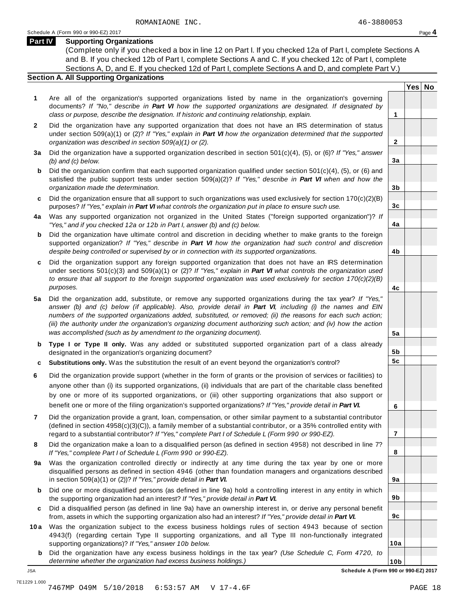**Yes No**

**2**

**3a**

**3b**

**3c**

**4a**

**4b**

**4c**

**5a**

**5b 5c**

**6**

**7**

**8**

**9a**

**9b**

**9c**

**10a**

#### **Part IV Supporting Organizations**

(Complete only if you checked a box in line 12 on Part I. If you checked 12a of Part I, complete Sections A and B. If you checked 12b of Part I, complete Sections A and C. If you checked 12c of Part I, complete Sections A, D, and E. If you checked 12d of Part I, complete Sections A and D, and complete Part V.)

#### **Section A. All Supporting Organizations**

- **1** Are all of the organization's supported organizations listed by name in the organization's governing documents? *If "No," describe in Part VI how the supported organizations are designated. If designated by class or purpose, describe the designation. If historic and continuing relationship, explain.* **1**
- **2** Did the organization have any supported organization that does not have an IRS determination of status under section 509(a)(1) or (2)? *If"Yes," explain in Part VI how the organization determined that the supported organization was described in section 509(a)(1) or (2).*
- **3 a** Did the organization have a supported organization described in section 501(c)(4), (5), or (6)? *If "Yes," answer (b) and (c) below.*
- **b** Did the organization confirm that each supported organization qualified under section 501(c)(4), (5), or (6) and | satisfied the public support tests under section 509(a)(2)? *If "Yes," describe in Part VI when and how the organization made the determination.*
- **c** Did the organization ensure that all support to such organizations was used exclusively for section 170(c)(2)(B) purposes? *If"Yes," explain in Part VI what controls the organization put in place to ensure such use.*
- **4 a** Was any supported organization not organized in the United States ("foreign supported organization")? *If "Yes," and if you checked 12a or 12b in Part I, answer (b) and (c) below.*
- **b** Did the organization have ultimate control and discretion in deciding whether to make grants to the foreign | supported organization? *If "Yes," describe in Part VI how the organization had such control and discretion despite being controlled or supervised by or in connection with its supported organizations.*
- **c** Did the organization support any foreign supported organization that does not have an IRS determination | under sections 501(c)(3) and 509(a)(1) or (2)? *If "Yes," explain in Part VI what controls the organization used to ensure that all support to the foreign supported organization was used exclusively for section 170(c)(2)(B) purposes.*
- **5 a** Did the organization add, substitute, or remove any supported organizations during the tax year? *If "Yes,"* answer (b) and (c) below (if applicable). Also, provide detail in Part VI, including (i) the names and EIN *numbers of the supported organizations added, substituted, or removed; (ii) the reasons for each such action;* (iii) the authority under the organization's organizing document authorizing such action; and (iv) how the action *was accomplished (such as by amendment to the organizing document).*
- **b** Type I or Type II only. Was any added or substituted supported organization part of a class already | designated in the organization's organizing document?
- **c Substitutions only.** Was the substitution the result of an event beyond the organization's control?
- **6** Did the organization provide support (whether in the form of grants or the provision of services or facilities) to anyone other than (i) its supported organizations, (ii) individuals that are part of the charitable class benefited by one or more of its supported organizations, or (iii) other supporting organizations that also support or benefit one or more of the filing organization's supported organizations? *If"Yes," provide detail in Part VI.*
- **7** Did the organization provide a grant, loan, compensation, or other similar payment to a substantial contributor (defined in section 4958(c)(3)(C)), a family member of a substantial contributor, or a 35% controlled entity with regard to a substantial contributor? *If"Yes," complete Part I of Schedule L (Form 990 or 990-EZ).*
- **8** Did the organization make a loan to a disqualified person (as defined in section 4958) not described in line 7? *If "Yes," complete Part I of Schedule L (Form 990 or 990-EZ).*
- **a** Was the organization controlled directly or indirectly at any time during the tax year by one or more | **9** disqualified persons as defined in section 4946 (other than foundation managers and organizations described in section 509(a)(1) or (2))? *If"Yes," provide detail in Part VI.*
- **b** Did one or more disqualified persons (as defined in line 9a) hold a controlling interest in any entity in which | the supporting organization had an interest? *If"Yes," provide detail in Part VI.*
- **c** Did a disqualified person (as defined in line 9a) have an ownership interest in, or derive any personal benefit from, assets in which the supporting organization also had an interest? *If"Yes," provide detail in Part VI.*
- **10a** Was the organization subject to the excess business holdings rules of section 4943 because of section | 4943(f) (regarding certain Type II supporting organizations, and all Type III non-functionally integrated supporting organizations)? *If"Yes," answer 10b below.*
	- **b** Did the organization have any excess business holdings in the tax year? *(Use Schedule C, Form 4720, to determine whether the organization had excess business holdings.)*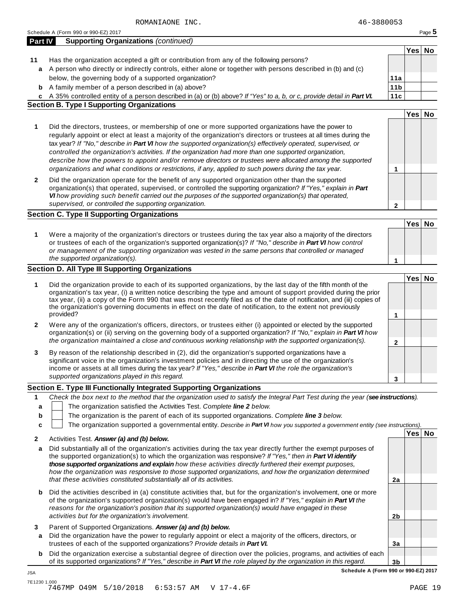|              | ROMANIAONE INC.                                                                                                                                                                                                                                                                                                                                                                                                                                                                          | 46-3880053      |        |        |
|--------------|------------------------------------------------------------------------------------------------------------------------------------------------------------------------------------------------------------------------------------------------------------------------------------------------------------------------------------------------------------------------------------------------------------------------------------------------------------------------------------------|-----------------|--------|--------|
|              | Schedule A (Form 990 or 990-EZ) 2017                                                                                                                                                                                                                                                                                                                                                                                                                                                     |                 |        | Page 5 |
| Part IV      | <b>Supporting Organizations (continued)</b>                                                                                                                                                                                                                                                                                                                                                                                                                                              |                 |        |        |
|              |                                                                                                                                                                                                                                                                                                                                                                                                                                                                                          |                 | Yes No |        |
| 11           | Has the organization accepted a gift or contribution from any of the following persons?                                                                                                                                                                                                                                                                                                                                                                                                  |                 |        |        |
|              | a A person who directly or indirectly controls, either alone or together with persons described in (b) and (c)                                                                                                                                                                                                                                                                                                                                                                           |                 |        |        |
|              | below, the governing body of a supported organization?                                                                                                                                                                                                                                                                                                                                                                                                                                   | 11a             |        |        |
|              | <b>b</b> A family member of a person described in (a) above?                                                                                                                                                                                                                                                                                                                                                                                                                             | 11 <sub>b</sub> |        |        |
|              | c A 35% controlled entity of a person described in (a) or (b) above? If "Yes" to a, b, or c, provide detail in Part VI.                                                                                                                                                                                                                                                                                                                                                                  | 11c             |        |        |
|              | <b>Section B. Type I Supporting Organizations</b>                                                                                                                                                                                                                                                                                                                                                                                                                                        |                 |        |        |
|              |                                                                                                                                                                                                                                                                                                                                                                                                                                                                                          |                 | Yes No |        |
|              |                                                                                                                                                                                                                                                                                                                                                                                                                                                                                          |                 |        |        |
| 1            | Did the directors, trustees, or membership of one or more supported organizations have the power to<br>regularly appoint or elect at least a majority of the organization's directors or trustees at all times during the<br>tax year? If "No," describe in Part VI how the supported organization(s) effectively operated, supervised, or                                                                                                                                               |                 |        |        |
|              | controlled the organization's activities. If the organization had more than one supported organization,                                                                                                                                                                                                                                                                                                                                                                                  |                 |        |        |
|              | describe how the powers to appoint and/or remove directors or trustees were allocated among the supported                                                                                                                                                                                                                                                                                                                                                                                |                 |        |        |
|              | organizations and what conditions or restrictions, if any, applied to such powers during the tax year.                                                                                                                                                                                                                                                                                                                                                                                   | 1               |        |        |
| 2            | Did the organization operate for the benefit of any supported organization other than the supported<br>organization(s) that operated, supervised, or controlled the supporting organization? If "Yes," explain in Part<br>VI how providing such benefit carried out the purposes of the supported organization(s) that operated,                                                                                                                                                         |                 |        |        |
|              | supervised, or controlled the supporting organization.                                                                                                                                                                                                                                                                                                                                                                                                                                   | $\mathbf{2}$    |        |        |
|              | <b>Section C. Type II Supporting Organizations</b>                                                                                                                                                                                                                                                                                                                                                                                                                                       |                 |        |        |
|              |                                                                                                                                                                                                                                                                                                                                                                                                                                                                                          |                 | Yes No |        |
| 1            | Were a majority of the organization's directors or trustees during the tax year also a majority of the directors<br>or trustees of each of the organization's supported organization(s)? If "No," describe in Part VI how control<br>or management of the supporting organization was vested in the same persons that controlled or managed                                                                                                                                              |                 |        |        |
|              | the supported organization(s).                                                                                                                                                                                                                                                                                                                                                                                                                                                           | 1               |        |        |
|              | Section D. All Type III Supporting Organizations                                                                                                                                                                                                                                                                                                                                                                                                                                         |                 |        |        |
|              |                                                                                                                                                                                                                                                                                                                                                                                                                                                                                          |                 | Yes No |        |
| 1            | Did the organization provide to each of its supported organizations, by the last day of the fifth month of the<br>organization's tax year, (i) a written notice describing the type and amount of support provided during the prior<br>tax year, (ii) a copy of the Form 990 that was most recently filed as of the date of notification, and (iii) copies of<br>the organization's governing documents in effect on the date of notification, to the extent not previously<br>provided? | 1               |        |        |
| $\mathbf{2}$ | Were any of the organization's officers, directors, or trustees either (i) appointed or elected by the supported                                                                                                                                                                                                                                                                                                                                                                         |                 |        |        |
|              | organization(s) or (ii) serving on the governing body of a supported organization? If "No," explain in Part VI how                                                                                                                                                                                                                                                                                                                                                                       |                 |        |        |
|              | the organization maintained a close and continuous working relationship with the supported organization(s).                                                                                                                                                                                                                                                                                                                                                                              | $\mathbf{2}$    |        |        |
| 3            | By reason of the relationship described in (2), did the organization's supported organizations have a<br>significant voice in the organization's investment policies and in directing the use of the organization's                                                                                                                                                                                                                                                                      |                 |        |        |
|              | income or assets at all times during the tax year? If "Yes," describe in Part VI the role the organization's                                                                                                                                                                                                                                                                                                                                                                             |                 |        |        |
|              | supported organizations played in this regard.                                                                                                                                                                                                                                                                                                                                                                                                                                           | 3               |        |        |
|              | Section E. Type III Functionally Integrated Supporting Organizations                                                                                                                                                                                                                                                                                                                                                                                                                     |                 |        |        |
| 1            | Check the box next to the method that the organization used to satisfy the Integral Part Test during the year (see instructions).                                                                                                                                                                                                                                                                                                                                                        |                 |        |        |
| a            | The organization satisfied the Activities Test. Complete line 2 below.                                                                                                                                                                                                                                                                                                                                                                                                                   |                 |        |        |
| b            | The organization is the parent of each of its supported organizations. Complete line 3 below.                                                                                                                                                                                                                                                                                                                                                                                            |                 |        |        |
| c            | The organization supported a governmental entity. Describe in Part VI how you supported a government entity (see instructions).                                                                                                                                                                                                                                                                                                                                                          |                 |        |        |
|              |                                                                                                                                                                                                                                                                                                                                                                                                                                                                                          |                 | Yes No |        |
| 2            | Activities Test. Answer (a) and (b) below.                                                                                                                                                                                                                                                                                                                                                                                                                                               |                 |        |        |
| a            | Did substantially all of the organization's activities during the tax year directly further the exempt purposes of<br>the supported organization(s) to which the organization was responsive? If "Yes," then in Part VI identify<br>those supported organizations and explain how these activities directly furthered their exempt purposes,<br>how the organization was responsive to those supported organizations, and how the organization determined                                |                 |        |        |
|              | that these activities constituted substantially all of its activities.                                                                                                                                                                                                                                                                                                                                                                                                                   | 2a              |        |        |
| b            | Did the activities described in (a) constitute activities that, but for the organization's involvement, one or more<br>of the organization's supported organization(s) would have been engaged in? If "Yes," explain in Part VI the<br>reasons for the organization's position that its supported organization(s) would have engaged in these                                                                                                                                            |                 |        |        |
|              | activities but for the organization's involvement.                                                                                                                                                                                                                                                                                                                                                                                                                                       | 2b              |        |        |
|              |                                                                                                                                                                                                                                                                                                                                                                                                                                                                                          |                 |        |        |

**3** Parent of Supported Organizations. *Answer (a) and (b) below.*

JSA

- **a** Did the organization have the power to regularly appoint or elect a majority of the officers, directors, or trustees of each of the supported organizations? *Provide details in Part VI.*
- **b** Did the organization exercise a substantial degree of direction over the policies, programs, and activities of each of its supported organizations? *If"Yes," describe in Part VI the role played by the organization in this regard.*

**3a**

**<sup>3</sup>b Schedule A (Form 990 or 990-EZ) 2017**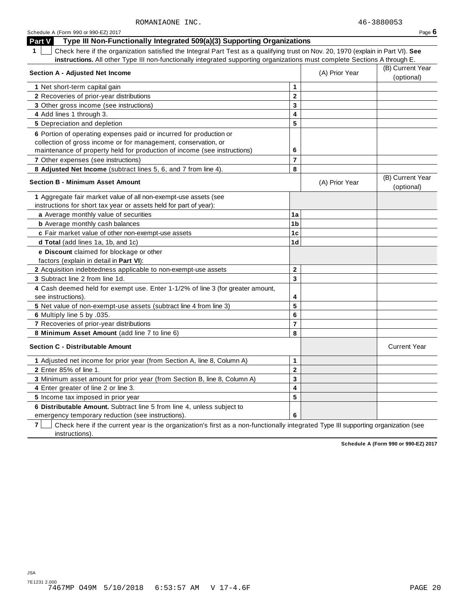| Schedule A (Form 990 or 990-EZ) 2017                                                                                                             |                 |                | Page $6$                       |
|--------------------------------------------------------------------------------------------------------------------------------------------------|-----------------|----------------|--------------------------------|
| Type III Non-Functionally Integrated 509(a)(3) Supporting Organizations<br>Part V                                                                |                 |                |                                |
| $\mathbf{1}$<br>Check here if the organization satisfied the Integral Part Test as a qualifying trust on Nov. 20, 1970 (explain in Part VI). See |                 |                |                                |
| instructions. All other Type III non-functionally integrated supporting organizations must complete Sections A through E.                        |                 |                |                                |
| <b>Section A - Adjusted Net Income</b>                                                                                                           |                 | (A) Prior Year | (B) Current Year               |
|                                                                                                                                                  |                 |                | (optional)                     |
| 1 Net short-term capital gain                                                                                                                    | $\mathbf 1$     |                |                                |
| 2 Recoveries of prior-year distributions                                                                                                         | $\mathbf 2$     |                |                                |
| 3 Other gross income (see instructions)                                                                                                          | 3               |                |                                |
| 4 Add lines 1 through 3.                                                                                                                         | 4               |                |                                |
| 5 Depreciation and depletion                                                                                                                     | 5               |                |                                |
| 6 Portion of operating expenses paid or incurred for production or                                                                               |                 |                |                                |
| collection of gross income or for management, conservation, or                                                                                   |                 |                |                                |
| maintenance of property held for production of income (see instructions)                                                                         | 6               |                |                                |
| 7 Other expenses (see instructions)                                                                                                              | $\overline{7}$  |                |                                |
| 8 Adjusted Net Income (subtract lines 5, 6, and 7 from line 4).                                                                                  | 8               |                |                                |
| <b>Section B - Minimum Asset Amount</b>                                                                                                          |                 | (A) Prior Year | (B) Current Year<br>(optional) |
| 1 Aggregate fair market value of all non-exempt-use assets (see                                                                                  |                 |                |                                |
| instructions for short tax year or assets held for part of year):                                                                                |                 |                |                                |
| a Average monthly value of securities                                                                                                            | 1a              |                |                                |
| <b>b</b> Average monthly cash balances                                                                                                           | 1 <sub>b</sub>  |                |                                |
| c Fair market value of other non-exempt-use assets                                                                                               | 1c              |                |                                |
| d Total (add lines 1a, 1b, and 1c)                                                                                                               | 1d              |                |                                |
| e Discount claimed for blockage or other                                                                                                         |                 |                |                                |
| factors (explain in detail in <b>Part VI</b> ):                                                                                                  |                 |                |                                |
| 2 Acquisition indebtedness applicable to non-exempt-use assets                                                                                   | $\mathbf{2}$    |                |                                |
| 3 Subtract line 2 from line 1d.                                                                                                                  | $\overline{3}$  |                |                                |
| 4 Cash deemed held for exempt use. Enter 1-1/2% of line 3 (for greater amount,<br>see instructions).                                             | 4               |                |                                |
| 5 Net value of non-exempt-use assets (subtract line 4 from line 3)                                                                               | 5               |                |                                |
| 6 Multiply line 5 by .035.                                                                                                                       | $6\phantom{1}6$ |                |                                |
| 7 Recoveries of prior-year distributions                                                                                                         | $\overline{7}$  |                |                                |
| 8 Minimum Asset Amount (add line 7 to line 6)                                                                                                    | 8               |                |                                |
| <b>Section C - Distributable Amount</b>                                                                                                          |                 |                | <b>Current Year</b>            |
| 1 Adjusted net income for prior year (from Section A, line 8, Column A)                                                                          | $\mathbf 1$     |                |                                |
| 2 Enter 85% of line 1.                                                                                                                           | $\mathbf 2$     |                |                                |
| 3 Minimum asset amount for prior year (from Section B, line 8, Column A)                                                                         | 3               |                |                                |
| 4 Enter greater of line 2 or line 3.                                                                                                             | 4               |                |                                |
| 5 Income tax imposed in prior year                                                                                                               | 5               |                |                                |
| 6 Distributable Amount. Subtract line 5 from line 4, unless subject to                                                                           |                 |                |                                |
| emergency temporary reduction (see instructions).                                                                                                | 6               |                |                                |

**7 Check here if the current year is the organization's first as a non-functionally integrated Type III supporting organization (see** instructions).

**Schedule A (Form 990 or 990-EZ) 2017**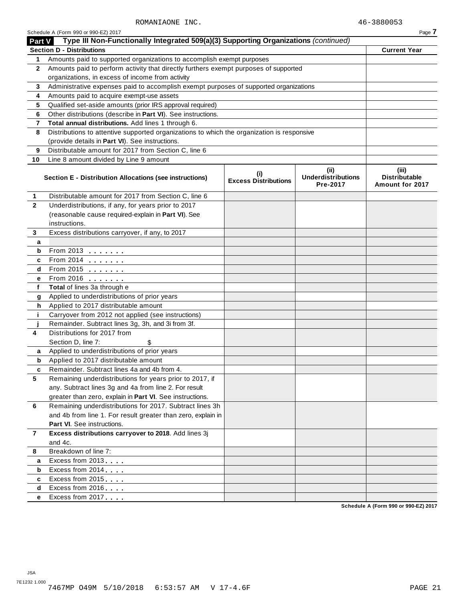| Schedule A (Form 990 or 990-EZ) 2017 |  |  |  |  |  |  |  |  |
|--------------------------------------|--|--|--|--|--|--|--|--|
|--------------------------------------|--|--|--|--|--|--|--|--|

|                | Schedule A (Form 990 or 990-EZ) 2017                                                                                     |                                    |                                               | Page 7                                           |
|----------------|--------------------------------------------------------------------------------------------------------------------------|------------------------------------|-----------------------------------------------|--------------------------------------------------|
| Part V         | Type III Non-Functionally Integrated 509(a)(3) Supporting Organizations (continued)                                      |                                    |                                               |                                                  |
|                | <b>Section D - Distributions</b>                                                                                         |                                    |                                               | <b>Current Year</b>                              |
| 1              | Amounts paid to supported organizations to accomplish exempt purposes                                                    |                                    |                                               |                                                  |
| $\mathbf{2}$   | Amounts paid to perform activity that directly furthers exempt purposes of supported                                     |                                    |                                               |                                                  |
|                | organizations, in excess of income from activity                                                                         |                                    |                                               |                                                  |
| 3              | Administrative expenses paid to accomplish exempt purposes of supported organizations                                    |                                    |                                               |                                                  |
| 4              | Amounts paid to acquire exempt-use assets                                                                                |                                    |                                               |                                                  |
| 5              | Qualified set-aside amounts (prior IRS approval required)                                                                |                                    |                                               |                                                  |
| 6              | Other distributions (describe in Part VI). See instructions.                                                             |                                    |                                               |                                                  |
| 7              | Total annual distributions. Add lines 1 through 6.                                                                       |                                    |                                               |                                                  |
| 8              | Distributions to attentive supported organizations to which the organization is responsive                               |                                    |                                               |                                                  |
|                | (provide details in Part VI). See instructions.                                                                          |                                    |                                               |                                                  |
| 9              | Distributable amount for 2017 from Section C, line 6                                                                     |                                    |                                               |                                                  |
| 10             | Line 8 amount divided by Line 9 amount                                                                                   |                                    |                                               |                                                  |
|                | Section E - Distribution Allocations (see instructions)                                                                  | (i)<br><b>Excess Distributions</b> | (ii)<br><b>Underdistributions</b><br>Pre-2017 | (iii)<br><b>Distributable</b><br>Amount for 2017 |
| 1              | Distributable amount for 2017 from Section C, line 6                                                                     |                                    |                                               |                                                  |
| $\mathbf{2}$   | Underdistributions, if any, for years prior to 2017                                                                      |                                    |                                               |                                                  |
|                | (reasonable cause required-explain in Part VI). See                                                                      |                                    |                                               |                                                  |
|                | instructions.                                                                                                            |                                    |                                               |                                                  |
| 3              | Excess distributions carryover, if any, to 2017                                                                          |                                    |                                               |                                                  |
| a              |                                                                                                                          |                                    |                                               |                                                  |
| b              | From 2013                                                                                                                |                                    |                                               |                                                  |
| c              | From 2014 <b></b>                                                                                                        |                                    |                                               |                                                  |
| d              | From 2015                                                                                                                |                                    |                                               |                                                  |
| е              | From 2016                                                                                                                |                                    |                                               |                                                  |
| $\mathbf f$    | Total of lines 3a through e                                                                                              |                                    |                                               |                                                  |
| g              | Applied to underdistributions of prior years                                                                             |                                    |                                               |                                                  |
| h              | Applied to 2017 distributable amount                                                                                     |                                    |                                               |                                                  |
| j.             | Carryover from 2012 not applied (see instructions)                                                                       |                                    |                                               |                                                  |
|                | Remainder. Subtract lines 3g, 3h, and 3i from 3f.                                                                        |                                    |                                               |                                                  |
| 4              | Distributions for 2017 from                                                                                              |                                    |                                               |                                                  |
|                | Section D, line 7:<br>\$                                                                                                 |                                    |                                               |                                                  |
| a              | Applied to underdistributions of prior years                                                                             |                                    |                                               |                                                  |
| b              | Applied to 2017 distributable amount                                                                                     |                                    |                                               |                                                  |
| c              | Remainder. Subtract lines 4a and 4b from 4.                                                                              |                                    |                                               |                                                  |
| 5              | Remaining underdistributions for years prior to 2017, if                                                                 |                                    |                                               |                                                  |
|                | any. Subtract lines 3g and 4a from line 2. For result                                                                    |                                    |                                               |                                                  |
|                | greater than zero, explain in Part VI. See instructions.                                                                 |                                    |                                               |                                                  |
| 6              | Remaining underdistributions for 2017. Subtract lines 3h<br>and 4b from line 1. For result greater than zero, explain in |                                    |                                               |                                                  |
|                | Part VI. See instructions.                                                                                               |                                    |                                               |                                                  |
| $\overline{7}$ | Excess distributions carryover to 2018. Add lines 3j                                                                     |                                    |                                               |                                                  |
|                | and 4c.                                                                                                                  |                                    |                                               |                                                  |
| 8              | Breakdown of line 7:                                                                                                     |                                    |                                               |                                                  |
| a              | Excess from 2013                                                                                                         |                                    |                                               |                                                  |
| b              | Excess from 2014                                                                                                         |                                    |                                               |                                                  |
| c              | Excess from 2015                                                                                                         |                                    |                                               |                                                  |
| d              | Excess from 2016                                                                                                         |                                    |                                               |                                                  |
| е              | Excess from 2017                                                                                                         |                                    |                                               |                                                  |
|                |                                                                                                                          |                                    |                                               |                                                  |

**Schedule A (Form 990 or 990-EZ) 2017**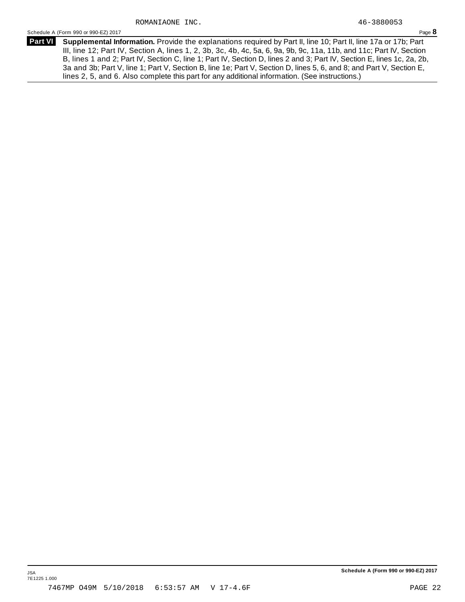**Supplemental Information.** Provide the explanations required by Part II, line 10; Part II, line 17a or 17b; Part **Part VI** III, line 12; Part IV, Section A, lines 1, 2, 3b, 3c, 4b, 4c, 5a, 6, 9a, 9b, 9c, 11a, 11b, and 11c; Part IV, Section B, lines 1 and 2; Part IV, Section C, line 1; Part IV, Section D, lines 2 and 3; Part IV, Section E, lines 1c, 2a, 2b, 3a and 3b; Part V, line 1; Part V, Section B, line 1e; Part V, Section D, lines 5, 6, and 8; and Part V, Section E, lines 2, 5, and 6. Also complete this part for any additional information. (See instructions.)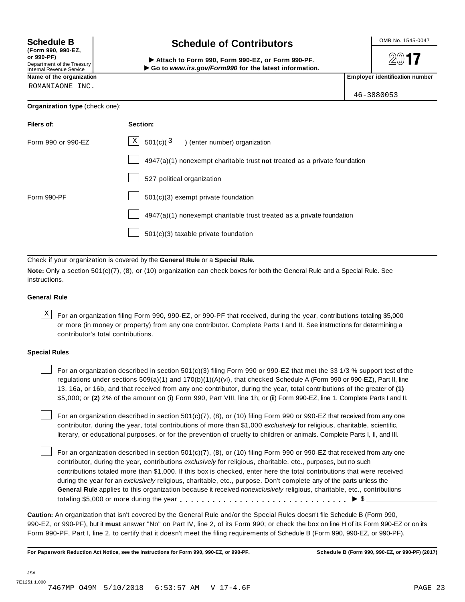| (Form 990, 990-EZ,         |  |
|----------------------------|--|
| or 990-PF)                 |  |
| Department of the Treasury |  |
| Internal Revenue Service   |  |

# ROMANIAONE INC.

**Organization type** (check one):

## **Schedule B**  $\leftarrow$  **Contributors**

(Porm 990, Form 990, Form 990-EZ, or Form 990-PF.<br>Department of the Treasury → Attach to Form 990, Form 990-EZ, or Form 990-PF.<br>Internal Revenue Service → → Go to www.irs.gov/Form990 for the latest information.<br>Name of th

 $20$ **17** 

46-3880053

| Filers of:         | Section:                                                                    |
|--------------------|-----------------------------------------------------------------------------|
| Form 990 or 990-EZ | $X$ 501(c)( $3$ ) (enter number) organization                               |
|                    | $4947(a)(1)$ nonexempt charitable trust not treated as a private foundation |
|                    | 527 political organization                                                  |
| Form 990-PF        | 501(c)(3) exempt private foundation                                         |
|                    | 4947(a)(1) nonexempt charitable trust treated as a private foundation       |
|                    | 501(c)(3) taxable private foundation                                        |

Check if your organization is covered by the **General Rule** or a **Special Rule.**

**Note:** Only a section 501(c)(7), (8), or (10) organization can check boxes for both the General Rule and a Special Rule. See instructions.

#### **General Rule**

 $\overline{X}$  For an organization filing Form 990, 990-EZ, or 990-PF that received, during the year, contributions totaling \$5,000 or more (in money or property) from any one contributor. Complete Parts I and II. See instructions for determining a contributor's total contributions.

#### **Special Rules**

For an organization described in section 501(c)(3) filing Form 990 or 990-EZ that met the 33 1/3 % support test of the regulations under sections 509(a)(1) and 170(b)(1)(A)(vi), that checked Schedule A (Form 990 or 990-EZ), Part II, line 13, 16a, or 16b, and that received from any one contributor, during the year, total contributions of the greater of **(1)** \$5,000; or **(2)** 2% of the amount on (i) Form 990, Part VIII, line 1h; or (ii) Form 990-EZ, line 1. Complete Parts I and II.

For an organization described in section 501(c)(7), (8), or (10) filing Form 990 or 990-EZ that received from any one contributor, during the year, total contributions of more than \$1,000 *exclusively* for religious, charitable, scientific, literary, or educational purposes, or for the prevention of cruelty to children or animals. Complete Parts I, II, and III.

For an organization described in section 501(c)(7), (8), or (10) filing Form 990 or 990-EZ that received from any one contributor, during the year, contributions *exclusively* for religious, charitable, etc., purposes, but no such contributions totaled more than \$1,000. If this box is checked, enter here the total contributions that were received during the year for an *exclusively* religious, charitable, etc., purpose. Don't complete any of the parts unless the **General Rule** applies to this organization because it received *nonexclusively* religious, charitable, etc., contributions totaling \$5,000 or more during the year m m m m m m m m m m m m m m m m m m m m m m m m m m m m m m m I \$

**Caution:** An organization that isn't covered by the General Rule and/or the Special Rules doesn't file Schedule B (Form 990, 990-EZ, or 990-PF), but it **must** answer "No" on Part IV, line 2, of its Form 990; or check the box on line H of its Form 990-EZ or on its Form 990-PF, Part I, line 2, to certify that it doesn't meet the filing requirements of Schedule B (Form 990, 990-EZ, or 990-PF).

For Paperwork Reduction Act Notice, see the instructions for Form 990, 990-EZ, or 990-PF. Schedule B (Form 990, 990-EZ, or 990-PF) (2017)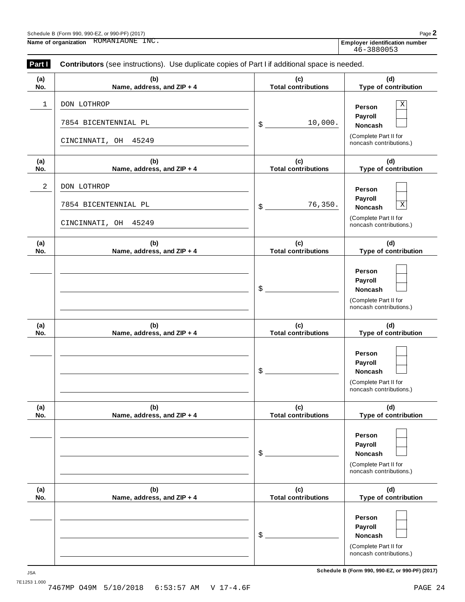| Part I      | <b>Contributors</b> (see instructions). Use duplicate copies of Part I if additional space is needed. |                                   |                                                                                         |  |  |  |  |
|-------------|-------------------------------------------------------------------------------------------------------|-----------------------------------|-----------------------------------------------------------------------------------------|--|--|--|--|
| (a)<br>No.  | (b)<br>Name, address, and ZIP + 4                                                                     | (c)<br><b>Total contributions</b> | (d)<br>Type of contribution                                                             |  |  |  |  |
| $\mathbf 1$ | DON LOTHROP                                                                                           |                                   | Χ<br>Person<br>Payroll                                                                  |  |  |  |  |
|             | 7854 BICENTENNIAL PL                                                                                  | 10,000.<br>$\frac{1}{2}$          | <b>Noncash</b>                                                                          |  |  |  |  |
|             | CINCINNATI, OH<br>45249                                                                               |                                   | (Complete Part II for<br>noncash contributions.)                                        |  |  |  |  |
| (a)<br>No.  | (b)<br>Name, address, and ZIP + 4                                                                     | (c)<br><b>Total contributions</b> | (d)<br>Type of contribution                                                             |  |  |  |  |
| $\sqrt{2}$  | DON LOTHROP                                                                                           |                                   | Person                                                                                  |  |  |  |  |
|             | 7854 BICENTENNIAL PL                                                                                  | 76,350.<br>\$                     | Payroll<br>$\mathbf X$<br><b>Noncash</b>                                                |  |  |  |  |
|             | CINCINNATI, OH<br>45249                                                                               |                                   | (Complete Part II for<br>noncash contributions.)                                        |  |  |  |  |
| (a)<br>No.  | (b)<br>Name, address, and ZIP + 4                                                                     | (c)<br><b>Total contributions</b> | (d)<br>Type of contribution                                                             |  |  |  |  |
|             |                                                                                                       | \$                                | Person<br>Payroll<br><b>Noncash</b><br>(Complete Part II for<br>noncash contributions.) |  |  |  |  |
| (a)<br>No.  | (b)<br>Name, address, and ZIP + 4                                                                     | (c)<br><b>Total contributions</b> | (d)<br>Type of contribution                                                             |  |  |  |  |
|             |                                                                                                       | \$                                | Person<br>Payroll<br>Noncash<br>(Complete Part II for<br>noncash contributions.)        |  |  |  |  |
| (a)<br>No.  | (b)<br>Name, address, and ZIP + 4                                                                     | (c)<br><b>Total contributions</b> | (d)<br>Type of contribution                                                             |  |  |  |  |
|             |                                                                                                       | \$                                | Person<br>Payroll<br><b>Noncash</b><br>(Complete Part II for<br>noncash contributions.) |  |  |  |  |
| (a)<br>No.  | (b)<br>Name, address, and ZIP + 4                                                                     | (c)<br><b>Total contributions</b> | (d)<br>Type of contribution                                                             |  |  |  |  |
|             |                                                                                                       | \$                                | Person<br>Payroll<br>Noncash<br>(Complete Part II for<br>noncash contributions.)        |  |  |  |  |

**Schedule B (Form 990, 990-EZ, or 990-PF) (2017)** JSA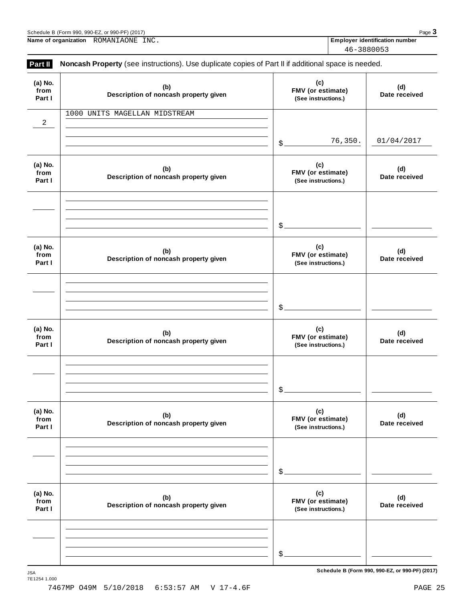7E1254 1.000

Schedule B (Form 990, 990-EZ, or 990-PF) (2017)<br> **Name of organization** ROMANIAONE INC . Property and the set of **Property Control of Schedule B (Form 990, 990-EZ, or 990-PF)** (2017) **Name of organization Employer identification number** ROMANIAONE INC.

**Part II** Noncash Property (see instructions). Use duplicate copies of Part II if additional space is needed.

| (a) No.<br>from<br>Part I | (b)<br>Description of noncash property given | (c)<br>FMV (or estimate)<br>(See instructions.) | (d)<br>Date received |
|---------------------------|----------------------------------------------|-------------------------------------------------|----------------------|
| 2                         | 1000 UNITS MAGELLAN MIDSTREAM                |                                                 |                      |
|                           |                                              | 76,350.<br>$\frac{1}{2}$                        | 01/04/2017           |
| (a) No.<br>from<br>Part I | (b)<br>Description of noncash property given | (c)<br>FMV (or estimate)<br>(See instructions.) | (d)<br>Date received |
|                           |                                              | \$.                                             |                      |
| (a) No.<br>from<br>Part I | (b)<br>Description of noncash property given | (c)<br>FMV (or estimate)<br>(See instructions.) | (d)<br>Date received |
|                           |                                              | \$.                                             |                      |
| (a) No.<br>from<br>Part I | (b)<br>Description of noncash property given | (c)<br>FMV (or estimate)<br>(See instructions.) | (d)<br>Date received |
|                           |                                              | \$.                                             |                      |
| (a) No.<br>from<br>Part I | (b)<br>Description of noncash property given | (c)<br>FMV (or estimate)<br>(See instructions.) | (d)<br>Date received |
|                           |                                              | \$                                              |                      |
| (a) No.<br>from<br>Part I | (b)<br>Description of noncash property given | (c)<br>FMV (or estimate)<br>(See instructions.) | (d)<br>Date received |
|                           |                                              |                                                 |                      |
|                           |                                              | \$                                              |                      |

 $S$ chedule B (Form 990, 990-EZ, or 990-PF) (2017)

46-3880053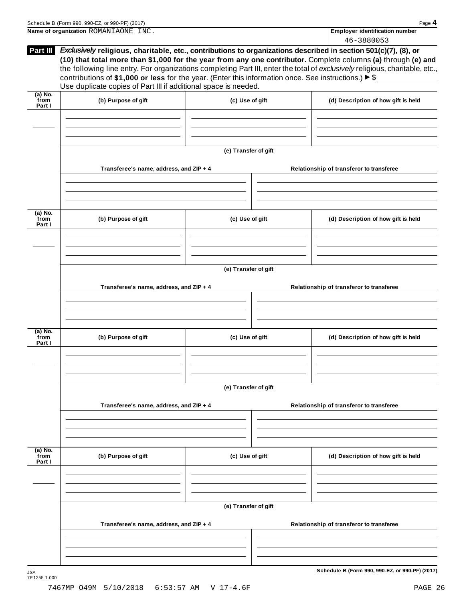|                             | Schedule B (Form 990, 990-EZ, or 990-PF) (2017)                                                                                                                                                                                                                                                                                                                                                                                                                                                                                                            |                      |                                          | Page 4                                   |  |  |
|-----------------------------|------------------------------------------------------------------------------------------------------------------------------------------------------------------------------------------------------------------------------------------------------------------------------------------------------------------------------------------------------------------------------------------------------------------------------------------------------------------------------------------------------------------------------------------------------------|----------------------|------------------------------------------|------------------------------------------|--|--|
|                             | Name of organization ROMANIAONE INC.                                                                                                                                                                                                                                                                                                                                                                                                                                                                                                                       |                      |                                          | Employer identification number           |  |  |
| Part III                    | Exclusively religious, charitable, etc., contributions to organizations described in section 501(c)(7), (8), or<br>(10) that total more than \$1,000 for the year from any one contributor. Complete columns (a) through (e) and<br>the following line entry. For organizations completing Part III, enter the total of exclusively religious, charitable, etc.,<br>contributions of \$1,000 or less for the year. (Enter this information once. See instructions.) $\triangleright$ \$<br>Use duplicate copies of Part III if additional space is needed. |                      |                                          | 46-3880053                               |  |  |
| $(a)$ No.<br>from<br>Part I | (b) Purpose of gift                                                                                                                                                                                                                                                                                                                                                                                                                                                                                                                                        | (c) Use of gift      |                                          | (d) Description of how gift is held      |  |  |
|                             |                                                                                                                                                                                                                                                                                                                                                                                                                                                                                                                                                            |                      |                                          |                                          |  |  |
|                             | Transferee's name, address, and ZIP + 4                                                                                                                                                                                                                                                                                                                                                                                                                                                                                                                    | (e) Transfer of gift | Relationship of transferor to transferee |                                          |  |  |
| $(a)$ No.<br>from<br>Part I | (b) Purpose of gift                                                                                                                                                                                                                                                                                                                                                                                                                                                                                                                                        | (c) Use of gift      |                                          | (d) Description of how gift is held      |  |  |
|                             | Transferee's name, address, and ZIP + 4                                                                                                                                                                                                                                                                                                                                                                                                                                                                                                                    | (e) Transfer of gift |                                          | Relationship of transferor to transferee |  |  |
| (a) No.<br>from<br>Part I   | (b) Purpose of gift                                                                                                                                                                                                                                                                                                                                                                                                                                                                                                                                        | (c) Use of gift      |                                          | (d) Description of how gift is held      |  |  |
|                             | (e) Transfer of gift<br>Transferee's name, address, and ZIP + 4<br>Relationship of transferor to transferee                                                                                                                                                                                                                                                                                                                                                                                                                                                |                      |                                          |                                          |  |  |
|                             |                                                                                                                                                                                                                                                                                                                                                                                                                                                                                                                                                            |                      |                                          |                                          |  |  |
| $(a)$ No.<br>from<br>Part I | (b) Purpose of gift                                                                                                                                                                                                                                                                                                                                                                                                                                                                                                                                        | (c) Use of gift      |                                          | (d) Description of how gift is held      |  |  |
|                             |                                                                                                                                                                                                                                                                                                                                                                                                                                                                                                                                                            | (e) Transfer of gift |                                          |                                          |  |  |
|                             | Transferee's name, address, and ZIP + 4                                                                                                                                                                                                                                                                                                                                                                                                                                                                                                                    |                      |                                          | Relationship of transferor to transferee |  |  |
|                             |                                                                                                                                                                                                                                                                                                                                                                                                                                                                                                                                                            |                      |                                          |                                          |  |  |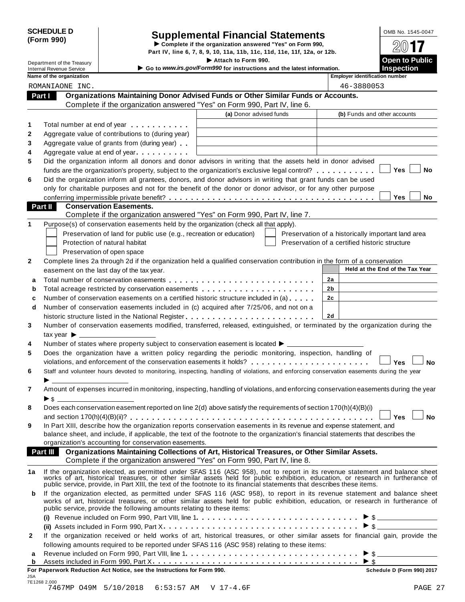| <b>SCHEDULE D</b> |  |
|-------------------|--|
| (Form 990)        |  |

# Supplemental Financial Statements<br>  $\triangleright$  Complete if the organization answered "Yes" on Form 990,<br>
Part IV, line 6, 7, 8, 9, 10, 11a, 11b, 11c, 11d, 11e, 11f, 12a, or 12b.<br>  $\triangleright$  Attach to Form 990.

**Department of the Treasury**<br> **Department of the Treasury**<br> **Department of the Treasury**<br> **Depart of Public**<br> **Department of the Treasury**<br> **Depart of Public Conservery**<br> **Department of the Treasury**<br> **Department of the** 

| ROMANTAONE TNC |  |  |
|----------------|--|--|

|              | <b>Internal Revenue Service</b> |                                                                        | Go to www.irs.gov/Form990 for instructions and the latest information.                                                                                                                                                         | <b>Inspection</b>                                  |
|--------------|---------------------------------|------------------------------------------------------------------------|--------------------------------------------------------------------------------------------------------------------------------------------------------------------------------------------------------------------------------|----------------------------------------------------|
|              | Name of the organization        |                                                                        |                                                                                                                                                                                                                                | <b>Employer identification number</b>              |
|              | ROMANIAONE INC.                 |                                                                        |                                                                                                                                                                                                                                | 46-3880053                                         |
| Part I       |                                 |                                                                        | Organizations Maintaining Donor Advised Funds or Other Similar Funds or Accounts.                                                                                                                                              |                                                    |
|              |                                 |                                                                        | Complete if the organization answered "Yes" on Form 990, Part IV, line 6.                                                                                                                                                      |                                                    |
|              |                                 |                                                                        | (a) Donor advised funds                                                                                                                                                                                                        | (b) Funds and other accounts                       |
| 1            |                                 | Total number at end of year                                            |                                                                                                                                                                                                                                |                                                    |
| $\mathbf{2}$ |                                 | Aggregate value of contributions to (during year)                      |                                                                                                                                                                                                                                |                                                    |
| 3            |                                 | Aggregate value of grants from (during year)                           |                                                                                                                                                                                                                                |                                                    |
| 4            |                                 | Aggregate value at end of year                                         |                                                                                                                                                                                                                                |                                                    |
| 5            |                                 |                                                                        | Did the organization inform all donors and donor advisors in writing that the assets held in donor advised                                                                                                                     |                                                    |
|              |                                 |                                                                        | funds are the organization's property, subject to the organization's exclusive legal control?                                                                                                                                  | <b>Yes</b><br>No                                   |
| 6            |                                 |                                                                        | Did the organization inform all grantees, donors, and donor advisors in writing that grant funds can be used                                                                                                                   |                                                    |
|              |                                 |                                                                        | only for charitable purposes and not for the benefit of the donor or donor advisor, or for any other purpose                                                                                                                   |                                                    |
|              |                                 |                                                                        |                                                                                                                                                                                                                                | Yes<br>No                                          |
| Part II      |                                 | <b>Conservation Easements.</b>                                         |                                                                                                                                                                                                                                |                                                    |
|              |                                 |                                                                        | Complete if the organization answered "Yes" on Form 990, Part IV, line 7.                                                                                                                                                      |                                                    |
| 1            |                                 |                                                                        | Purpose(s) of conservation easements held by the organization (check all that apply).                                                                                                                                          |                                                    |
|              |                                 | Preservation of land for public use (e.g., recreation or education)    |                                                                                                                                                                                                                                | Preservation of a historically important land area |
|              |                                 | Protection of natural habitat                                          |                                                                                                                                                                                                                                | Preservation of a certified historic structure     |
|              |                                 | Preservation of open space                                             |                                                                                                                                                                                                                                |                                                    |
| $\mathbf{2}$ |                                 |                                                                        | Complete lines 2a through 2d if the organization held a qualified conservation contribution in the form of a conservation                                                                                                      |                                                    |
|              |                                 | easement on the last day of the tax year.                              |                                                                                                                                                                                                                                | Held at the End of the Tax Year                    |
| a            |                                 |                                                                        |                                                                                                                                                                                                                                | 2a                                                 |
| b            |                                 |                                                                        | Total acreage restricted by conservation easements                                                                                                                                                                             | 2b                                                 |
| c            |                                 |                                                                        | Number of conservation easements on a certified historic structure included in (a)                                                                                                                                             | 2c                                                 |
| d            |                                 |                                                                        | Number of conservation easements included in (c) acquired after 7/25/06, and not on a                                                                                                                                          |                                                    |
|              |                                 |                                                                        |                                                                                                                                                                                                                                | <b>2d</b>                                          |
| 3            |                                 |                                                                        | Number of conservation easements modified, transferred, released, extinguished, or terminated by the organization during the                                                                                                   |                                                    |
|              |                                 |                                                                        |                                                                                                                                                                                                                                |                                                    |
| 4            |                                 |                                                                        | Number of states where property subject to conservation easement is located ▶ _____                                                                                                                                            |                                                    |
| 5            |                                 |                                                                        | Does the organization have a written policy regarding the periodic monitoring, inspection, handling of                                                                                                                         |                                                    |
|              |                                 |                                                                        | violations, and enforcement of the conservation easements it holds?                                                                                                                                                            | Yes<br>No                                          |
| 6            |                                 |                                                                        | Staff and volunteer hours devoted to monitoring, inspecting, handling of violations, and enforcing conservation easements during the year                                                                                      |                                                    |
|              |                                 |                                                                        |                                                                                                                                                                                                                                |                                                    |
| 7            |                                 |                                                                        | Amount of expenses incurred in monitoring, inspecting, handling of violations, and enforcing conservation easements during the year                                                                                            |                                                    |
|              | $\blacktriangleright$ \$        |                                                                        |                                                                                                                                                                                                                                |                                                    |
| 8            |                                 |                                                                        | Does each conservation easement reported on line 2(d) above satisfy the requirements of section 170(h)(4)(B)(i)                                                                                                                |                                                    |
|              |                                 |                                                                        |                                                                                                                                                                                                                                | Yes<br><b>No</b>                                   |
| 9            |                                 |                                                                        | In Part XIII, describe how the organization reports conservation easements in its revenue and expense statement, and                                                                                                           |                                                    |
|              |                                 |                                                                        | balance sheet, and include, if applicable, the text of the footnote to the organization's financial statements that describes the                                                                                              |                                                    |
| Part III     |                                 | organization's accounting for conservation easements.                  | Organizations Maintaining Collections of Art, Historical Treasures, or Other Similar Assets.                                                                                                                                   |                                                    |
|              |                                 |                                                                        | Complete if the organization answered "Yes" on Form 990, Part IV, line 8.                                                                                                                                                      |                                                    |
|              |                                 |                                                                        |                                                                                                                                                                                                                                |                                                    |
| 1a           |                                 |                                                                        | If the organization elected, as permitted under SFAS 116 (ASC 958), not to report in its revenue statement and balance sheet works of art, historical treasures, or other similar assets held for public exhibition, education |                                                    |
|              |                                 |                                                                        | public service, provide, in Part XIII, the text of the footnote to its financial statements that describes these items.                                                                                                        |                                                    |
| b            |                                 |                                                                        | If the organization elected, as permitted under SFAS 116 (ASC 958), to report in its revenue statement and balance sheet                                                                                                       |                                                    |
|              |                                 |                                                                        | works of art, historical treasures, or other similar assets held for public exhibition, education, or research in furtherance of                                                                                               |                                                    |
|              |                                 | public service, provide the following amounts relating to these items: |                                                                                                                                                                                                                                |                                                    |
|              |                                 |                                                                        |                                                                                                                                                                                                                                | $\triangleright$ \$                                |
|              |                                 |                                                                        |                                                                                                                                                                                                                                | $\triangleright$ \$                                |
| $\mathbf{2}$ |                                 |                                                                        | If the organization received or held works of art, historical treasures, or other similar assets for financial gain, provide the                                                                                               |                                                    |
|              |                                 |                                                                        | following amounts required to be reported under SFAS 116 (ASC 958) relating to these items:                                                                                                                                    |                                                    |
| a            |                                 |                                                                        |                                                                                                                                                                                                                                |                                                    |
|              |                                 |                                                                        |                                                                                                                                                                                                                                |                                                    |

**For Paperwork Reduction Act Notice, see the Instructions for Form 990. Schedule D (Form 990) 2017**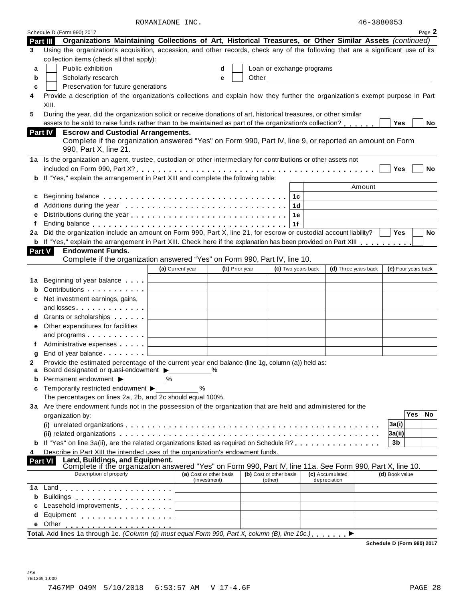ROMANIAONE INC.

| 46-3880053 |  |  |  |
|------------|--|--|--|
|------------|--|--|--|

| Organizations Maintaining Collections of Art, Historical Treasures, or Other Similar Assets (continued)<br>Part III<br>Using the organization's acquisition, accession, and other records, check any of the following that are a significant use of its<br>3<br>collection items (check all that apply):<br>Public exhibition<br>Loan or exchange programs<br>d<br>a<br>Scholarly research<br>е<br>b<br>Preservation for future generations<br>c<br>Provide a description of the organization's collections and explain how they further the organization's exempt purpose in Part<br>4<br>XIII.<br>During the year, did the organization solicit or receive donations of art, historical treasures, or other similar<br>5<br>assets to be sold to raise funds rather than to be maintained as part of the organization's collection?<br>Yes<br>No<br>Part IV<br><b>Escrow and Custodial Arrangements.</b><br>Complete if the organization answered "Yes" on Form 990, Part IV, line 9, or reported an amount on Form<br>990, Part X, line 21.<br>1a Is the organization an agent, trustee, custodian or other intermediary for contributions or other assets not<br>Yes<br>No<br>If "Yes," explain the arrangement in Part XIII and complete the following table:<br>b<br>Amount<br>1с.<br>c<br>Additions during the year enterpretation of the state of the state of the state of the state of the state of t<br>1d |
|-----------------------------------------------------------------------------------------------------------------------------------------------------------------------------------------------------------------------------------------------------------------------------------------------------------------------------------------------------------------------------------------------------------------------------------------------------------------------------------------------------------------------------------------------------------------------------------------------------------------------------------------------------------------------------------------------------------------------------------------------------------------------------------------------------------------------------------------------------------------------------------------------------------------------------------------------------------------------------------------------------------------------------------------------------------------------------------------------------------------------------------------------------------------------------------------------------------------------------------------------------------------------------------------------------------------------------------------------------------------------------------------------------------------------|
|                                                                                                                                                                                                                                                                                                                                                                                                                                                                                                                                                                                                                                                                                                                                                                                                                                                                                                                                                                                                                                                                                                                                                                                                                                                                                                                                                                                                                       |
|                                                                                                                                                                                                                                                                                                                                                                                                                                                                                                                                                                                                                                                                                                                                                                                                                                                                                                                                                                                                                                                                                                                                                                                                                                                                                                                                                                                                                       |
|                                                                                                                                                                                                                                                                                                                                                                                                                                                                                                                                                                                                                                                                                                                                                                                                                                                                                                                                                                                                                                                                                                                                                                                                                                                                                                                                                                                                                       |
|                                                                                                                                                                                                                                                                                                                                                                                                                                                                                                                                                                                                                                                                                                                                                                                                                                                                                                                                                                                                                                                                                                                                                                                                                                                                                                                                                                                                                       |
|                                                                                                                                                                                                                                                                                                                                                                                                                                                                                                                                                                                                                                                                                                                                                                                                                                                                                                                                                                                                                                                                                                                                                                                                                                                                                                                                                                                                                       |
|                                                                                                                                                                                                                                                                                                                                                                                                                                                                                                                                                                                                                                                                                                                                                                                                                                                                                                                                                                                                                                                                                                                                                                                                                                                                                                                                                                                                                       |
|                                                                                                                                                                                                                                                                                                                                                                                                                                                                                                                                                                                                                                                                                                                                                                                                                                                                                                                                                                                                                                                                                                                                                                                                                                                                                                                                                                                                                       |
|                                                                                                                                                                                                                                                                                                                                                                                                                                                                                                                                                                                                                                                                                                                                                                                                                                                                                                                                                                                                                                                                                                                                                                                                                                                                                                                                                                                                                       |
|                                                                                                                                                                                                                                                                                                                                                                                                                                                                                                                                                                                                                                                                                                                                                                                                                                                                                                                                                                                                                                                                                                                                                                                                                                                                                                                                                                                                                       |
|                                                                                                                                                                                                                                                                                                                                                                                                                                                                                                                                                                                                                                                                                                                                                                                                                                                                                                                                                                                                                                                                                                                                                                                                                                                                                                                                                                                                                       |
|                                                                                                                                                                                                                                                                                                                                                                                                                                                                                                                                                                                                                                                                                                                                                                                                                                                                                                                                                                                                                                                                                                                                                                                                                                                                                                                                                                                                                       |
|                                                                                                                                                                                                                                                                                                                                                                                                                                                                                                                                                                                                                                                                                                                                                                                                                                                                                                                                                                                                                                                                                                                                                                                                                                                                                                                                                                                                                       |
|                                                                                                                                                                                                                                                                                                                                                                                                                                                                                                                                                                                                                                                                                                                                                                                                                                                                                                                                                                                                                                                                                                                                                                                                                                                                                                                                                                                                                       |
|                                                                                                                                                                                                                                                                                                                                                                                                                                                                                                                                                                                                                                                                                                                                                                                                                                                                                                                                                                                                                                                                                                                                                                                                                                                                                                                                                                                                                       |
|                                                                                                                                                                                                                                                                                                                                                                                                                                                                                                                                                                                                                                                                                                                                                                                                                                                                                                                                                                                                                                                                                                                                                                                                                                                                                                                                                                                                                       |
|                                                                                                                                                                                                                                                                                                                                                                                                                                                                                                                                                                                                                                                                                                                                                                                                                                                                                                                                                                                                                                                                                                                                                                                                                                                                                                                                                                                                                       |
| 1e                                                                                                                                                                                                                                                                                                                                                                                                                                                                                                                                                                                                                                                                                                                                                                                                                                                                                                                                                                                                                                                                                                                                                                                                                                                                                                                                                                                                                    |
| f<br>1f                                                                                                                                                                                                                                                                                                                                                                                                                                                                                                                                                                                                                                                                                                                                                                                                                                                                                                                                                                                                                                                                                                                                                                                                                                                                                                                                                                                                               |
| Did the organization include an amount on Form 990, Part X, line 21, for escrow or custodial account liability?<br><b>Yes</b><br>No<br>2a                                                                                                                                                                                                                                                                                                                                                                                                                                                                                                                                                                                                                                                                                                                                                                                                                                                                                                                                                                                                                                                                                                                                                                                                                                                                             |
| <b>b</b> If "Yes," explain the arrangement in Part XIII. Check here if the explanation has been provided on Part XIII                                                                                                                                                                                                                                                                                                                                                                                                                                                                                                                                                                                                                                                                                                                                                                                                                                                                                                                                                                                                                                                                                                                                                                                                                                                                                                 |
| <b>Endowment Funds.</b><br><b>Part V</b>                                                                                                                                                                                                                                                                                                                                                                                                                                                                                                                                                                                                                                                                                                                                                                                                                                                                                                                                                                                                                                                                                                                                                                                                                                                                                                                                                                              |
| Complete if the organization answered "Yes" on Form 990, Part IV, line 10.                                                                                                                                                                                                                                                                                                                                                                                                                                                                                                                                                                                                                                                                                                                                                                                                                                                                                                                                                                                                                                                                                                                                                                                                                                                                                                                                            |
| (c) Two years back<br>(d) Three years back<br>(e) Four years back<br>(a) Current year<br>(b) Prior year                                                                                                                                                                                                                                                                                                                                                                                                                                                                                                                                                                                                                                                                                                                                                                                                                                                                                                                                                                                                                                                                                                                                                                                                                                                                                                               |
|                                                                                                                                                                                                                                                                                                                                                                                                                                                                                                                                                                                                                                                                                                                                                                                                                                                                                                                                                                                                                                                                                                                                                                                                                                                                                                                                                                                                                       |
| Beginning of year balance entitled<br>1а                                                                                                                                                                                                                                                                                                                                                                                                                                                                                                                                                                                                                                                                                                                                                                                                                                                                                                                                                                                                                                                                                                                                                                                                                                                                                                                                                                              |
| Contributions <b>Contributions</b><br>b                                                                                                                                                                                                                                                                                                                                                                                                                                                                                                                                                                                                                                                                                                                                                                                                                                                                                                                                                                                                                                                                                                                                                                                                                                                                                                                                                                               |
| Net investment earnings, gains,                                                                                                                                                                                                                                                                                                                                                                                                                                                                                                                                                                                                                                                                                                                                                                                                                                                                                                                                                                                                                                                                                                                                                                                                                                                                                                                                                                                       |
| and losses <b>and in the set of the set of the set of the set of the set of the set of the set of the set of the s</b>                                                                                                                                                                                                                                                                                                                                                                                                                                                                                                                                                                                                                                                                                                                                                                                                                                                                                                                                                                                                                                                                                                                                                                                                                                                                                                |
| Grants or scholarships                                                                                                                                                                                                                                                                                                                                                                                                                                                                                                                                                                                                                                                                                                                                                                                                                                                                                                                                                                                                                                                                                                                                                                                                                                                                                                                                                                                                |
| Other expenditures for facilities<br>е                                                                                                                                                                                                                                                                                                                                                                                                                                                                                                                                                                                                                                                                                                                                                                                                                                                                                                                                                                                                                                                                                                                                                                                                                                                                                                                                                                                |
| and programs                                                                                                                                                                                                                                                                                                                                                                                                                                                                                                                                                                                                                                                                                                                                                                                                                                                                                                                                                                                                                                                                                                                                                                                                                                                                                                                                                                                                          |
| Administrative expenses<br>f                                                                                                                                                                                                                                                                                                                                                                                                                                                                                                                                                                                                                                                                                                                                                                                                                                                                                                                                                                                                                                                                                                                                                                                                                                                                                                                                                                                          |
| End of year balance [1]<br>g                                                                                                                                                                                                                                                                                                                                                                                                                                                                                                                                                                                                                                                                                                                                                                                                                                                                                                                                                                                                                                                                                                                                                                                                                                                                                                                                                                                          |
| Provide the estimated percentage of the current year end balance (line 1g, column (a)) held as:<br>2                                                                                                                                                                                                                                                                                                                                                                                                                                                                                                                                                                                                                                                                                                                                                                                                                                                                                                                                                                                                                                                                                                                                                                                                                                                                                                                  |
| Board designated or quasi-endowment ><br>a                                                                                                                                                                                                                                                                                                                                                                                                                                                                                                                                                                                                                                                                                                                                                                                                                                                                                                                                                                                                                                                                                                                                                                                                                                                                                                                                                                            |
| Permanent endowment ▶<br>%<br>b                                                                                                                                                                                                                                                                                                                                                                                                                                                                                                                                                                                                                                                                                                                                                                                                                                                                                                                                                                                                                                                                                                                                                                                                                                                                                                                                                                                       |
| Temporarily restricted endowment ▶<br>%<br>c                                                                                                                                                                                                                                                                                                                                                                                                                                                                                                                                                                                                                                                                                                                                                                                                                                                                                                                                                                                                                                                                                                                                                                                                                                                                                                                                                                          |
| The percentages on lines 2a, 2b, and 2c should equal 100%.                                                                                                                                                                                                                                                                                                                                                                                                                                                                                                                                                                                                                                                                                                                                                                                                                                                                                                                                                                                                                                                                                                                                                                                                                                                                                                                                                            |
| 3a Are there endowment funds not in the possession of the organization that are held and administered for the                                                                                                                                                                                                                                                                                                                                                                                                                                                                                                                                                                                                                                                                                                                                                                                                                                                                                                                                                                                                                                                                                                                                                                                                                                                                                                         |
| Yes<br>No<br>organization by:                                                                                                                                                                                                                                                                                                                                                                                                                                                                                                                                                                                                                                                                                                                                                                                                                                                                                                                                                                                                                                                                                                                                                                                                                                                                                                                                                                                         |
| 3a(i)                                                                                                                                                                                                                                                                                                                                                                                                                                                                                                                                                                                                                                                                                                                                                                                                                                                                                                                                                                                                                                                                                                                                                                                                                                                                                                                                                                                                                 |
| 3a(ii)                                                                                                                                                                                                                                                                                                                                                                                                                                                                                                                                                                                                                                                                                                                                                                                                                                                                                                                                                                                                                                                                                                                                                                                                                                                                                                                                                                                                                |
| <b>b</b> If "Yes" on line 3a(ii), are the related organizations listed as required on Schedule R?<br>3b                                                                                                                                                                                                                                                                                                                                                                                                                                                                                                                                                                                                                                                                                                                                                                                                                                                                                                                                                                                                                                                                                                                                                                                                                                                                                                               |
| Describe in Part XIII the intended uses of the organization's endowment funds.<br>4                                                                                                                                                                                                                                                                                                                                                                                                                                                                                                                                                                                                                                                                                                                                                                                                                                                                                                                                                                                                                                                                                                                                                                                                                                                                                                                                   |
| Land, Buildings, and Equipment.<br>Complete if the organization answered "Yes" on Form 990, Part IV, line 11a. See Form 990, Part X, line 10.<br><b>Part VI</b>                                                                                                                                                                                                                                                                                                                                                                                                                                                                                                                                                                                                                                                                                                                                                                                                                                                                                                                                                                                                                                                                                                                                                                                                                                                       |
| Description of property<br>(a) Cost or other basis<br>(d) Book value<br>(b) Cost or other basis<br>(c) Accumulated                                                                                                                                                                                                                                                                                                                                                                                                                                                                                                                                                                                                                                                                                                                                                                                                                                                                                                                                                                                                                                                                                                                                                                                                                                                                                                    |
| (investment)<br>(other)<br>depreciation                                                                                                                                                                                                                                                                                                                                                                                                                                                                                                                                                                                                                                                                                                                                                                                                                                                                                                                                                                                                                                                                                                                                                                                                                                                                                                                                                                               |
| 1a<br>Land experience in the series of the series of the series of the series of the series of the series of the series of the series of the series of the series of the series of the series of the series of the series of the ser                                                                                                                                                                                                                                                                                                                                                                                                                                                                                                                                                                                                                                                                                                                                                                                                                                                                                                                                                                                                                                                                                                                                                                                  |
| <b>Buildings</b><br>b<br>.                                                                                                                                                                                                                                                                                                                                                                                                                                                                                                                                                                                                                                                                                                                                                                                                                                                                                                                                                                                                                                                                                                                                                                                                                                                                                                                                                                                            |
| Leasehold improvements<br>c                                                                                                                                                                                                                                                                                                                                                                                                                                                                                                                                                                                                                                                                                                                                                                                                                                                                                                                                                                                                                                                                                                                                                                                                                                                                                                                                                                                           |
| Equipment<br>d<br>.                                                                                                                                                                                                                                                                                                                                                                                                                                                                                                                                                                                                                                                                                                                                                                                                                                                                                                                                                                                                                                                                                                                                                                                                                                                                                                                                                                                                   |
| Other<br>е                                                                                                                                                                                                                                                                                                                                                                                                                                                                                                                                                                                                                                                                                                                                                                                                                                                                                                                                                                                                                                                                                                                                                                                                                                                                                                                                                                                                            |
| Total. Add lines 1a through 1e. (Column (d) must equal Form 990, Part X, column (B), line 10c.), $\Box$                                                                                                                                                                                                                                                                                                                                                                                                                                                                                                                                                                                                                                                                                                                                                                                                                                                                                                                                                                                                                                                                                                                                                                                                                                                                                                               |

**Schedule D (Form 990) 2017**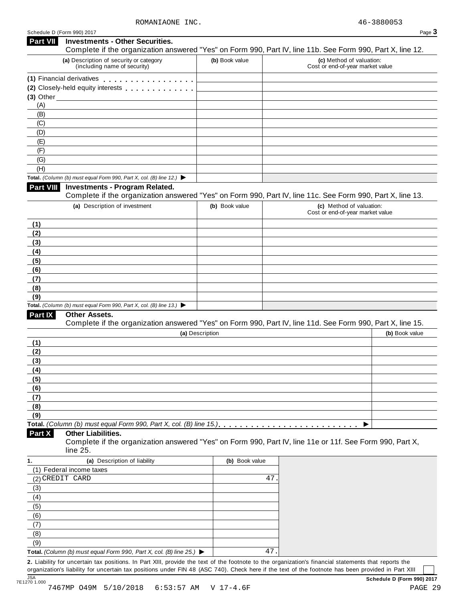| <b>Part VII</b>                 | <b>Investments - Other Securities.</b>                                                   |                 | Complete if the organization answered "Yes" on Form 990, Part IV, line 11b. See Form 990, Part X, line 12. |
|---------------------------------|------------------------------------------------------------------------------------------|-----------------|------------------------------------------------------------------------------------------------------------|
|                                 | (a) Description of security or category<br>(including name of security)                  | (b) Book value  | (c) Method of valuation:<br>Cost or end-of-year market value                                               |
|                                 | (1) Financial derivatives                                                                |                 |                                                                                                            |
|                                 | (2) Closely-held equity interests                                                        |                 |                                                                                                            |
|                                 | $(3)$ Other                                                                              |                 |                                                                                                            |
| (A)                             |                                                                                          |                 |                                                                                                            |
| (B)                             |                                                                                          |                 |                                                                                                            |
| (C)                             |                                                                                          |                 |                                                                                                            |
| (D)                             |                                                                                          |                 |                                                                                                            |
| (E)                             |                                                                                          |                 |                                                                                                            |
| (F)<br>(G)                      |                                                                                          |                 |                                                                                                            |
| (H)                             |                                                                                          |                 |                                                                                                            |
|                                 | Total. (Column (b) must equal Form 990, Part X, col. (B) line 12.) $\blacktriangleright$ |                 |                                                                                                            |
|                                 | Part VIII Investments - Program Related.                                                 |                 | Complete if the organization answered "Yes" on Form 990, Part IV, line 11c. See Form 990, Part X, line 13. |
|                                 | (a) Description of investment                                                            | (b) Book value  | (c) Method of valuation:                                                                                   |
|                                 |                                                                                          |                 | Cost or end-of-year market value                                                                           |
| (1)                             |                                                                                          |                 |                                                                                                            |
| (2)                             |                                                                                          |                 |                                                                                                            |
| (3)                             |                                                                                          |                 |                                                                                                            |
| (4)                             |                                                                                          |                 |                                                                                                            |
| (5)                             |                                                                                          |                 |                                                                                                            |
| (6)                             |                                                                                          |                 |                                                                                                            |
| (7)                             |                                                                                          |                 |                                                                                                            |
| (8)                             |                                                                                          |                 |                                                                                                            |
| (9)                             |                                                                                          |                 |                                                                                                            |
|                                 | Total. (Column (b) must equal Form 990, Part X, col. (B) line 13.) $\blacktriangleright$ |                 |                                                                                                            |
| Part IX                         | Other Assets.                                                                            |                 | Complete if the organization answered "Yes" on Form 990, Part IV, line 11d. See Form 990, Part X, line 15. |
|                                 |                                                                                          | (a) Description | (b) Book value                                                                                             |
| (1)                             |                                                                                          |                 |                                                                                                            |
| (2)                             |                                                                                          |                 |                                                                                                            |
| (3)                             |                                                                                          |                 |                                                                                                            |
| (4)                             |                                                                                          |                 |                                                                                                            |
| (5)                             |                                                                                          |                 |                                                                                                            |
| (6)                             |                                                                                          |                 |                                                                                                            |
| (7)                             |                                                                                          |                 |                                                                                                            |
|                                 |                                                                                          |                 |                                                                                                            |
|                                 |                                                                                          |                 |                                                                                                            |
| (8)<br>(9)                      |                                                                                          |                 | ▶                                                                                                          |
|                                 |                                                                                          |                 |                                                                                                            |
|                                 | <b>Other Liabilities.</b>                                                                |                 |                                                                                                            |
|                                 |                                                                                          |                 | Complete if the organization answered "Yes" on Form 990, Part IV, line 11e or 11f. See Form 990, Part X,   |
|                                 | line 25.                                                                                 |                 |                                                                                                            |
|                                 | (a) Description of liability                                                             | (b) Book value  |                                                                                                            |
|                                 | (1) Federal income taxes                                                                 | 47              |                                                                                                            |
|                                 | (2) CREDIT CARD                                                                          |                 |                                                                                                            |
|                                 |                                                                                          |                 |                                                                                                            |
|                                 |                                                                                          |                 |                                                                                                            |
|                                 |                                                                                          |                 |                                                                                                            |
| (3)<br>(4)<br>(5)<br>(6)<br>(7) |                                                                                          |                 |                                                                                                            |
| (8)                             |                                                                                          |                 |                                                                                                            |
| Part X<br>1.<br>(9)             |                                                                                          |                 |                                                                                                            |

organization's liability for uncertain tax positions under FIN 48 (ASC 740). Check here ifthe text of the footnote has been provided in Part XIII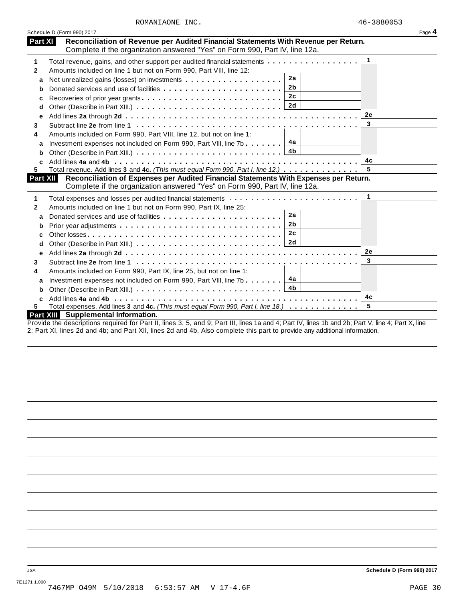| ROMANIAONE INC. | 46-3880053 |
|-----------------|------------|
|                 |            |

|              | Schedule D (Form 990) 2017                                                                                                                                           |              | Page 4 |
|--------------|----------------------------------------------------------------------------------------------------------------------------------------------------------------------|--------------|--------|
| Part XI      | Reconciliation of Revenue per Audited Financial Statements With Revenue per Return.<br>Complete if the organization answered "Yes" on Form 990, Part IV, line 12a.   |              |        |
| 1            | Total revenue, gains, and other support per audited financial statements                                                                                             | $\mathbf{1}$ |        |
| 2            | Amounts included on line 1 but not on Form 990, Part VIII, line 12:                                                                                                  |              |        |
|              | 2a                                                                                                                                                                   |              |        |
| a            | 2 <sub>b</sub><br>Donated services and use of facilities                                                                                                             |              |        |
| b            |                                                                                                                                                                      |              |        |
| с            |                                                                                                                                                                      |              |        |
| d            |                                                                                                                                                                      | <b>2e</b>    |        |
| e            |                                                                                                                                                                      | 3            |        |
| 3            |                                                                                                                                                                      |              |        |
| 4            | Amounts included on Form 990, Part VIII, line 12, but not on line 1:                                                                                                 |              |        |
| a            | 4a<br>Investment expenses not included on Form 990, Part VIII, line 7b                                                                                               |              |        |
| b            | 4 <sub>b</sub>                                                                                                                                                       |              |        |
|              |                                                                                                                                                                      | 4c           |        |
| 5            | Total revenue. Add lines 3 and 4c. (This must equal Form 990, Part I, line 12.)                                                                                      | 5            |        |
| Part XII     | Reconciliation of Expenses per Audited Financial Statements With Expenses per Return.<br>Complete if the organization answered "Yes" on Form 990, Part IV, line 12a. |              |        |
| 1            |                                                                                                                                                                      | 1            |        |
| $\mathbf{2}$ | Amounts included on line 1 but not on Form 990, Part IX, line 25:                                                                                                    |              |        |
| a            | 2a                                                                                                                                                                   |              |        |
| b            | 2 <sub>b</sub>                                                                                                                                                       |              |        |
| C            | 2 <sub>c</sub>                                                                                                                                                       |              |        |
|              |                                                                                                                                                                      |              |        |
| e            |                                                                                                                                                                      | <b>2e</b>    |        |
| 3            |                                                                                                                                                                      | 3            |        |
| 4            | Amounts included on Form 990, Part IX, line 25, but not on line 1:                                                                                                   |              |        |
| a            | 4а<br>Investment expenses not included on Form 990, Part VIII, line 7b $\ldots \ldots$                                                                               |              |        |
| b            | 4b                                                                                                                                                                   |              |        |
|              |                                                                                                                                                                      | 4с           |        |
| 5            | Total expenses. Add lines 3 and 4c. (This must equal Form 990, Part I, line 18.)                                                                                     | 5            |        |
|              | Part XIII Supplemental Information.                                                                                                                                  |              |        |

Provide the descriptions required for Part II, lines 3, 5, and 9; Part III, lines 1a and 4; Part IV, lines 1b and 2b; Part V, line 4; Part X, line 2; Part XI, lines 2d and 4b; and Part XII, lines 2d and 4b. Also complete this part to provide any additional information.

JSA **Schedule D (Form 990) 2017**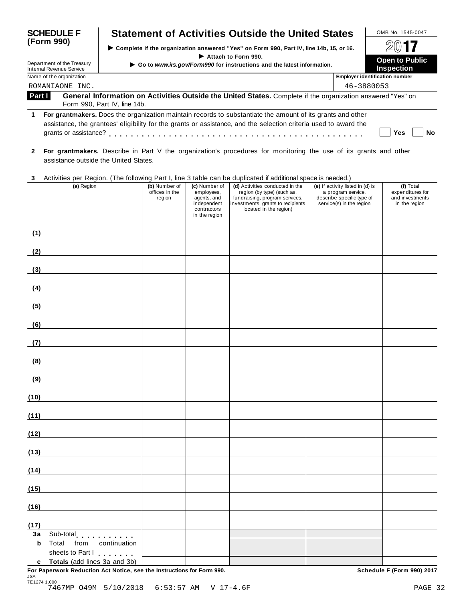|                            | <b>SCHEDULE F</b>                                                                                                                                                                                                              |                                                                                          |                                           |                                                                                           | <b>Statement of Activities Outside the United States</b>                                                                                                       |                                                                                                                 | OMB No. 1545-0047                                                 |
|----------------------------|--------------------------------------------------------------------------------------------------------------------------------------------------------------------------------------------------------------------------------|------------------------------------------------------------------------------------------|-------------------------------------------|-------------------------------------------------------------------------------------------|----------------------------------------------------------------------------------------------------------------------------------------------------------------|-----------------------------------------------------------------------------------------------------------------|-------------------------------------------------------------------|
|                            | (Form 990)                                                                                                                                                                                                                     | > Complete if the organization answered "Yes" on Form 990, Part IV, line 14b, 15, or 16. |                                           |                                                                                           |                                                                                                                                                                |                                                                                                                 |                                                                   |
| Department of the Treasury |                                                                                                                                                                                                                                |                                                                                          |                                           | Attach to Form 990.                                                                       | <b>Open to Public</b>                                                                                                                                          |                                                                                                                 |                                                                   |
|                            | Go to www.irs.gov/Form990 for instructions and the latest information.<br><b>Internal Revenue Service</b><br>Name of the organization                                                                                          |                                                                                          |                                           |                                                                                           |                                                                                                                                                                |                                                                                                                 | <b>Inspection</b><br><b>Employer identification number</b>        |
|                            | ROMANIAONE INC.                                                                                                                                                                                                                |                                                                                          |                                           |                                                                                           |                                                                                                                                                                | 46-3880053                                                                                                      |                                                                   |
| Part I                     |                                                                                                                                                                                                                                | Form 990, Part IV, line 14b.                                                             |                                           |                                                                                           | General Information on Activities Outside the United States. Complete if the organization answered "Yes" on                                                    |                                                                                                                 |                                                                   |
| 1                          |                                                                                                                                                                                                                                |                                                                                          |                                           |                                                                                           | For grantmakers. Does the organization maintain records to substantiate the amount of its grants and other                                                     |                                                                                                                 |                                                                   |
|                            |                                                                                                                                                                                                                                |                                                                                          |                                           |                                                                                           | assistance, the grantees' eligibility for the grants or assistance, and the selection criteria used to award the                                               |                                                                                                                 |                                                                   |
|                            |                                                                                                                                                                                                                                |                                                                                          |                                           |                                                                                           |                                                                                                                                                                |                                                                                                                 | Yes<br>No                                                         |
| 2                          | assistance outside the United States.                                                                                                                                                                                          |                                                                                          |                                           |                                                                                           | For grantmakers. Describe in Part V the organization's procedures for monitoring the use of its grants and other                                               |                                                                                                                 |                                                                   |
| 3                          |                                                                                                                                                                                                                                |                                                                                          |                                           |                                                                                           | Activities per Region. (The following Part I, line 3 table can be duplicated if additional space is needed.)                                                   |                                                                                                                 |                                                                   |
|                            | (a) Region                                                                                                                                                                                                                     |                                                                                          | (b) Number of<br>offices in the<br>region | (c) Number of<br>employees,<br>agents, and<br>independent<br>contractors<br>in the region | (d) Activities conducted in the<br>region (by type) (such as,<br>fundraising, program services,<br>investments, grants to recipients<br>located in the region) | (e) If activity listed in (d) is<br>a program service,<br>describe specific type of<br>service(s) in the region | (f) Total<br>expenditures for<br>and investments<br>in the region |
| (1)                        |                                                                                                                                                                                                                                |                                                                                          |                                           |                                                                                           |                                                                                                                                                                |                                                                                                                 |                                                                   |
| (2)                        |                                                                                                                                                                                                                                |                                                                                          |                                           |                                                                                           |                                                                                                                                                                |                                                                                                                 |                                                                   |
| (3)                        | <u> 1989 - Jan Barnett, fransk politik (</u>                                                                                                                                                                                   |                                                                                          |                                           |                                                                                           |                                                                                                                                                                |                                                                                                                 |                                                                   |
| (4)                        | <u> 1999 - Jan Stein Stein Stein Stein Stein Stein Stein Stein Stein Stein Stein Stein Stein Stein Stein Stein S</u>                                                                                                           |                                                                                          |                                           |                                                                                           |                                                                                                                                                                |                                                                                                                 |                                                                   |
| (5)                        |                                                                                                                                                                                                                                |                                                                                          |                                           |                                                                                           |                                                                                                                                                                |                                                                                                                 |                                                                   |
| (6)                        |                                                                                                                                                                                                                                |                                                                                          |                                           |                                                                                           |                                                                                                                                                                |                                                                                                                 |                                                                   |
| (7)                        |                                                                                                                                                                                                                                |                                                                                          |                                           |                                                                                           |                                                                                                                                                                |                                                                                                                 |                                                                   |
| (8)                        |                                                                                                                                                                                                                                |                                                                                          |                                           |                                                                                           |                                                                                                                                                                |                                                                                                                 |                                                                   |
| (9)                        |                                                                                                                                                                                                                                |                                                                                          |                                           |                                                                                           |                                                                                                                                                                |                                                                                                                 |                                                                   |
| (10)                       |                                                                                                                                                                                                                                |                                                                                          |                                           |                                                                                           |                                                                                                                                                                |                                                                                                                 |                                                                   |
| (11)                       |                                                                                                                                                                                                                                |                                                                                          |                                           |                                                                                           |                                                                                                                                                                |                                                                                                                 |                                                                   |
| (12)                       |                                                                                                                                                                                                                                |                                                                                          |                                           |                                                                                           |                                                                                                                                                                |                                                                                                                 |                                                                   |
| (13)                       |                                                                                                                                                                                                                                |                                                                                          |                                           |                                                                                           |                                                                                                                                                                |                                                                                                                 |                                                                   |
| (14)                       |                                                                                                                                                                                                                                |                                                                                          |                                           |                                                                                           |                                                                                                                                                                |                                                                                                                 |                                                                   |
| (15)                       |                                                                                                                                                                                                                                |                                                                                          |                                           |                                                                                           |                                                                                                                                                                |                                                                                                                 |                                                                   |
| (16)                       |                                                                                                                                                                                                                                |                                                                                          |                                           |                                                                                           |                                                                                                                                                                |                                                                                                                 |                                                                   |
| (17)                       |                                                                                                                                                                                                                                |                                                                                          |                                           |                                                                                           |                                                                                                                                                                |                                                                                                                 |                                                                   |
| Зa                         | Sub-total experience of the state of the state of the state of the state of the state of the state of the state of the state of the state of the state of the state of the state of the state of the state of the state of the |                                                                                          |                                           |                                                                                           |                                                                                                                                                                |                                                                                                                 |                                                                   |
| b                          | Total from<br>sheets to Part I                                                                                                                                                                                                 | continuation                                                                             |                                           |                                                                                           |                                                                                                                                                                |                                                                                                                 |                                                                   |
| c                          | Totals (add lines 3a and 3b)                                                                                                                                                                                                   |                                                                                          |                                           |                                                                                           |                                                                                                                                                                |                                                                                                                 |                                                                   |

| <b>Schedule F (Form 990) 2017</b> |  |  |
|-----------------------------------|--|--|
|                                   |  |  |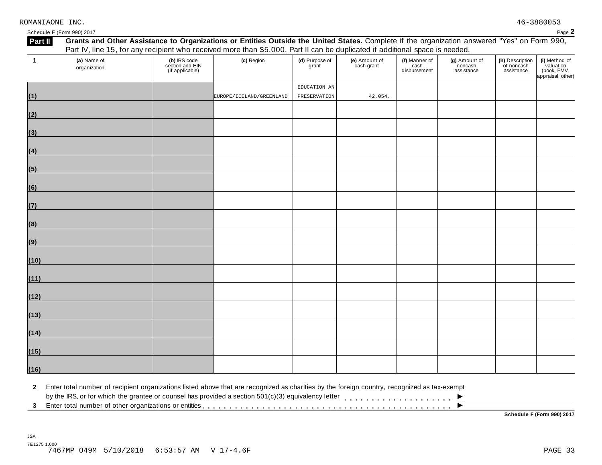| Schedule F (Form 990) 2017 | ∩מפ<br>-aue - |  |
|----------------------------|---------------|--|
|                            |               |  |

| Part II | Grants and Other Assistance to Organizations or Entities Outside the United States. Complete if the organization answered "Yes" on Form 990,<br>Part IV, line 15, for any recipient who received more than \$5,000. Part II can be duplicated if additional space is needed. |                                                    |                          |                         |                             |                                       |                                        |                                             |                                                                |
|---------|------------------------------------------------------------------------------------------------------------------------------------------------------------------------------------------------------------------------------------------------------------------------------|----------------------------------------------------|--------------------------|-------------------------|-----------------------------|---------------------------------------|----------------------------------------|---------------------------------------------|----------------------------------------------------------------|
| 1       | (a) Name of<br>organization                                                                                                                                                                                                                                                  | (b) IRS code<br>section and EIN<br>(if applicable) | (c) Region               | (d) Purpose of<br>grant | (e) Amount of<br>cash grant | (f) Manner of<br>cash<br>disbursement | (g) Amount of<br>noncash<br>assistance | (h) Description<br>of noncash<br>assistance | (i) Method of<br>valuation<br>(book, FMV,<br>appraisal, other) |
|         |                                                                                                                                                                                                                                                                              |                                                    |                          | EDUCATION AN            |                             |                                       |                                        |                                             |                                                                |
| (1)     |                                                                                                                                                                                                                                                                              |                                                    | EUROPE/ICELAND/GREENLAND | PRESERVATION            | 42,054.                     |                                       |                                        |                                             |                                                                |
| (2)     |                                                                                                                                                                                                                                                                              |                                                    |                          |                         |                             |                                       |                                        |                                             |                                                                |
| (3)     |                                                                                                                                                                                                                                                                              |                                                    |                          |                         |                             |                                       |                                        |                                             |                                                                |
| (4)     |                                                                                                                                                                                                                                                                              |                                                    |                          |                         |                             |                                       |                                        |                                             |                                                                |
| (5)     |                                                                                                                                                                                                                                                                              |                                                    |                          |                         |                             |                                       |                                        |                                             |                                                                |
| (6)     |                                                                                                                                                                                                                                                                              |                                                    |                          |                         |                             |                                       |                                        |                                             |                                                                |
| (7)     |                                                                                                                                                                                                                                                                              |                                                    |                          |                         |                             |                                       |                                        |                                             |                                                                |
| (8)     |                                                                                                                                                                                                                                                                              |                                                    |                          |                         |                             |                                       |                                        |                                             |                                                                |
| (9)     |                                                                                                                                                                                                                                                                              |                                                    |                          |                         |                             |                                       |                                        |                                             |                                                                |
| (10)    |                                                                                                                                                                                                                                                                              |                                                    |                          |                         |                             |                                       |                                        |                                             |                                                                |
| (11)    |                                                                                                                                                                                                                                                                              |                                                    |                          |                         |                             |                                       |                                        |                                             |                                                                |
| (12)    |                                                                                                                                                                                                                                                                              |                                                    |                          |                         |                             |                                       |                                        |                                             |                                                                |
| (13)    |                                                                                                                                                                                                                                                                              |                                                    |                          |                         |                             |                                       |                                        |                                             |                                                                |
| (14)    |                                                                                                                                                                                                                                                                              |                                                    |                          |                         |                             |                                       |                                        |                                             |                                                                |
| (15)    |                                                                                                                                                                                                                                                                              |                                                    |                          |                         |                             |                                       |                                        |                                             |                                                                |
| (16)    |                                                                                                                                                                                                                                                                              |                                                    |                          |                         |                             |                                       |                                        |                                             |                                                                |

**2** Enter total number of recipient organizations listed above that are recognized as charities by the foreign country, recognized as tax-exempt

 $\blacksquare$ <br>by the IRS, or for which the grantee or counsel has provided a section 501(c)(3) equivalency letter<br>3 Enter total number of other organizations or entities

**Schedule F (Form 990) 2017**

 $\overline{\phantom{a}}$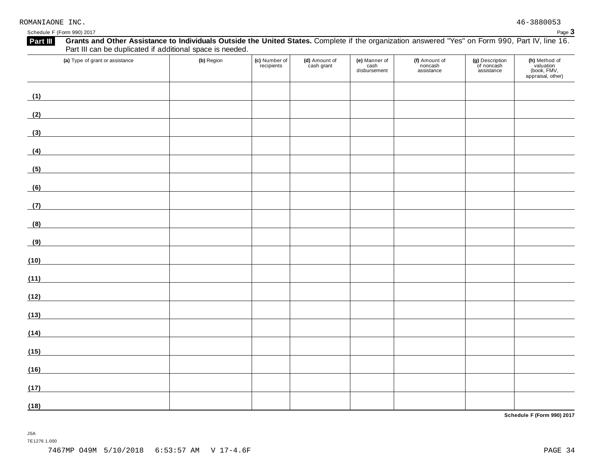| Schedule F (Form 990) 2017 | $P$ aqe $\mathbf{3}$ |  |
|----------------------------|----------------------|--|
|                            |                      |  |

| (a) Type of grant or assistance                          | (b) Region | (c) Number of<br>recipients | (d) Amount of<br>cash grant | (e) Manner of<br>cash<br>disbursement | (f) Amount of<br>noncash<br>assistance | (g) Description<br>of noncash<br>assistance | (h) Method of<br>valuation<br>(book, FMV,<br>appraisal, other) |
|----------------------------------------------------------|------------|-----------------------------|-----------------------------|---------------------------------------|----------------------------------------|---------------------------------------------|----------------------------------------------------------------|
| (1)                                                      |            |                             |                             |                                       |                                        |                                             |                                                                |
| (2)<br><u> 1989 - Johann Barbara, martxa a</u>           |            |                             |                             |                                       |                                        |                                             |                                                                |
| (3)                                                      |            |                             |                             |                                       |                                        |                                             |                                                                |
| (4)                                                      |            |                             |                             |                                       |                                        |                                             |                                                                |
| (5)                                                      |            |                             |                             |                                       |                                        |                                             |                                                                |
| (6)                                                      |            |                             |                             |                                       |                                        |                                             |                                                                |
| (7)<br><u> 1980 - Johann Barbara, martxa alemaniar a</u> |            |                             |                             |                                       |                                        |                                             |                                                                |
| (8)                                                      |            |                             |                             |                                       |                                        |                                             |                                                                |
| (9)                                                      |            |                             |                             |                                       |                                        |                                             |                                                                |
| (10)<br><u> 1980 - Johann Barbara, martxa al</u>         |            |                             |                             |                                       |                                        |                                             |                                                                |
| (11)<br><u> 1989 - Jan Barbara Barbara, prima popula</u> |            |                             |                             |                                       |                                        |                                             |                                                                |
| (12)                                                     |            |                             |                             |                                       |                                        |                                             |                                                                |
| (13)<br><u> 1980 - Johann Barbara, martxa al</u>         |            |                             |                             |                                       |                                        |                                             |                                                                |
| (14)                                                     |            |                             |                             |                                       |                                        |                                             |                                                                |
| (15)                                                     |            |                             |                             |                                       |                                        |                                             |                                                                |
| (16)                                                     |            |                             |                             |                                       |                                        |                                             |                                                                |
| (17)                                                     |            |                             |                             |                                       |                                        |                                             |                                                                |
| (18)                                                     |            |                             |                             |                                       |                                        |                                             |                                                                |

**Schedule F (Form 990) 2017**

JSA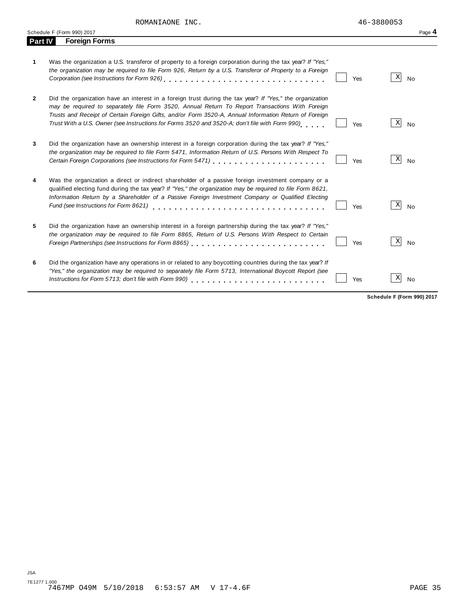|      | Schedule F (Form 990) 2017                                                                                                                                                                                                                                                                                                                                                                                             |     | Page    |
|------|------------------------------------------------------------------------------------------------------------------------------------------------------------------------------------------------------------------------------------------------------------------------------------------------------------------------------------------------------------------------------------------------------------------------|-----|---------|
| Part | <b>Foreign Forms</b>                                                                                                                                                                                                                                                                                                                                                                                                   |     |         |
|      | Was the organization a U.S. transferor of property to a foreign corporation during the tax year? If "Yes,"<br>the organization may be required to file Form 926, Return by a U.S. Transferor of Property to a Foreign                                                                                                                                                                                                  | Yes | Χ<br>No |
| 2    | Did the organization have an interest in a foreign trust during the tax year? If "Yes," the organization<br>may be required to separately file Form 3520, Annual Return To Report Transactions With Foreign<br>Trusts and Receipt of Certain Foreign Gifts, and/or Form 3520-A, Annual Information Return of Foreign<br>Trust With a U.S. Owner (see Instructions for Forms 3520 and 3520-A; don't file with Form 990) | Yes | No      |

| 3  | Did the organization have an ownership interest in a foreign corporation during the tax year? If "Yes,"<br>the organization may be required to file Form 5471, Information Return of U.S. Persons With Respect To                                                                                                     | Yes | <b>No</b> |
|----|-----------------------------------------------------------------------------------------------------------------------------------------------------------------------------------------------------------------------------------------------------------------------------------------------------------------------|-----|-----------|
| 4  | Was the organization a direct or indirect shareholder of a passive foreign investment company or a<br>qualified electing fund during the tax year? If "Yes," the organization may be required to file Form 8621,<br>Information Return by a Shareholder of a Passive Foreign Investment Company or Qualified Electing | Yes | No        |
| 5. | Did the organization have an ownership interest in a foreign partnership during the tax year? If "Yes,"<br>the organization may be required to file Form 8865, Return of U.S. Persons With Respect to Certain                                                                                                         | Yes | No        |
| 6  | Did the organization have any operations in or related to any boycotting countries during the tax year? If<br>"Yes," the organization may be required to separately file Form 5713, International Boycott Report (see                                                                                                 | Yes | No        |

**Schedule F (Form 990) 2017**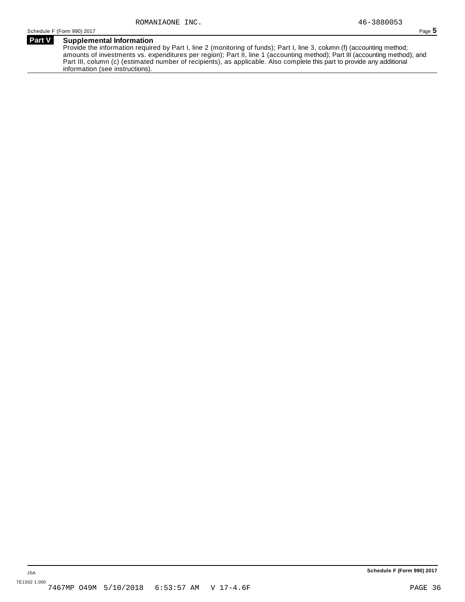#### **Part V Supplemental Information**

Provide the information required by Part I, line 2 (monitoring of funds); Part I, line 3, column (f) (accounting method; amounts of investments vs. expenditures per region); Part II, line 1 (accounting method); Part III (accounting method); and Part III, column (c) (estimated number of recipients), as applicable. Also complete this part to provide any additional information (see instructions).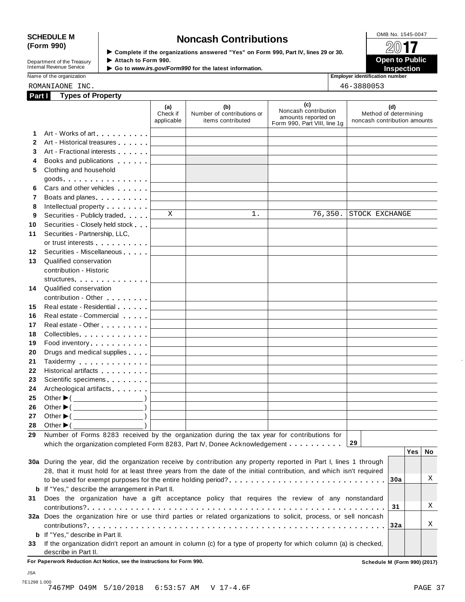# SCHEDULE M<br>
(Form 990) **Schedule Moncash Contributions**<br>  $\begin{array}{r} \hline \text{OMB No. 1545-0047} \\ \hline \text{Complete if the organizations answered "Yes" on Form 990 Part IV lines 29 or 30.} \end{array}$

**Department of the Treasury<br>Internal Revenue Service** 

**(Form 990)** I **Complete if the organizations answered "Yes" on Form 990, Part IV, lines <sup>29</sup> or 30.** À¾µ» **Department of the Treasury ▶ Attach to Form 990.**<br>Internal Revenue Service ▶ Go to *www.irs.gov/Form990* for the latest information.<br>Nome of the organization, authorities in a support of the latest information.

Name of the organization **intervalse and the original state of the original state of the original state of the original state of the original state of the original state of the original state of the original state of the o** 

| ROMANIAONE<br>INC. | 46-3880053 |
|--------------------|------------|
|                    |            |

| Part I       | <b>Types of Property</b>                                                                                                                                                                                                      |                               |                                                        |                                                                                    |                                                              |
|--------------|-------------------------------------------------------------------------------------------------------------------------------------------------------------------------------------------------------------------------------|-------------------------------|--------------------------------------------------------|------------------------------------------------------------------------------------|--------------------------------------------------------------|
|              |                                                                                                                                                                                                                               | (a)<br>Check if<br>applicable | (b)<br>Number of contributions or<br>items contributed | (c)<br>Noncash contribution<br>amounts reported on<br>Form 990, Part VIII, line 1g | (d)<br>Method of determining<br>noncash contribution amounts |
| 1.           | Art - Works of art                                                                                                                                                                                                            |                               |                                                        |                                                                                    |                                                              |
| $\mathbf{2}$ | Art - Historical treasures                                                                                                                                                                                                    |                               |                                                        |                                                                                    |                                                              |
| 3            | Art - Fractional interests                                                                                                                                                                                                    |                               |                                                        |                                                                                    |                                                              |
| 4            | Books and publications entitled                                                                                                                                                                                               |                               |                                                        |                                                                                    |                                                              |
| 5            | Clothing and household                                                                                                                                                                                                        |                               |                                                        |                                                                                    |                                                              |
|              | goods.                                                                                                                                                                                                                        |                               |                                                        |                                                                                    |                                                              |
| 6            | Cars and other vehicles                                                                                                                                                                                                       |                               |                                                        |                                                                                    |                                                              |
| 7            | Boats and planes                                                                                                                                                                                                              |                               |                                                        |                                                                                    |                                                              |
| 8            | Intellectual property <b>Algebra</b>                                                                                                                                                                                          |                               |                                                        |                                                                                    |                                                              |
| 9            | Securities - Publicly traded                                                                                                                                                                                                  | X                             | 1.                                                     | 76, 350.                                                                           | STOCK EXCHANGE                                               |
| 10           | Securities - Closely held stock                                                                                                                                                                                               |                               |                                                        |                                                                                    |                                                              |
| 11           | Securities - Partnership, LLC,                                                                                                                                                                                                |                               |                                                        |                                                                                    |                                                              |
|              | or trust interests experience that the set of the set of the set of the set of the set of the set of the set of the set of the set of the set of the set of the set of the set of the set of the set of the set of the set of |                               |                                                        |                                                                                    |                                                              |
| 12           | Securities - Miscellaneous                                                                                                                                                                                                    |                               |                                                        |                                                                                    |                                                              |
| 13           | Qualified conservation                                                                                                                                                                                                        |                               |                                                        |                                                                                    |                                                              |
|              | contribution - Historic                                                                                                                                                                                                       |                               |                                                        |                                                                                    |                                                              |
|              | structures experiences and the structures and the structures                                                                                                                                                                  |                               |                                                        |                                                                                    |                                                              |
| 14           | Qualified conservation                                                                                                                                                                                                        |                               |                                                        |                                                                                    |                                                              |
|              | contribution - Other <b>Canada and Taylor</b>                                                                                                                                                                                 |                               |                                                        |                                                                                    |                                                              |
| 15           | Real estate - Residential                                                                                                                                                                                                     |                               |                                                        |                                                                                    |                                                              |
| 16           | Real estate - Commercial                                                                                                                                                                                                      |                               |                                                        |                                                                                    |                                                              |
| 17           |                                                                                                                                                                                                                               |                               |                                                        |                                                                                    |                                                              |
| 18           | Collectibles <b>collectibles</b>                                                                                                                                                                                              |                               |                                                        |                                                                                    |                                                              |
| 19           | Food inventory                                                                                                                                                                                                                |                               |                                                        |                                                                                    |                                                              |
| 20           | Drugs and medical supplies                                                                                                                                                                                                    |                               |                                                        |                                                                                    |                                                              |
| 21           | Taxidermy                                                                                                                                                                                                                     |                               |                                                        |                                                                                    |                                                              |
| 22           | Historical artifacts <b>All Accords</b>                                                                                                                                                                                       |                               |                                                        |                                                                                    |                                                              |
| 23           | Scientific specimens                                                                                                                                                                                                          |                               |                                                        |                                                                                    |                                                              |
| 24           | Archeological artifacts <b>Archeological</b>                                                                                                                                                                                  |                               |                                                        |                                                                                    |                                                              |
| 25           | Other $\blacktriangleright$ ( $\_\_\_\_\_\_\_\_$ )                                                                                                                                                                            |                               |                                                        |                                                                                    |                                                              |
| 26           | Other $\blacktriangleright$ ( $\_\_\_\_\_\_\_\_\_$ )                                                                                                                                                                          |                               |                                                        |                                                                                    |                                                              |
| 27           | Other $\blacktriangleright$ ( $\_\_\_\_\_\_\_\_\_$ )                                                                                                                                                                          |                               |                                                        |                                                                                    |                                                              |
| 28           | Other $\blacktriangleright$ (                                                                                                                                                                                                 |                               |                                                        |                                                                                    |                                                              |
| 29           | Number of Forms 8283 received by the organization during the tax year for contributions for                                                                                                                                   |                               |                                                        |                                                                                    |                                                              |
|              | which the organization completed Form 8283, Part IV, Donee Acknowledgement                                                                                                                                                    |                               |                                                        |                                                                                    | 29                                                           |
|              |                                                                                                                                                                                                                               |                               |                                                        |                                                                                    | Yes  <br><b>No</b>                                           |
|              | 30a During the year, did the organization receive by contribution any property reported in Part I, lines 1 through                                                                                                            |                               |                                                        |                                                                                    |                                                              |
|              | 28, that it must hold for at least three years from the date of the initial contribution, and which isn't required                                                                                                            |                               |                                                        |                                                                                    |                                                              |
|              |                                                                                                                                                                                                                               |                               |                                                        |                                                                                    | Χ<br>30a                                                     |
|              | <b>b</b> If "Yes," describe the arrangement in Part II.                                                                                                                                                                       |                               |                                                        |                                                                                    |                                                              |
| 31           | Does the organization have a gift acceptance policy that requires the review of any nonstandard                                                                                                                               |                               |                                                        |                                                                                    |                                                              |
|              |                                                                                                                                                                                                                               |                               |                                                        |                                                                                    | Χ<br>31                                                      |
|              | 32a Does the organization hire or use third parties or related organizations to solicit, process, or sell noncash                                                                                                             |                               |                                                        |                                                                                    |                                                              |
|              |                                                                                                                                                                                                                               |                               |                                                        |                                                                                    | Χ<br>32a                                                     |
|              | <b>b</b> If "Yes," describe in Part II.                                                                                                                                                                                       |                               |                                                        |                                                                                    |                                                              |
| 33           | If the organization didn't report an amount in column (c) for a type of property for which column (a) is checked,                                                                                                             |                               |                                                        |                                                                                    |                                                              |
|              | describe in Part II.                                                                                                                                                                                                          |                               |                                                        |                                                                                    |                                                              |

**For Paperwork Reduction Act Notice, see the Instructions for Form 990. Schedule M (Form 990) (2017)**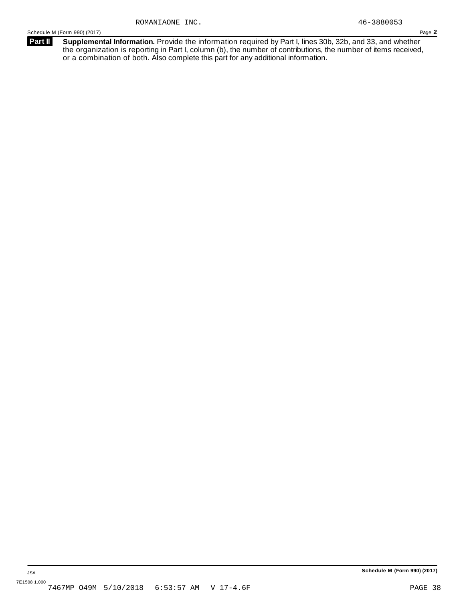**Part II**

**Supplemental Information.** Provide the information required by Part I, lines 30b, 32b, and 33, and whether the organization is reporting in Part I, column (b), the number of contributions, the number of items received, or a combination of both. Also complete this part for any additional information.